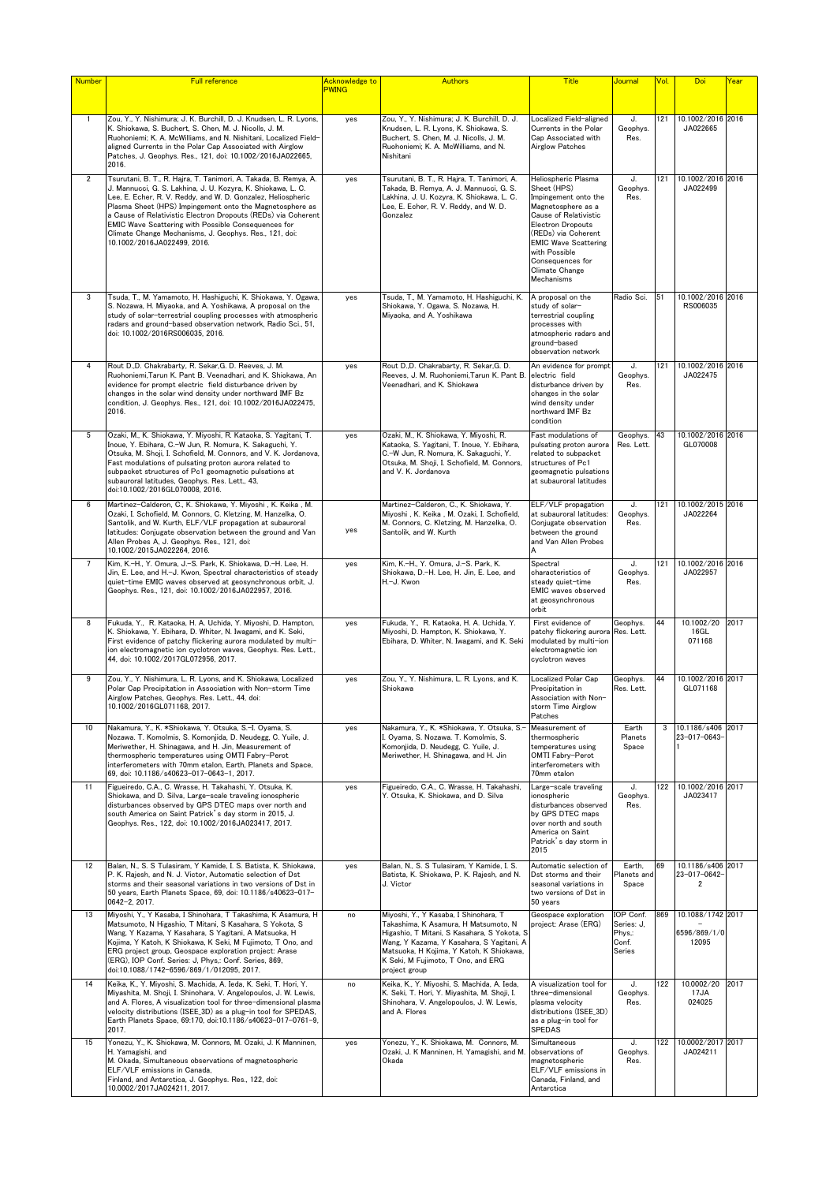| <b>Number</b>  | <b>Full reference</b>                                                                                                                                                                                                                                                                                                                                                                                                                                                         | <b>Acknowledge to</b> | <b>Authors</b>                                                                                                                                                                                                                                                               | <b>Title</b>                                                                                                                                                                                                                                              | <mark>Journal</mark>                                 | Vol. | Doi                                        | <u>Year</u> |
|----------------|-------------------------------------------------------------------------------------------------------------------------------------------------------------------------------------------------------------------------------------------------------------------------------------------------------------------------------------------------------------------------------------------------------------------------------------------------------------------------------|-----------------------|------------------------------------------------------------------------------------------------------------------------------------------------------------------------------------------------------------------------------------------------------------------------------|-----------------------------------------------------------------------------------------------------------------------------------------------------------------------------------------------------------------------------------------------------------|------------------------------------------------------|------|--------------------------------------------|-------------|
|                |                                                                                                                                                                                                                                                                                                                                                                                                                                                                               | <b>PWING</b>          |                                                                                                                                                                                                                                                                              |                                                                                                                                                                                                                                                           |                                                      |      |                                            |             |
| $\mathbf{1}$   | Zou, Y., Y. Nishimura; J. K. Burchill, D. J. Knudsen, L. R. Lyons,<br>K. Shiokawa, S. Buchert, S. Chen, M. J. Nicolls, J. M.<br>Ruohoniemi; K. A. McWilliams, and N. Nishitani, Localized Field-<br>aligned Currents in the Polar Cap Associated with Airglow<br>Patches, J. Geophys. Res., 121, doi: 10.1002/2016JA022665,<br>2016.                                                                                                                                          | yes                   | Zou, Y., Y. Nishimura; J. K. Burchill, D. J.<br>Knudsen, L. R. Lyons, K. Shiokawa, S.<br>Buchert, S. Chen, M. J. Nicolls, J. M.<br>Ruohoniemi: K. A. McWilliams, and N.<br>Nishitani                                                                                         | Localized Field-aligned<br>Currents in the Polar<br>Cap Associated with<br><b>Airglow Patches</b>                                                                                                                                                         | J.<br>Geophys.<br>Res.                               | 121  | 10.1002/2016 2016<br>JA022665              |             |
| $\overline{2}$ | Tsurutani, B. T., R. Hajra, T. Tanimori, A. Takada, B. Remya, A.<br>J. Mannucci, G. S. Lakhina, J. U. Kozyra, K. Shiokawa, L. C.<br>Lee, E. Echer, R. V. Reddy, and W. D. Gonzalez, Heliospheric<br>Plasma Sheet (HPS) Impingement onto the Magnetosphere as<br>a Cause of Relativistic Electron Dropouts (REDs) via Coherent<br>EMIC Wave Scattering with Possible Consequences for<br>Climate Change Mechanisms, J. Geophys. Res., 121, doi:<br>10.1002/2016JA022499, 2016. | yes                   | Tsurutani, B. T., R. Hajra, T. Tanimori, A.<br>Takada, B. Remya, A. J. Mannucci, G. S.<br>Lakhina, J. U. Kozyra, K. Shiokawa, L. C.<br>Lee, E. Echer, R. V. Reddy, and W. D.<br>Gonzalez                                                                                     | Heliospheric Plasma<br>Sheet (HPS)<br>Impingement onto the<br>Magnetosphere as a<br>Cause of Relativistic<br>Electron Dropouts<br>(REDs) via Coherent<br><b>EMIC Wave Scattering</b><br>with Possible<br>Consequences for<br>Climate Change<br>Mechanisms | J.<br>Geophys.<br>Res.                               | 121  | 10.1002/2016 2016<br>JA022499              |             |
| 3              | Tsuda, T., M. Yamamoto, H. Hashiguchi, K. Shiokawa, Y. Ogawa,<br>S. Nozawa, H. Miyaoka, and A. Yoshikawa, A proposal on the<br>study of solar-terrestrial coupling processes with atmospheric<br>radars and ground-based observation network, Radio Sci., 51,<br>doi: 10.1002/2016RS006035, 2016.                                                                                                                                                                             | yes                   | Tsuda, T., M. Yamamoto, H. Hashiguchi, K.<br>Shiokawa, Y. Ogawa, S. Nozawa, H.<br>Miyaoka, and A. Yoshikawa                                                                                                                                                                  | A proposal on the<br>study of solar-<br>terrestrial coupling<br>processes with<br>atmospheric radars and<br>ground-based<br>observation network                                                                                                           | Radio Sci.                                           | 51   | 10.1002/2016 2016<br>RS006035              |             |
| 4              | Rout D.,D. Chakrabarty, R. Sekar, G. D. Reeves, J. M.<br>Ruohoniemi, Tarun K. Pant B. Veenadhari, and K. Shiokawa, An<br>evidence for prompt electric field disturbance driven by<br>changes in the solar wind density under northward IMF Bz<br>condition, J. Geophys. Res., 121, doi: 10.1002/2016JA022475,<br>2016.                                                                                                                                                        | yes                   | Rout D.,D. Chakrabarty, R. Sekar, G. D.<br>Reeves, J. M. Ruohoniemi, Tarun K. Pant B.<br>Veenadhari, and K. Shiokawa                                                                                                                                                         | An evidence for prompt<br>electric field<br>disturbance driven by<br>changes in the solar<br>wind density under<br>northward IMF Bz<br>condition                                                                                                          | J.<br>Geophys.<br>Res.                               | 121  | 10.1002/2016 2016<br>JA022475              |             |
| 5              | Ozaki, M., K. Shiokawa, Y. Miyoshi, R. Kataoka, S. Yagitani, T.<br>Inoue, Y. Ebihara, C.-W Jun, R. Nomura, K. Sakaguchi, Y.<br>Otsuka, M. Shoji, I. Schofield, M. Connors, and V. K. Jordanova,<br>Fast modulations of pulsating proton aurora related to<br>subpacket structures of Pc1 geomagnetic pulsations at<br>subauroral latitudes, Geophys. Res. Lett., 43,<br>doi:10.1002/2016GL070008, 2016.                                                                       | yes                   | Ozaki, M., K. Shiokawa, Y. Miyoshi, R.<br>Kataoka, S. Yagitani, T. Inoue, Y. Ebihara,<br>C.-W Jun, R. Nomura, K. Sakaguchi, Y.<br>Otsuka, M. Shoji, I. Schofield, M. Connors,<br>and V. K. Jordanova                                                                         | Fast modulations of<br>pulsating proton aurora<br>related to subpacket<br>structures of Pc1<br>geomagnetic pulsations<br>at subauroral latitudes                                                                                                          | Geophys.<br>Res. Lett.                               | 43   | 10.1002/2016 2016<br>GL070008              |             |
| 6              | Martinez-Calderon, C., K. Shiokawa, Y. Miyoshi, K. Keika, M.<br>Ozaki, I. Schofield, M. Connors, C. Kletzing, M. Hanzelka, O.<br>Santolik, and W. Kurth, ELF/VLF propagation at subauroral<br>latitudes: Conjugate observation between the ground and Van<br>Allen Probes A, J. Geophys. Res., 121, doi:<br>10.1002/2015JA022264, 2016.                                                                                                                                       | yes                   | Martinez-Calderon, C., K. Shiokawa, Y.<br>Miyoshi, K. Keika, M. Ozaki, I. Schofield,<br>M. Connors, C. Kletzing, M. Hanzelka, O.<br>Santolik, and W. Kurth                                                                                                                   | ELF/VLF propagation<br>at subauroral latitudes:<br>Conjugate observation<br>between the ground<br>and Van Allen Probes<br>А                                                                                                                               | J.<br>Geophys.<br>Res.                               | 121  | 10.1002/2015 2016<br>JA022264              |             |
| $\overline{7}$ | Kim, K.-H., Y. Omura, J.-S. Park, K. Shiokawa, D.-H. Lee, H.<br>Jin, E. Lee, and H.-J. Kwon, Spectral characteristics of steady<br>quiet-time EMIC waves observed at geosynchronous orbit, J.<br>Geophys. Res., 121, doi: 10.1002/2016JA022957, 2016.                                                                                                                                                                                                                         | yes                   | Kim, K.-H., Y. Omura, J.-S. Park, K.<br>Shiokawa, D.-H. Lee, H. Jin, E. Lee, and<br>H.-J. Kwon                                                                                                                                                                               | Spectral<br>characteristics of<br>steady quiet-time<br>EMIC waves observed<br>at geosynchronous<br>orbit                                                                                                                                                  | J.<br>Geophys.<br>Res.                               | 121  | 10.1002/2016 2016<br>JA022957              |             |
| 8              | Fukuda, Y., R. Kataoka, H. A. Uchida, Y. Mivoshi, D. Hampton,<br>K. Shiokawa, Y. Ebihara, D. Whiter, N. Iwagami, and K. Seki,<br>First evidence of patchy flickering aurora modulated by multi-<br>ion electromagnetic ion cyclotron waves, Geophys. Res. Lett.,<br>44, doi: 10.1002/2017GL072956, 2017.                                                                                                                                                                      | yes                   | Fukuda, Y., R. Kataoka, H. A. Uchida, Y.<br>Mivoshi, D. Hampton, K. Shiokawa, Y.<br>Ebihara, D. Whiter, N. Iwagami, and K. Seki                                                                                                                                              | First evidence of<br>patchy flickering aurora Res. Lett.<br>modulated by multi-ion<br>electromagnetic ion<br>cyclotron waves                                                                                                                              | Geophys.                                             | 44   | 10.1002/20<br>16GL<br>071168               | 2017        |
| 9              | Zou, Y., Y. Nishimura, L. R. Lyons, and K. Shiokawa, Localized<br>Polar Cap Precipitation in Association with Non-storm Time<br>Airglow Patches, Geophys. Res. Lett., 44, doi:<br>10.1002/2016GL071168, 2017.                                                                                                                                                                                                                                                                 | yes                   | Zou, Y., Y. Nishimura, L. R. Lyons, and K.<br>Shiokawa                                                                                                                                                                                                                       | Localized Polar Cap<br>Precipitation in<br>Association with Non-<br>storm Time Airglow<br>Patches                                                                                                                                                         | Geophys.<br>Res. Lett.                               | 44   | 10.1002/2016 2017<br>GL071168              |             |
| 10             | Nakamura, Y., K. *Shiokawa, Y. Otsuka, S.-I. Oyama, S.<br>Nozawa. T. Komolmis, S. Komonjida, D. Neudegg, C. Yuile, J.<br>Meriwether, H. Shinagawa, and H. Jin, Measurement of<br>thermospheric temperatures using OMTI Fabry-Perot<br>interferometers with 70mm etalon, Earth, Planets and Space,<br>69, doi: 10.1186/s40623-017-0643-1, 2017.                                                                                                                                | yes                   | Nakamura, Y., K. *Shiokawa, Y. Otsuka, S.<br>l. Oyama, S. Nozawa. T. Komolmis, S.<br>Komonjida, D. Neudegg, C. Yuile, J.<br>Meriwether, H. Shinagawa, and H. Jin                                                                                                             | Measurement of<br>thermospheric<br>temperatures using<br>OMTI Fabry-Perot<br>interferometers with<br>70mm etalon                                                                                                                                          | Earth<br>Planets<br>Space                            | 3    | 10.1186/s406<br>23-017-0643                | 2017        |
| 11             | Figueiredo, C.A., C. Wrasse, H. Takahashi, Y. Otsuka, K.<br>Shiokawa, and D. Silva, Large-scale traveling ionospheric<br>disturbances observed by GPS DTEC maps over north and<br>south America on Saint Patrick's day storm in 2015, J.<br>Geophys. Res., 122, doi: 10.1002/2016JA023417, 2017.                                                                                                                                                                              | yes                   | Figueiredo, C.A., C. Wrasse, H. Takahashi,<br>Y. Otsuka, K. Shiokawa, and D. Silva                                                                                                                                                                                           | Large-scale traveling<br>ionospheric<br>disturbances observed<br>by GPS DTEC maps<br>over north and south<br>America on Saint<br>Patrick's day storm in<br>2015                                                                                           | J.<br>Geophys.<br>Res.                               | 122  | 10.1002/2016 2017<br>JA023417              |             |
| 12             | Balan, N., S. S Tulasiram, Y Kamide, I. S. Batista, K. Shiokawa,<br>P. K. Rajesh, and N. J. Victor, Automatic selection of Dst<br>storms and their seasonal variations in two versions of Dst in<br>50 years, Earth Planets Space, 69, doi: 10.1186/s40623-017-<br>0642-2, 2017.                                                                                                                                                                                              | yes                   | Balan, N., S. S Tulasiram, Y Kamide, I. S.<br>Batista, K. Shiokawa, P. K. Rajesh, and N.<br>J. Victor                                                                                                                                                                        | Automatic selection of<br>Dst storms and their<br>seasonal variations in<br>two versions of Dst in<br>50 years                                                                                                                                            | Earth.<br>Planets and<br>Space                       | 69   | 10.1186/s406 2017<br>23-017-0642-<br>2     |             |
| 13             | Miyoshi, Y., Y Kasaba, I Shinohara, T Takashima, K Asamura, H<br>Matsumoto, N Higashio, T Mitani, S Kasahara, S Yokota, S<br>Wang, Y Kazama, Y Kasahara, S Yagitani, A Matsuoka, H<br>Kojima, Y Katoh, K Shiokawa, K Seki, M Fujimoto, T Ono, and<br>ERG project group, Geospace exploration project: Arase<br>(ERG), IOP Conf. Series: J, Phys,: Conf. Series, 869,<br>doi:10.1088/1742-6596/869/1/012095, 2017.                                                             | no                    | Miyoshi, Y., Y Kasaba, I Shinohara, T<br>Takashima, K Asamura, H Matsumoto, N<br>Higashio, T Mitani, S Kasahara, S Yokota, S<br>Wang, Y Kazama, Y Kasahara, S Yagitani, A<br>Matsuoka, H Kojima, Y Katoh, K Shiokawa,<br>K Seki, M Fujimoto, T Ono, and ERG<br>project group | Geospace exploration<br>project: Arase (ERG)                                                                                                                                                                                                              | IOP Conf.<br>Series: J.<br>Phys,:<br>Conf.<br>Series | 869  | 10.1088/1742 2017<br>6596/869/1/0<br>12095 |             |
| 14             | Keika, K., Y. Miyoshi, S. Machida, A. Ieda, K. Seki, T. Hori, Y.<br>Miyashita, M. Shoji, I. Shinohara, V. Angelopoulos, J. W. Lewis,<br>and A. Flores, A visualization tool for three-dimensional plasma<br>velocity distributions (ISEE_3D) as a plug-in tool for SPEDAS,<br>Earth Planets Space, 69:170, doi:10.1186/s40623-017-0761-9,<br>2017.                                                                                                                            | no                    | Keika, K., Y. Miyoshi, S. Machida, A. Ieda,<br>K. Seki, T. Hori, Y. Miyashita, M. Shoji, I.<br>Shinohara, V. Angelopoulos, J. W. Lewis,<br>and A. Flores                                                                                                                     | A visualization tool for<br>three-dimensional<br>plasma velocity<br>distributions (ISEE_3D)<br>as a plug-in tool for<br><b>SPEDAS</b>                                                                                                                     | J.<br>Geophys.<br>Res.                               | 122  | 10.0002/20<br>17JA<br>024025               | 2017        |
| 15             | Yonezu, Y., K. Shiokawa, M. Connors, M. Ozaki, J. K Manninen,<br>H. Yamagishi, and<br>M. Okada, Simultaneous observations of magnetospheric<br>ELF/VLF emissions in Canada,<br>Finland, and Antarctica, J. Geophys. Res., 122, doi:<br>10.0002/2017JA024211, 2017.                                                                                                                                                                                                            | yes                   | Yonezu, Y., K. Shiokawa, M. Connors, M.<br>Ozaki, J. K Manninen, H. Yamagishi, and M.<br>Okada                                                                                                                                                                               | Simultaneous<br>observations of<br>magnetospheric<br>ELF/VLF emissions in<br>Canada, Finland, and<br>Antarctica                                                                                                                                           | J.<br>Geophys.<br>Res.                               | 122  | 10.0002/2017 2017<br>JA024211              |             |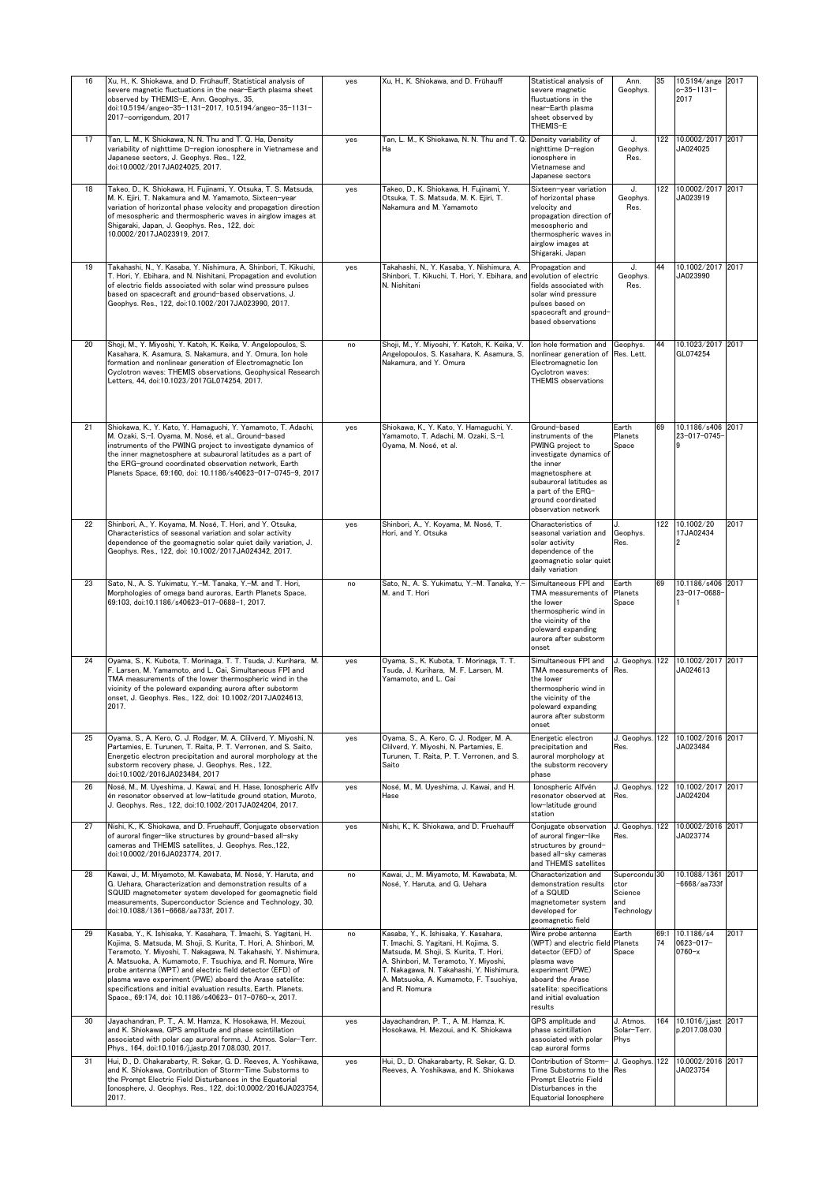| 16 | Xu, H., K. Shiokawa, and D. Frühauff, Statistical analysis of<br>severe magnetic fluctuations in the near-Earth plasma sheet<br>observed by THEMIS-E, Ann. Geophys., 35,<br>doi:10.5194/angeo-35-1131-2017, 10.5194/angeo-35-1131-<br>2017-corrigendum, 2017                                                                                                                                                                                                                                                              | yes | Xu, H., K. Shiokawa, and D. Frühauff                                                                                                                                                                                                                                     | Statistical analysis of<br>severe magnetic<br>fluctuations in the<br>near-Earth plasma<br>sheet observed by<br>THEMIS-E                                                                                          | Ann.<br>Geophys.                                      | 35         | 10.5194/ange<br>$o - 35 - 1131 -$<br>2017  | 2017 |
|----|---------------------------------------------------------------------------------------------------------------------------------------------------------------------------------------------------------------------------------------------------------------------------------------------------------------------------------------------------------------------------------------------------------------------------------------------------------------------------------------------------------------------------|-----|--------------------------------------------------------------------------------------------------------------------------------------------------------------------------------------------------------------------------------------------------------------------------|------------------------------------------------------------------------------------------------------------------------------------------------------------------------------------------------------------------|-------------------------------------------------------|------------|--------------------------------------------|------|
| 17 | Tan, L. M., K Shiokawa, N. N. Thu and T. Q. Ha, Density<br>variability of nighttime D-region ionosphere in Vietnamese and<br>Japanese sectors, J. Geophys. Res., 122,<br>doi:10.0002/2017JA024025, 2017.                                                                                                                                                                                                                                                                                                                  | yes | Tan, L. M., K Shiokawa, N. N. Thu and T. Q. Density variability of<br>Ha                                                                                                                                                                                                 | nighttime D-region<br>ionosphere in<br>Vietnamese and<br>Japanese sectors                                                                                                                                        | J.<br>Geophys.<br>Res.                                | 122        | 10.0002/2017<br>JA024025                   | 2017 |
| 18 | Takeo, D., K. Shiokawa, H. Fujinami, Y. Otsuka, T. S. Matsuda,<br>M. K. Ejiri, T. Nakamura and M. Yamamoto, Sixteen-year<br>variation of horizontal phase velocity and propagation direction<br>of mesospheric and thermospheric waves in airglow images at<br>Shigaraki, Japan, J. Geophys. Res., 122, doi:<br>10.0002/2017JA023919, 2017.                                                                                                                                                                               | yes | Takeo, D., K. Shiokawa, H. Fujinami, Y.<br>Otsuka, T. S. Matsuda, M. K. Ejiri, T.<br>Nakamura and M. Yamamoto                                                                                                                                                            | Sixteen-year variation<br>of horizontal phase<br>velocity and<br>propagation direction of<br>mesospheric and<br>thermospheric waves in<br>airglow images at<br>Shigaraki, Japan                                  | J.<br>Geophys.<br>Res.                                | 122        | 10.0002/2017<br>JA023919                   | 2017 |
| 19 | Takahashi, N., Y. Kasaba, Y. Nishimura, A. Shinbori, T. Kikuchi,<br>T. Hori, Y. Ebihara, and N. Nishitani, Propagation and evolution<br>of electric fields associated with solar wind pressure pulses<br>based on spacecraft and ground-based observations, J.<br>Geophys. Res., 122, doi:10.1002/2017JA023990, 2017.                                                                                                                                                                                                     | yes | Takahashi, N., Y. Kasaba, Y. Nishimura, A.<br>Shinbori, T. Kikuchi, T. Hori, Y. Ebihara, and evolution of electric<br>N. Nishitani                                                                                                                                       | Propagation and<br>fields associated with<br>solar wind pressure<br>pulses based on<br>spacecraft and ground-<br>based observations                                                                              | J.<br>Geophys.<br>Res.                                | 44         | 10.1002/2017<br>JA023990                   | 2017 |
| 20 | Shoji, M., Y. Miyoshi, Y. Katoh, K. Keika, V. Angelopoulos, S.<br>Kasahara, K. Asamura, S. Nakamura, and Y. Omura, Ion hole<br>formation and nonlinear generation of Electromagnetic Ion<br>Cyclotron waves: THEMIS observations, Geophysical Research<br>Letters, 44, doi:10.1023/2017GL074254, 2017.                                                                                                                                                                                                                    | no  | Shoji, M., Y. Miyoshi, Y. Katoh, K. Keika, V.<br>Angelopoulos, S. Kasahara, K. Asamura, S.<br>Nakamura, and Y. Omura                                                                                                                                                     | Ion hole formation and<br>nonlinear generation of<br>Electromagnetic Ion<br>Cyclotron waves:<br><b>THEMIS</b> observations                                                                                       | Geophys.<br>Res. Lett.                                | 44         | 10.1023/2017<br>GL074254                   | 2017 |
| 21 | Shiokawa, K., Y. Kato, Y. Hamaguchi, Y. Yamamoto, T. Adachi,<br>M. Ozaki, S.-I. Oyama, M. Nosé, et al., Ground-based<br>instruments of the PWING project to investigate dynamics of<br>the inner magnetosphere at subauroral latitudes as a part of<br>the ERG-ground coordinated observation network, Earth<br>Planets Space, 69:160, doi: 10.1186/s40623-017-0745-9, 2017                                                                                                                                               | yes | Shiokawa, K., Y. Kato, Y. Hamaguchi, Y.<br>Yamamoto, T. Adachi, M. Ozaki, S.-I.<br>Ovama, M. Nosé, et al.                                                                                                                                                                | Ground-based<br>instruments of the<br>PWING project to<br>investigate dynamics of<br>the inner<br>magnetosphere at<br>subauroral latitudes as<br>a part of the ERG-<br>ground coordinated<br>observation network | Earth<br>Planets<br>Space                             | 69         | 10.1186/s406<br>23-017-0745                | 2017 |
| 22 | Shinbori, A., Y. Koyama, M. Nosé, T. Hori, and Y. Otsuka,<br>Characteristics of seasonal variation and solar activity<br>dependence of the geomagnetic solar quiet daily variation, J.<br>Geophys. Res., 122, doi: 10.1002/2017JA024342, 2017.                                                                                                                                                                                                                                                                            | yes | Shinbori, A., Y. Koyama, M. Nosé, T.<br>Hori, and Y. Otsuka                                                                                                                                                                                                              | Characteristics of<br>seasonal variation and<br>solar activity<br>dependence of the<br>geomagnetic solar quiet<br>daily variation                                                                                | Geophys.<br>Res.                                      | 122        | 10.1002/20<br>17JA02434                    | 2017 |
| 23 | Sato, N., A. S. Yukimatu, Y.-M. Tanaka, Y.-M. and T. Hori,<br>Morphologies of omega band auroras, Earth Planets Space,<br>69:103, doi:10.1186/s40623-017-0688-1, 2017.                                                                                                                                                                                                                                                                                                                                                    | no  | Sato, N., A. S. Yukimatu, Y.-M. Tanaka, Y.-<br>M. and T. Hori                                                                                                                                                                                                            | Simultaneous FPI and<br>TMA measurements of<br>the lower<br>thermospheric wind in<br>the vicinity of the<br>poleward expanding<br>aurora after substorm<br>onset                                                 | Earth<br>Planets<br>Space                             | 69         | 10.1186/s406 2017<br>23-017-0688           |      |
| 24 | Oyama, S., K. Kubota, T. Morinaga, T. T. Tsuda, J. Kurihara, M.<br>. Larsen, M. Yamamoto, and L. Cai, Simultaneous FPI and<br>TMA measurements of the lower thermospheric wind in the<br>vicinity of the poleward expanding aurora after substorm<br>onset, J. Geophys. Res., 122, doi: 10.1002/2017JA024613,<br>2017.                                                                                                                                                                                                    | yes | Oyama, S., K. Kubota, T. Morinaga, T. T.<br>Tsuda, J. Kurihara, M. F. Larsen, M.<br>Yamamoto, and L. Cai                                                                                                                                                                 | Simultaneous FPI and<br>TMA measurements of<br>the lower<br>thermospheric wind in<br>the vicinity of the<br>poleward expanding<br>aurora after substorm<br>onset                                                 | J. Geophys.<br>Res.                                   | 122        | 10.1002/2017<br>JA024613                   | 2017 |
| 25 | Oyama, S., A. Kero, C. J. Rodger, M. A. Clilverd, Y. Miyoshi, N.<br>Partamies, E. Turunen, T. Raita, P. T. Verronen, and S. Saito,<br>Energetic electron precipitation and auroral morphology at the<br>substorm recovery phase, J. Geophys, Res., 122.<br>doi:10.1002/2016JA023484, 2017                                                                                                                                                                                                                                 | yes | Oyama, S., A. Kero, C. J. Rodger, M. A.<br>Clilverd, Y. Miyoshi, N. Partamies, E.<br>Turunen, T. Raita, P. T. Verronen, and S.<br>Saito                                                                                                                                  | Energetic electron<br>precipitation and<br>auroral morphology at<br>the substorm recovery<br>phase                                                                                                               | J. Geophys.<br>Res.                                   | 122        | 10.1002/2016 2017<br>JA023484              |      |
| 26 | Nosé, M., M. Uveshima, J. Kawai, and H. Hase, Ionospheric Alfy<br>én resonator observed at low-latitude ground station, Muroto,<br>J. Geophys. Res., 122, doi:10.1002/2017JA024204, 2017.                                                                                                                                                                                                                                                                                                                                 | yes | Nosé, M., M. Uyeshima, J. Kawai, and H.<br>Hase                                                                                                                                                                                                                          | Ionospheric Alfvén<br>resonator observed at<br>low-latitude ground<br>station                                                                                                                                    | J. Geophys.<br>Res.                                   | 122        | 10.1002/2017<br>JA024204                   | 2017 |
| 27 | Nishi, K., K. Shiokawa, and D. Fruehauff, Conjugate observation<br>of auroral finger-like structures by ground-based all-sky<br>cameras and THEMIS satellites, J. Geophys. Res.,122,<br>doi:10.0002/2016JA023774, 2017.                                                                                                                                                                                                                                                                                                   | yes | Nishi, K., K. Shiokawa, and D. Fruehauff                                                                                                                                                                                                                                 | Conjugate observation<br>of auroral finger-like<br>structures by ground-<br>based all-sky cameras<br>and THEMIS satellites                                                                                       | J. Geophys<br>Res.                                    | 122        | 10.0002/2016 2017<br>JA023774              |      |
| 28 | Kawai, J., M. Miyamoto, M. Kawabata, M. Nosé, Y. Haruta, and<br>G. Uehara, Characterization and demonstration results of a<br>SQUID magnetometer system developed for geomagnetic field<br>measurements, Superconductor Science and Technology, 30,<br>doi:10.1088/1361-6668/aa733f, 2017.                                                                                                                                                                                                                                | no  | Kawai, J., M. Miyamoto, M. Kawabata, M.<br>Nosé, Y. Haruta, and G. Uehara                                                                                                                                                                                                | Characterization and<br>demonstration results<br>of a SQUID<br>magnetometer system<br>developed for<br>geomagnetic field                                                                                         | Supercondu 30<br>ctor<br>Science<br>and<br>Technology |            | 10.1088/1361<br>6668/aa733                 | 2017 |
| 29 | Kasaba, Y., K. Ishisaka, Y. Kasahara, T. Imachi, S. Yagitani, H.<br>Kojima, S. Matsuda, M. Shoji, S. Kurita, T. Hori, A. Shinbori, M.<br>Teramoto, Y. Miyoshi, T. Nakagawa, N. Takahashi, Y. Nishimura,<br>A. Matsuoka, A. Kumamoto, F. Tsuchiya, and R. Nomura, Wire<br>probe antenna (WPT) and electric field detector (EFD) of<br>plasma wave experiment (PWE) aboard the Arase satellite:<br>specifications and initial evaluation results, Earth. Planets.<br>Space., 69:174, doi: 10.1186/s40623- 017-0760-x, 2017. | no  | Kasaba, Y., K. Ishisaka, Y. Kasahara,<br>T. Imachi, S. Yagitani, H. Kojima, S.<br>Matsuda, M. Shoji, S. Kurita, T. Hori,<br>A. Shinbori, M. Teramoto, Y. Miyoshi,<br>T. Nakagawa, N. Takahashi, Y. Nishimura,<br>A. Matsuoka, A. Kumamoto, F. Tsuchiya,<br>and R. Nomura | Wire probe antenna<br>(WPT) and electric field<br>detector (EFD) of<br>plasma wave<br>experiment (PWE)<br>aboard the Arase<br>satellite: specifications<br>and initial evaluation<br>results                     | Earth<br>Planets<br>Space                             | 69:1<br>74 | 10.1186/s4<br>$0623 - 017 -$<br>$0760 - x$ | 2017 |
| 30 | Jayachandran, P. T., A. M. Hamza, K. Hosokawa, H. Mezoui,<br>and K. Shiokawa, GPS amplitude and phase scintillation<br>associated with polar cap auroral forms, J. Atmos. Solar-Terr.<br>Phys., 164, doi:10.1016/j.jastp.2017.08.030, 2017.                                                                                                                                                                                                                                                                               | yes | Jayachandran, P. T., A. M. Hamza, K.<br>Hosokawa, H. Mezoui, and K. Shiokawa                                                                                                                                                                                             | GPS amplitude and<br>phase scintillation<br>associated with polar<br>cap auroral forms                                                                                                                           | J. Atmos.<br>Solar-Terr.<br>Phys                      | 164        | 10.1016/j.jast<br>p.2017.08.030            | 2017 |
| 31 | Hui, D., D. Chakarabarty, R. Sekar, G. D. Reeves, A. Yoshikawa,<br>and K. Shiokawa, Contribution of Storm-Time Substorms to<br>the Prompt Electric Field Disturbances in the Equatorial<br>Ionosphere, J. Geophys. Res., 122, doi:10.0002/2016JA023754,<br>2017.                                                                                                                                                                                                                                                          | yes | Hui, D., D. Chakarabarty, R. Sekar, G. D.<br>Reeves, A. Yoshikawa, and K. Shiokawa                                                                                                                                                                                       | Contribution of Storm-<br>Time Substorms to the<br>Prompt Electric Field<br>Disturbances in the<br>Equatorial Ionosphere                                                                                         | J. Geophys.<br>Res                                    | 122        | 10.0002/2016 2017<br>JA023754              |      |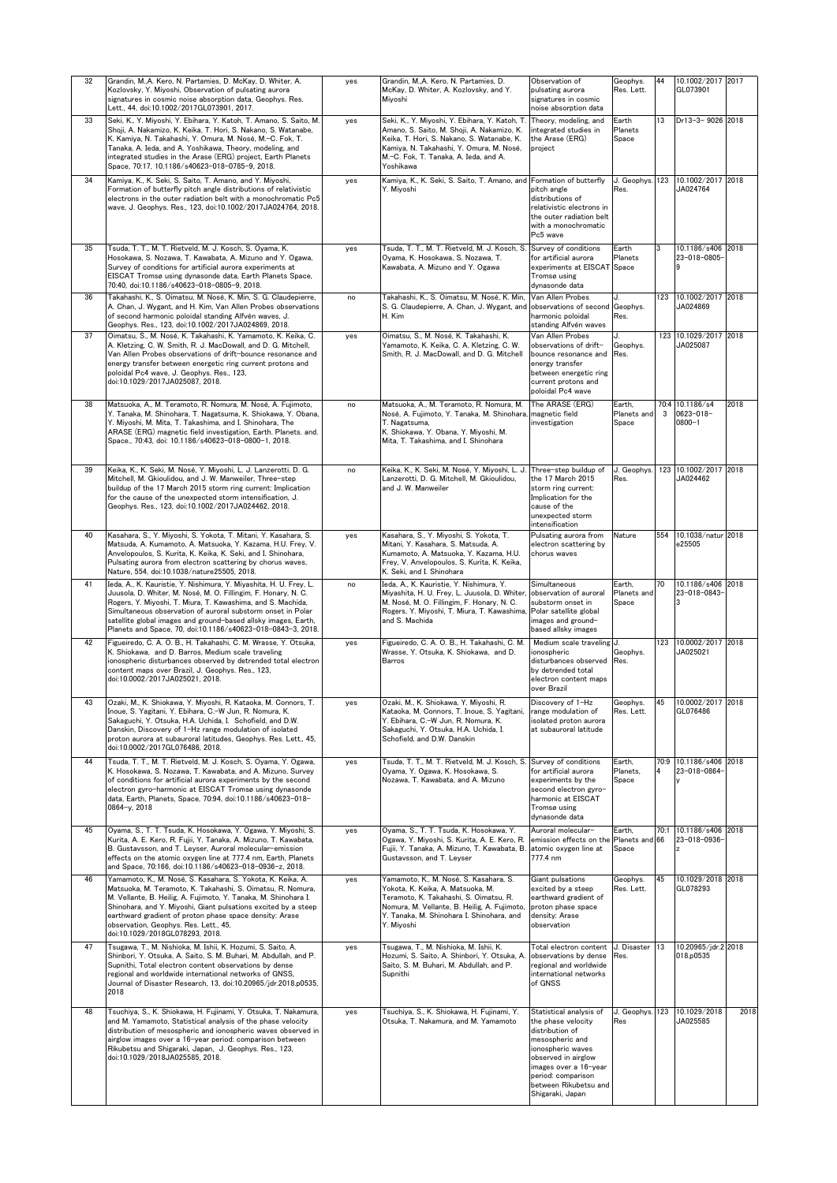| 32 | Grandin, M.,A. Kero, N. Partamies, D. McKay, D. Whiter, A.<br>Kozlovsky, Y. Miyoshi, Observation of pulsating aurora<br>signatures in cosmic noise absorption data, Geophys. Res.<br>Lett., 44, doi:10.1002/2017GL073901, 2017.                                                                                                                                                                        | yes | Grandin, M.,A. Kero, N. Partamies, D.<br>McKay, D. Whiter, A. Kozlovsky, and Y.<br>Miyoshi                                                                                                                                                   | Observation of<br>pulsating aurora<br>signatures in cosmic<br>noise absorption data                                                                                                                                         | Geophys.<br>Res. Lett.            | 44   | 10.1002/2017 2017<br>GL073901              |      |
|----|--------------------------------------------------------------------------------------------------------------------------------------------------------------------------------------------------------------------------------------------------------------------------------------------------------------------------------------------------------------------------------------------------------|-----|----------------------------------------------------------------------------------------------------------------------------------------------------------------------------------------------------------------------------------------------|-----------------------------------------------------------------------------------------------------------------------------------------------------------------------------------------------------------------------------|-----------------------------------|------|--------------------------------------------|------|
| 33 | Seki, K., Y. Miyoshi, Y. Ebihara, Y. Katoh, T. Amano, S. Saito, M.<br>Shoji, A. Nakamizo, K. Keika, T. Hori, S. Nakano, S. Watanabe,<br>K. Kamiya, N. Takahashi, Y. Omura, M. Nosé, M.-C. Fok, T.<br>Tanaka, A. Ieda, and A. Yoshikawa, Theory, modeling, and<br>integrated studies in the Arase (ERG) project, Earth Planets<br>Space, 70:17, 10.1186/s40623-018-0785-9, 2018.                        | yes | Seki, K., Y. Miyoshi, Y. Ebihara, Y. Katoh, T.<br>Amano, S. Saito, M. Shoji, A. Nakamizo, K.<br>Keika, T. Hori, S. Nakano, S. Watanabe, K.<br>Kamiya, N. Takahashi, Y. Omura, M. Nosé,<br>M.-C. Fok. T. Tanaka. A. Ieda. and A.<br>Yoshikawa | Theory, modeling, and<br>integrated studies in<br>the Arase (ERG)<br>project                                                                                                                                                | Earth<br>Planets<br>Space         | 13   | Dr13-3-9026 2018                           |      |
| 34 | Kamiya, K., K. Seki, S. Saito, T. Amano, and Y. Miyoshi,<br>Formation of butterfly pitch angle distributions of relativistic<br>electrons in the outer radiation belt with a monochromatic Pc5<br>wave, J. Geophys. Res., 123, doi:10.1002/2017JA024764, 2018.                                                                                                                                         | yes | Kamiya, K., K. Seki, S. Saito, T. Amano, and Formation of butterfly<br>Y. Miyoshi                                                                                                                                                            | pitch angle<br>distributions of<br>relativistic electrons in<br>the outer radiation belt<br>with a monochromatic<br>Pc5 wave                                                                                                | J. Geophys.<br>Res.               | 123  | 10.1002/2017 2018<br>JA024764              |      |
| 35 | Tsuda, T. T., M. T. Rietveld, M. J. Kosch, S. Oyama, K.<br>Hosokawa, S. Nozawa, T. Kawabata, A. Mizuno and Y. Ogawa,<br>Survey of conditions for artificial aurora experiments at<br>EISCAT Tromsø using dynasonde data, Earth Planets Space,<br>70:40, doi:10.1186/s40623-018-0805-9, 2018.                                                                                                           | yes | Tsuda, T. T., M. T. Rietveld, M. J. Kosch, S.<br>Oyama, K. Hosokawa, S. Nozawa, T.<br>Kawabata, A. Mizuno and Y. Ogawa                                                                                                                       | Survey of conditions<br>for artificial aurora<br>experiments at EISCAT Space<br>Tromsø using<br>dynasonde data                                                                                                              | Earth<br>Planets                  | 3    | 10.1186/s406<br>23-018-0805-               | 2018 |
| 36 | Takahashi, K., S. Oimatsu, M. Nosé, K. Min, S. G. Claudepierre,<br>A. Chan, J. Wygant, and H. Kim, Van Allen Probes observations<br>of second harmonic poloidal standing Alfvén waves, J.<br>Geophys. Res., 123, doi:10.1002/2017JA024869, 2018.                                                                                                                                                       | no  | Takahashi, K., S. Oimatsu, M. Nosé, K. Min,<br>S. G. Claudepierre, A. Chan, J. Wygant, and<br>H. Kim                                                                                                                                         | Van Allen Probes<br>observations of second Geophys.<br>harmonic poloidal<br>standing Alfvén waves                                                                                                                           | J.<br>Res.                        | 123  | 10.1002/2017 2018<br>JA024869              |      |
| 37 | Oimatsu, S., M. Nosé, K. Takahashi, K. Yamamoto, K. Keika, C.<br>A. Kletzing, C. W. Smith, R. J. MacDowall, and D. G. Mitchell,<br>Van Allen Probes observations of drift-bounce resonance and<br>energy transfer between energetic ring current protons and<br>poloidal Pc4 wave, J. Geophys. Res., 123,<br>doi:10.1029/2017JA025087, 2018.                                                           | yes | Oimatsu, S., M. Nosé, K. Takahashi, K.<br>Yamamoto, K. Keika, C. A. Kletzing, C. W.<br>Smith, R. J. MacDowall, and D. G. Mitchell                                                                                                            | Van Allen Probes<br>observations of drift-<br>bounce resonance and<br>energy transfer<br>between energetic ring<br>current protons and<br>poloidal Pc4 wave                                                                 | . 1<br>Geophys.<br>Res.           |      | 123 10.1029/2017 2018<br>JA025087          |      |
| 38 | Matsuoka, A., M. Teramoto, R. Nomura, M. Nosé, A. Fujimoto,<br>Y. Tanaka, M. Shinohara, T. Nagatsuma, K. Shiokawa, Y. Obana,<br>Y. Miyoshi, M. Mita, T. Takashima, and I. Shinohara, The<br>ARASE (ERG) magnetic field investigation. Earth, Planets, and.<br>Space., 70:43. doi: 10.1186/s40623-018-0800-1. 2018.                                                                                     | no  | Matsuoka, A., M. Teramoto, R. Nomura, M.<br>Nosé, A. Fujimoto, Y. Tanaka, M. Shinohara,<br>T. Nagatsuma,<br>K. Shiokawa, Y. Obana, Y. Miyoshi, M.<br>Mita, T. Takashima, and I. Shinohara                                                    | The ARASE (ERG)<br>magnetic field<br>investigation                                                                                                                                                                          | Earth,<br>Planets and<br>Space    | 3    | 70:4 10.1186/s4<br>0623-018-<br>$0800 - 1$ | 2018 |
| 39 | Keika, K., K. Seki, M. Nosé, Y. Miyoshi, L. J. Lanzerotti, D. G.<br>Mitchell, M. Gkioulidou, and J. W. Manweiler, Three-step<br>buildup of the 17 March 2015 storm ring current: Implication<br>for the cause of the unexpected storm intensification, J.<br>Geophys. Res., 123, doi:10.1002/2017JA024462, 2018.                                                                                       | no  | Keika, K., K. Seki, M. Nosé, Y. Mivoshi, L. J.<br>Lanzerotti, D. G. Mitchell, M. Gkioulidou,<br>and J. W. Manweiler                                                                                                                          | Three-step buildup of<br>the 17 March 2015<br>storm ring current:<br>Implication for the<br>cause of the<br>unexpected storm<br>intensification                                                                             | J. Geophys.<br>Res.               |      | 123 10.1002/2017 2018<br>JA024462          |      |
| 40 | Kasahara, S., Y. Miyoshi, S. Yokota, T. Mitani, Y. Kasahara, S.<br>Matsuda, A. Kumamoto, A. Matsuoka, Y. Kazama, H.U. Frey, V.<br>Anvelopoulos, S. Kurita, K. Keika, K. Seki, and I. Shinohara,<br>Pulsating aurora from electron scattering by chorus waves,<br>Nature, 554, doi:10.1038/nature25505, 2018.                                                                                           | yes | Kasahara, S., Y. Miyoshi, S. Yokota, T.<br>Mitani, Y. Kasahara, S. Matsuda, A.<br>Kumamoto, A. Matsuoka, Y. Kazama, H.U.<br>Frey, V. Anvelopoulos, S. Kurita, K. Keika,<br>K. Seki, and I. Shinohara                                         | Pulsating aurora from<br>electron scattering by<br>chorus waves                                                                                                                                                             | Nature                            | 554  | 10.1038/natur 2018<br>e25505               |      |
| 41 | Ieda, A., K. Kauristie, Y. Nishimura, Y. Miyashita, H. U. Frey, L.<br>Juusola, D. Whiter, M. Nosé, M. O. Fillingim, F. Honary, N. C.<br>Rogers, Y. Miyoshi, T. Miura, T. Kawashima, and S. Machida,<br>Simultaneous observation of auroral substorm onset in Polar<br>satellite global images and ground-based allsky images, Earth,<br>Planets and Space, 70, doi:10.1186/s40623-018-0843-3, 2018.    | no  | Ieda, A., K. Kauristie, Y. Nishimura, Y.<br>Miyashita, H. U. Frey, L. Juusola, D. Whiter, observation of auroral<br>M. Nosé, M. O. Fillingim, F. Honary, N. C.<br>Rogers, Y. Miyoshi, T. Miura, T. Kawashima,<br>and S. Machida              | Simultaneous<br>substorm onset in<br>Polar satellite global<br>images and ground-<br>based allsky images                                                                                                                    | Earth,<br>Planets and<br>Space    | 70   | 10.1186/s406<br>23-018-0843-               | 2018 |
| 42 | Figueiredo, C. A. O. B., H. Takahashi, C. M. Wrasse, Y. Otsuka,<br>K. Shiokawa, and D. Barros, Medium scale traveling<br>ionospheric disturbances observed by detrended total electron<br>content maps over Brazil, J. Geophys. Res., 123,<br>doi:10.0002/2017JA025021, 2018.                                                                                                                          | yes | Figueiredo, C. A. O. B., H. Takahashi, C. M.<br>Wrasse, Y. Otsuka, K. Shiokawa, and D.<br>Barros                                                                                                                                             | Medium scale traveling J.<br>ionospheric<br>disturbances observed<br>by detrended total<br>electron content maps<br>over Brazil                                                                                             | Geophys.<br>Res.                  | 123  | 10.0002/2017<br>JA025021                   | 2018 |
|    | Ozaki<br>Inoue, S. Yagitani, Y. Ebihara, C.-W Jun, R. Nomura, K.<br>Sakaguchi, Y. Otsuka, H.A. Uchida, I. Schofield, and D.W.<br>Danskin, Discovery of 1-Hz range modulation of isolated<br>proton aurora at subauroral latitudes, Geophys. Res. Lett., 45,<br>doi:10.0002/2017GL076486, 2018.                                                                                                         |     | D<br>Kataoka, M. Connors, T. Inoue, S. Yagitani, range modulation of<br>Y. Ebihara, C.-W Jun, R. Nomura, K.<br>Sakaguchi, Y. Otsuka, H.A. Uchida, I.<br>Schofield, and D.W. Danskin                                                          | Discovery of 1-Hz<br>isolated proton aurora<br>at subauroral latitude                                                                                                                                                       | Geophys.<br>Res. Lett.            | 45   | 10.0002/2017 2018<br>GL076486              |      |
| 44 | Tsuda, T. T., M. T. Rietveld, M. J. Kosch, S. Oyama, Y. Ogawa,<br>K. Hosokawa, S. Nozawa, T. Kawabata, and A. Mizuno, Survev<br>of conditions for artificial aurora experiments by the second<br>electron gyro-harmonic at EISCAT Tromsø using dynasonde<br>data, Earth, Planets, Space, 70:94, doi:10.1186/s40623-018-<br>$0864 - y$ , 2018                                                           | yes | Tsuda, T. T., M. T. Rietveld, M. J. Kosch, S. Survey of conditions<br>Oyama, Y. Ogawa, K. Hosokawa, S.<br>Nozawa, T. Kawabata, and A. Mizuno                                                                                                 | for artificial aurora<br>experiments by the<br>second electron gyro-<br>harmonic at EISCAT<br>Tromsø using<br>dynasonde data                                                                                                | Earth,<br>Planets,<br>Space       |      | 70:9 10.1186/s406<br>23-018-0864           | 2018 |
| 45 | Oyama, S., T. T. Tsuda, K. Hosokawa, Y. Ogawa, Y. Miyoshi, S.<br>Kurita, A. E. Kero, R. Fujii, Y. Tanaka, A. Mizuno, T. Kawabata,<br>B. Gustavsson, and T. Leyser, Auroral molecular-emission<br>effects on the atomic oxygen line at 777.4 nm, Earth, Planets<br>and Space, 70:166, doi:10.1186/s40623-018-0936-z, 2018.                                                                              | yes | Oyama, S., T. T. Tsuda, K. Hosokawa, Y.<br>Ogawa, Y. Miyoshi, S. Kurita, A. E. Kero, R.<br>Fujii, Y. Tanaka, A. Mizuno, T. Kawabata, B.<br>Gustavsson, and T. Leyser                                                                         | Auroral molecular-<br>emission effects on the<br>atomic oxygen line at<br>777.4 nm                                                                                                                                          | Earth,<br>Planets and 66<br>Space | 70:1 | 10.1186/s406 2018<br>23-018-0936-          |      |
| 46 | Yamamoto, K., M. Nosé, S. Kasahara, S. Yokota, K. Keika, A.<br>Matsuoka, M. Teramoto, K. Takahashi, S. Oimatsu, R. Nomura,<br>M. Vellante, B. Heilig, A. Fujimoto, Y. Tanaka, M. Shinohara I.<br>Shinohara, and Y. Miyoshi, Giant pulsations excited by a steep<br>earthward gradient of proton phase space density: Arase<br>observation, Geophys. Res. Lett., 45,<br>doi:10.1029/2018GL078293, 2018. | yes | Yamamoto, K., M. Nosé, S. Kasahara, S.<br>Yokota, K. Keika, A. Matsuoka, M.<br>Teramoto, K. Takahashi, S. Oimatsu, R.<br>Nomura, M. Vellante, B. Heilig, A. Fujimoto,<br>Y. Tanaka, M. Shinohara I. Shinohara, and<br>Y. Miyoshi             | Giant pulsations<br>excited by a steep<br>earthward gradient of<br>proton phase space<br>density: Arase<br>observation                                                                                                      | Geophys.<br>Res. Lett.            | 45   | 10.1029/2018 2018<br>GL078293              |      |
| 47 | Tsugawa, T., M. Nishioka, M. Ishii, K. Hozumi, S. Saito, A.<br>Shinbori, Y. Otsuka, A. Saito, S. M. Buhari, M. Abdullah, and P.<br>Supnithi, Total electron content observations by dense<br>regional and worldwide international networks of GNSS,<br>Journal of Disaster Research, 13, doi:10.20965/jdr.2018.p0535,<br>2018                                                                          | yes | Tsugawa, T., M. Nishioka, M. Ishii, K.<br>Hozumi, S. Saito, A. Shinbori, Y. Otsuka, A.<br>Saito, S. M. Buhari, M. Abdullah, and P.<br>Supnithi                                                                                               | Total electron content<br>observations by dense<br>egional and worldwide<br>international networks<br>of GNSS                                                                                                               | J. Disaster<br>Res.               | 13   | 10.20965/jdr.2 2018<br>018.p0535           |      |
| 48 | Tsuchiya, S., K. Shiokawa, H. Fujinami, Y. Otsuka, T. Nakamura,<br>and M. Yamamoto, Statistical analysis of the phase velocity<br>distribution of mesospheric and ionospheric waves observed in<br>airglow images over a 16-year period: comparison between<br>Rikubetsu and Shigaraki, Japan, J. Geophys. Res., 123,<br>doi:10.1029/2018JA025585, 2018.                                               | yes | Tsuchiya, S., K. Shiokawa, H. Fujinami, Y.<br>Otsuka, T. Nakamura, and M. Yamamoto                                                                                                                                                           | Statistical analysis of<br>the phase velocity<br>distribution of<br>mesospheric and<br>ionospheric waves<br>observed in airglow<br>images over a 16-year<br>period: comparison<br>between Rikubetsu and<br>Shigaraki, Japan | J. Geophys.<br>Res                | 123  | 10.1029/2018<br>JA025585                   | 2018 |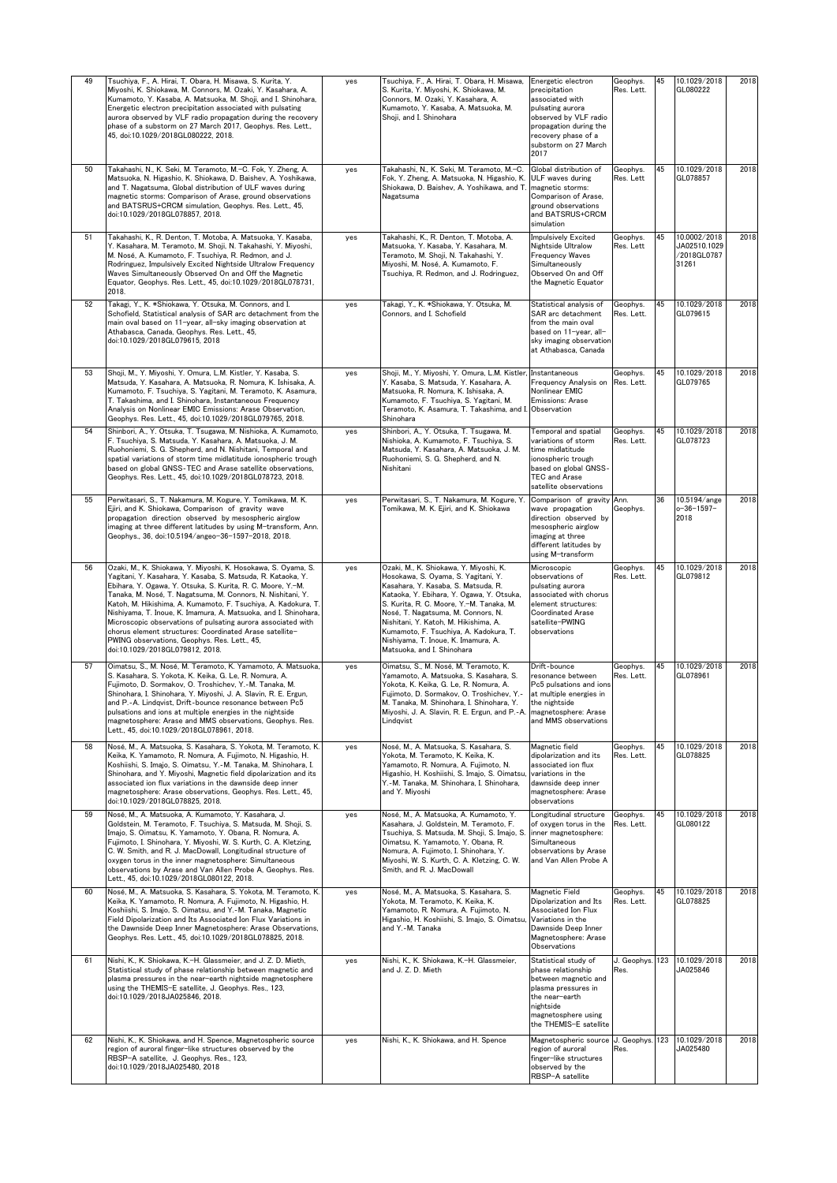| 49 | Tsuchiya, F., A. Hirai, T. Obara, H. Misawa, S. Kurita, Y.<br>Miyoshi, K. Shiokawa, M. Connors, M. Ozaki, Y. Kasahara, A.<br>Kumamoto, Y. Kasaba, A. Matsuoka, M. Shoji, and I. Shinohara,<br>Energetic electron precipitation associated with pulsating<br>aurora observed by VLF radio propagation during the recovery<br>phase of a substorm on 27 March 2017, Geophys. Res. Lett.,<br>45, doi:10.1029/2018GL080222, 2018.                                                                                                                                                                                  | yes | Tsuchiya, F., A. Hirai, T. Obara, H. Misawa,<br>S. Kurita, Y. Miyoshi, K. Shiokawa, M.<br>Connors, M. Ozaki, Y. Kasahara, A.<br>Kumamoto, Y. Kasaba, A. Matsuoka, M.<br>Shoii, and I. Shinohara                                                                                                                                                                                                             | Energetic electron<br>precipitation<br>associated with<br>pulsating aurora<br>observed by VLF radio<br>propagation during the<br>recovery phase of a<br>substorm on 27 March<br>2017 | Geophys.<br>Res. Lett. | 45  | 10.1029/2018<br>GL080222                             | 2018 |
|----|----------------------------------------------------------------------------------------------------------------------------------------------------------------------------------------------------------------------------------------------------------------------------------------------------------------------------------------------------------------------------------------------------------------------------------------------------------------------------------------------------------------------------------------------------------------------------------------------------------------|-----|-------------------------------------------------------------------------------------------------------------------------------------------------------------------------------------------------------------------------------------------------------------------------------------------------------------------------------------------------------------------------------------------------------------|--------------------------------------------------------------------------------------------------------------------------------------------------------------------------------------|------------------------|-----|------------------------------------------------------|------|
| 50 | Takahashi, N., K. Seki, M. Teramoto, M.-C. Fok, Y. Zheng, A.<br>Matsuoka, N. Higashio, K. Shiokawa, D. Baishev, A. Yoshikawa,<br>and T. Nagatsuma, Global distribution of ULF waves during<br>magnetic storms: Comparison of Arase, ground observations<br>and BATSRUS+CRCM simulation, Geophys. Res. Lett., 45,<br>doi:10.1029/2018GL078857, 2018.                                                                                                                                                                                                                                                            | yes | Takahashi, N., K. Seki, M. Teramoto, M.-C.<br>Fok, Y. Zheng, A. Matsuoka, N. Higashio, K.<br>Shiokawa, D. Baishev, A. Yoshikawa, and T.<br>Nagatsuma                                                                                                                                                                                                                                                        | Global distribution of<br>ULF waves during<br>magnetic storms:<br>Comparison of Arase,<br>ground observations<br>and BATSRUS+CRCM<br>simulation                                      | Geophys.<br>Res. Lett  | 45  | 10.1029/2018<br>GL078857                             | 2018 |
| 51 | Takahashi, K., R. Denton, T. Motoba, A. Matsuoka, Y. Kasaba,<br>Y. Kasahara, M. Teramoto, M. Shoji, N. Takahashi, Y. Miyoshi,<br>M. Nosé, A. Kumamoto, F. Tsuchiya, R. Redmon, and J.<br>Rodringuez, Impulsively Excited Nightside Ultralow Frequency<br>Waves Simultaneously Observed On and Off the Magnetic<br>Equator, Geophys. Res. Lett., 45, doi:10.1029/2018GL078731,<br>2018.                                                                                                                                                                                                                         | yes | Takahashi, K., R. Denton, T. Motoba, A.<br>Matsuoka, Y. Kasaba, Y. Kasahara, M.<br>Teramoto, M. Shoji, N. Takahashi, Y.<br>Miyoshi, M. Nosé, A. Kumamoto, F.<br>Tsuchiya, R. Redmon, and J. Rodringuez,                                                                                                                                                                                                     | Impulsively Excited<br>Nightside Ultralow<br><b>Frequency Waves</b><br>Simultaneously<br>Observed On and Off<br>the Magnetic Equator                                                 | Geophys.<br>Res. Lett  | 45  | 10.0002/2018<br>JA02510.1029<br>/2018GL0787<br>31261 | 2018 |
| 52 | Takagi, Y., K. *Shiokawa, Y. Otsuka, M. Connors, and I.<br>Schofield, Statistical analysis of SAR arc detachment from the<br>main oval based on 11-year, all-sky imaging observation at<br>Athabasca, Canada, Geophys. Res. Lett., 45,<br>doi:10.1029/2018GL079615, 2018                                                                                                                                                                                                                                                                                                                                       | yes | Takagi, Y., K. *Shiokawa, Y. Otsuka, M.<br>Connors, and I. Schofield                                                                                                                                                                                                                                                                                                                                        | Statistical analysis of<br>SAR arc detachment<br>from the main oval<br>based on 11-year, all-<br>sky imaging observation<br>at Athabasca, Canada                                     | Geophys.<br>Res. Lett. | 45  | 10.1029/2018<br>GL079615                             | 2018 |
| 53 | Shoji, M., Y. Miyoshi, Y. Omura, L.M. Kistler, Y. Kasaba, S.<br>Matsuda, Y. Kasahara, A. Matsuoka, R. Nomura, K. Ishisaka, A.<br>Kumamoto, F. Tsuchiva, S. Yagitani, M. Teramoto, K. Asamura,<br>T. Takashima, and I. Shinohara, Instantaneous Frequency<br>Analysis on Nonlinear EMIC Emissions: Arase Observation,<br>Geophys. Res. Lett., 45, doi:10.1029/2018GL079765, 2018.                                                                                                                                                                                                                               | yes | Shoji, M., Y. Miyoshi, Y. Omura, L.M. Kistler, Instantaneous<br>Y. Kasaba, S. Matsuda, Y. Kasahara, A.<br>Matsuoka, R. Nomura, K. Ishisaka, A.<br>Kumamoto, F. Tsuchiya, S. Yagitani, M.<br>Teramoto, K. Asamura, T. Takashima, and I. Observation<br>Shinohara                                                                                                                                             | Frequency Analysis on<br>Nonlinear EMIC<br>Emissions: Arase                                                                                                                          | Geophys.<br>Res. Lett. | 45  | 10.1029/2018<br>GL079765                             | 2018 |
| 54 | Shinbori, A., Y. Otsuka, T. Tsugawa, M. Nishioka, A. Kumamoto,<br>F. Tsuchiya, S. Matsuda, Y. Kasahara, A. Matsuoka, J. M.<br>Ruohoniemi, S. G. Shepherd, and N. Nishitani, Temporal and<br>spatial variations of storm time midlatitude ionospheric trough<br>based on global GNSS-TEC and Arase satellite observations,<br>Geophys. Res. Lett., 45, doi:10.1029/2018GL078723, 2018.                                                                                                                                                                                                                          | yes | Shinbori, A., Y. Otsuka, T. Tsugawa, M.<br>Nishioka, A. Kumamoto, F. Tsuchiya, S.<br>Matsuda, Y. Kasahara, A. Matsuoka, J. M.<br>Ruohoniemi, S. G. Shepherd, and N.<br>Nishitani                                                                                                                                                                                                                            | Temporal and spatial<br>variations of storm<br>time midlatitude<br>ionospheric trough<br>based on global GNSS-<br><b>TEC and Arase</b><br>satellite observations                     | Geophys.<br>Res. Lett. | 45  | 10.1029/2018<br>GL078723                             | 2018 |
| 55 | Perwitasari, S., T. Nakamura, M. Kogure, Y. Tomikawa, M. K.<br>Ejiri, and K. Shiokawa, Comparison of gravity wave<br>propagation direction observed by mesospheric airglow<br>imaging at three different latitudes by using M-transform, Ann.<br>Geophys., 36, doi:10.5194/angeo-36-1597-2018, 2018.                                                                                                                                                                                                                                                                                                           | yes | Perwitasari, S., T. Nakamura, M. Kogure, Y.<br>Tomikawa, M. K. Ejiri, and K. Shiokawa                                                                                                                                                                                                                                                                                                                       | Comparison of gravity<br>wave propagation<br>direction observed by<br>mesospheric airglow<br>imaging at three<br>different latitudes by<br>using M-transform                         | Ann.<br>Geophys.       | 36  | 10.5194/ange<br>o-36-1597-<br>2018                   | 2018 |
| 56 | Ozaki, M., K. Shiokawa, Y. Miyoshi, K. Hosokawa, S. Oyama, S.<br>Yagitani, Y. Kasahara, Y. Kasaba, S. Matsuda, R. Kataoka, Y.<br>Ebihara, Y. Ogawa, Y. Otsuka, S. Kurita, R. C. Moore, Y.-M.<br>Tanaka, M. Nosé, T. Nagatsuma, M. Connors, N. Nishitani, Y.<br>Katoh, M. Hikishima, A. Kumamoto, F. Tsuchiya, A. Kadokura, T.<br>Nishiyama, T. Inoue, K. Imamura, A. Matsuoka, and I. Shinohara,<br>Microscopic observations of pulsating aurora associated with<br>chorus element structures: Coordinated Arase satellite-<br>PWING observations, Geophys. Res. Lett., 45,<br>doi:10.1029/2018GL079812, 2018. | yes | Ozaki, M., K. Shiokawa, Y. Miyoshi, K.<br>Hosokawa, S. Oyama, S. Yagitani, Y.<br>Kasahara, Y. Kasaba, S. Matsuda, R.<br>Kataoka, Y. Ebihara, Y. Ogawa, Y. Otsuka,<br>S. Kurita, R. C. Moore, Y.-M. Tanaka, M.<br>Nosé, T. Nagatsuma, M. Connors, N.<br>Nishitani, Y. Katoh, M. Hikishima, A.<br>Kumamoto, F. Tsuchiya, A. Kadokura, T.<br>Nishiyama, T. Inoue, K. Imamura, A.<br>Matsuoka, and I. Shinohara | Microscopic<br>observations of<br>pulsating aurora<br>associated with chorus<br>element structures:<br><b>Coordinated Arase</b><br>satellite-PWING<br>observations                   | Geophys.<br>Res. Lett. | 45  | 10.1029/2018<br>GL079812                             | 2018 |
| 57 | Oimatsu, S., M. Nosé, M. Teramoto, K. Yamamoto, A. Matsuoka,<br>S. Kasahara, S. Yokota, K. Keika, G. Le, R. Nomura, A.<br>Fujimoto, D. Sormakov, O. Troshichev, Y.-M. Tanaka, M.<br>Shinohara, I. Shinohara, Y. Miyoshi, J. A. Slavin, R. E. Ergun,<br>and P.-A. Lindqvist, Drift-bounce resonance between Pc5<br>pulsations and ions at multiple energies in the nightside<br>magnetosphere: Arase and MMS observations, Geophys. Res.<br>Lett., 45, doi:10.1029/2018GL078961, 2018.                                                                                                                          | yes | Oimatsu, S., M. Nosé, M. Teramoto, K.<br>Yamamoto, A. Matsuoka, S. Kasahara, S.<br>Yokota, K. Keika, G. Le, R. Nomura, A.<br>Fujimoto, D. Sormakov, O. Troshichev, Y.-<br>A. Tanaka, M. Shinohara, I. Shinohara, Y.<br>Miyoshi, J. A. Slavin, R. E. Ergun, and P.-A. magnetosphere: Arase<br>Lindqvist                                                                                                      | Drift-bounce<br>resonance between<br>Pc5 pulsations and ions<br>at multiple energies in<br>the nightside<br>and MMS observations                                                     | Geophys.<br>Res. Lett. | 45  | 10.1029/2018<br>GL078961                             | 2018 |
| 58 | Nosé, M., A. Matsuoka, S. Kasahara, S. Yokota, M. Teramoto, K<br>Keika, K. Yamamoto, R. Nomura, A. Fuiimoto, N. Higashio, H.<br>Koshiishi, S. Imajo, S. Oimatsu, Y.-M. Tanaka, M. Shinohara, I.<br>Shinohara, and Y. Miyoshi, Magnetic field dipolarization and its<br>associated ion flux variations in the dawnside deep inner<br>magnetosphere: Arase observations, Geophys. Res. Lett., 45,<br>doi:10.1029/2018GL078825, 2018.                                                                                                                                                                             | yes | Nosé, M., A. Matsuoka, S. Kasahara, S.<br>Yokota, M. Teramoto, K. Keika, K.<br>Yamamoto, R. Nomura, A. Fujimoto, N.<br>Higashio, H. Koshiishi, S. Imajo, S. Oimatsu,<br>Y.-M. Tanaka, M. Shinohara, I. Shinohara,<br>and Y. Miyoshi                                                                                                                                                                         | Magnetic field<br>dipolarization and its<br>associated ion flux<br>variations in the<br>dawnside deep inner<br>magnetosphere: Arase<br>observations                                  | Geophys.<br>Res. Lett. | 45  | 10.1029/2018<br>GL078825                             | 2018 |
| 59 | Nosé, M., A. Matsuoka, A. Kumamoto, Y. Kasahara, J.<br>Goldstein, M. Teramoto, F. Tsuchiya, S. Matsuda, M. Shoji, S.<br>Imajo, S. Oimatsu, K. Yamamoto, Y. Obana, R. Nomura, A.<br>Fujimoto, I. Shinohara, Y. Miyoshi, W. S. Kurth, C. A. Kletzing,<br>C. W. Smith, and R. J. MacDowall, Longitudinal structure of<br>oxygen torus in the inner magnetosphere: Simultaneous<br>observations by Arase and Van Allen Probe A, Geophys. Res.<br>Lett., 45, doi:10.1029/2018GL080122, 2018.                                                                                                                        | yes | Nosé, M., A. Matsuoka, A. Kumamoto, Y.<br>Kasahara, J. Goldstein, M. Teramoto, F.<br>Tsuchiya, S. Matsuda, M. Shoji, S. Imajo, S.<br>Oimatsu, K. Yamamoto, Y. Obana, R.<br>Nomura, A. Fujimoto, I. Shinohara, Y.<br>Miyoshi, W. S. Kurth, C. A. Kletzing, C. W.<br>Smith, and R. J. MacDowall                                                                                                               | ongitudinal structure.<br>of oxygen torus in the<br>inner magnetosphere:<br>Simultaneous<br>observations by Arase<br>and Van Allen Probe A                                           | Geophys.<br>Res. Lett. | 45  | 10.1029/2018<br>GL080122                             | 2018 |
| 60 | Nosé, M., A. Matsuoka, S. Kasahara, S. Yokota, M. Teramoto, K.<br>Keika, K. Yamamoto, R. Nomura, A. Fujimoto, N. Higashio, H.<br>Koshiishi, S. Imajo, S. Oimatsu, and Y.-M. Tanaka, Magnetic<br>Field Dipolarization and Its Associated Ion Flux Variations in<br>the Dawnside Deep Inner Magnetosphere: Arase Observations,<br>Geophys. Res. Lett., 45, doi:10.1029/2018GL078825, 2018.                                                                                                                                                                                                                       | yes | Nosé, M., A. Matsuoka, S. Kasahara, S.<br>Yokota, M. Teramoto, K. Keika, K.<br>Yamamoto, R. Nomura, A. Fujimoto, N.<br>Higashio, H. Koshiishi, S. Imajo, S. Oimatsu, Variations in the<br>and Y.-M. Tanaka                                                                                                                                                                                                  | Magnetic Field<br>Dipolarization and Its<br>Associated Ion Flux<br>Dawnside Deep Inner<br>Magnetosphere: Arase<br>Observations                                                       | Geophys.<br>Res. Lett. | 45  | 10.1029/2018<br>GL078825                             | 2018 |
| 61 | Nishi, K., K. Shiokawa, K.-H. Glassmeier, and J. Z. D. Mieth,<br>Statistical study of phase relationship between magnetic and<br>plasma pressures in the near-earth nightside magnetosphere<br>using the THEMIS-E satellite, J. Geophys. Res., 123,<br>doi:10.1029/2018JA025846, 2018.                                                                                                                                                                                                                                                                                                                         | yes | Nishi, K., K. Shiokawa, K.-H. Glassmeier,<br>and J. Z. D. Mieth                                                                                                                                                                                                                                                                                                                                             | Statistical study of<br>phase relationship<br>between magnetic and<br>plasma pressures in<br>the near-earth<br>nightside<br>magnetosphere using<br>the THEMIS-E satellite            | J. Geophys<br>Res.     | 123 | 10.1029/2018<br>JA025846                             | 2018 |
| 62 | Nishi, K., K. Shiokawa, and H. Spence, Magnetospheric source<br>region of auroral finger-like structures observed by the<br>RBSP-A satellite, J. Geophys. Res., 123,<br>doi:10.1029/2018JA025480, 2018                                                                                                                                                                                                                                                                                                                                                                                                         | yes | Nishi, K., K. Shiokawa, and H. Spence                                                                                                                                                                                                                                                                                                                                                                       | Magnetospheric source<br>region of auroral<br>finger-like structures<br>observed by the<br>RBSP-A satellite                                                                          | J. Geophys<br>Res.     | 123 | 10.1029/2018<br>JA025480                             | 2018 |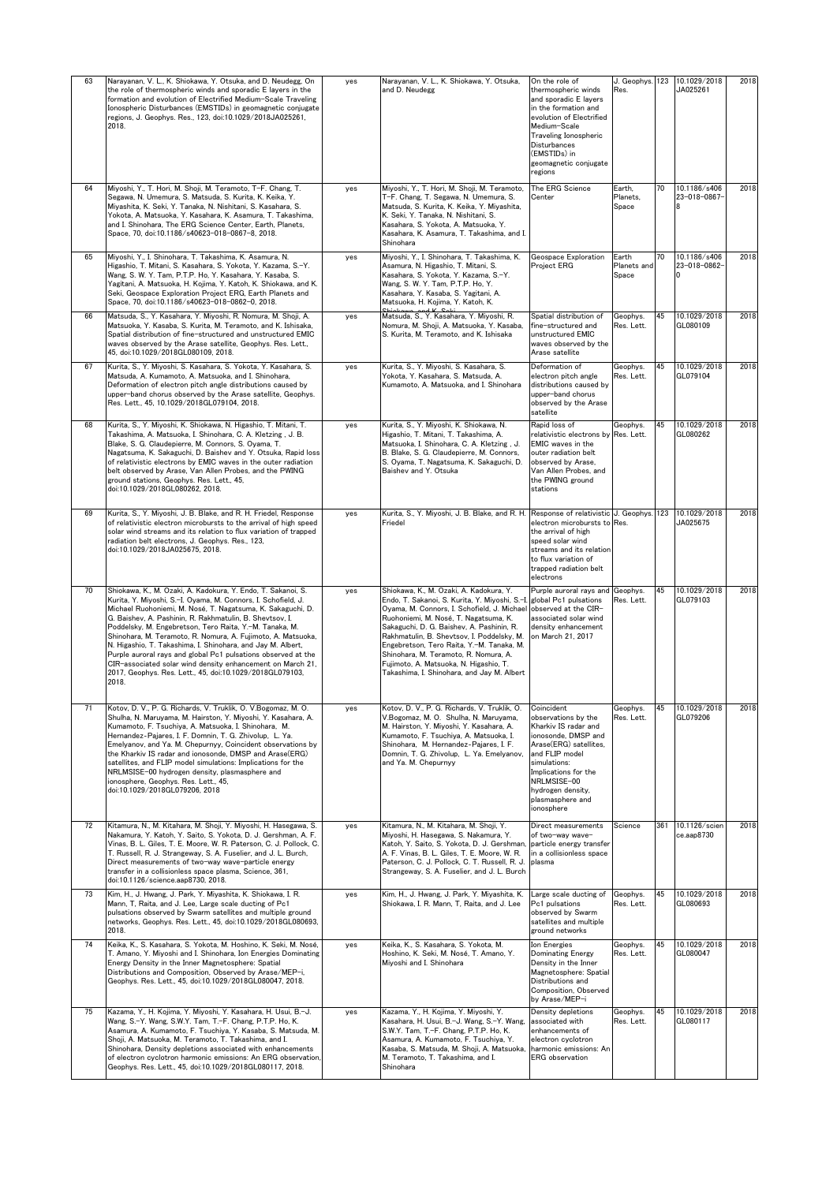| 63 | Narayanan, V. L., K. Shiokawa, Y. Otsuka, and D. Neudegg, On<br>the role of thermospheric winds and sporadic E layers in the<br>formation and evolution of Electrified Medium-Scale Traveling<br>Ionospheric Disturbances (EMSTIDs) in geomagnetic conjugate<br>regions, J. Geophys. Res., 123, doi:10.1029/2018JA025261,<br>2018.                                                                                                                                                                                                                                                                                                                     | yes | Narayanan, V. L., K. Shiokawa, Y. Otsuka,<br>and D. Neudegg                                                                                                                                                                                                                                                                                                                                                                                                                      | On the role of<br>thermospheric winds<br>and sporadic E layers<br>in the formation and<br>evolution of Electrified<br>Medium-Scale<br>Traveling Ionospheric<br>Disturbances<br>(EMSTIDs) in<br>geomagnetic conjugate<br>regions            | J. Geophys.<br>Res.           | 123 | 10.1029/2018<br>JA025261     | 2018 |
|----|--------------------------------------------------------------------------------------------------------------------------------------------------------------------------------------------------------------------------------------------------------------------------------------------------------------------------------------------------------------------------------------------------------------------------------------------------------------------------------------------------------------------------------------------------------------------------------------------------------------------------------------------------------|-----|----------------------------------------------------------------------------------------------------------------------------------------------------------------------------------------------------------------------------------------------------------------------------------------------------------------------------------------------------------------------------------------------------------------------------------------------------------------------------------|--------------------------------------------------------------------------------------------------------------------------------------------------------------------------------------------------------------------------------------------|-------------------------------|-----|------------------------------|------|
| 64 | Miyoshi, Y., T. Hori, M. Shoji, M. Teramoto, T-F. Chang, T.<br>Segawa, N. Umemura, S. Matsuda, S. Kurita, K. Keika, Y.<br>Miyashita, K. Seki, Y. Tanaka, N. Nishitani, S. Kasahara, S.<br>Yokota, A. Matsuoka, Y. Kasahara, K. Asamura, T. Takashima,<br>and I. Shinohara, The ERG Science Center, Earth, Planets,<br>Space, 70, doi:10.1186/s40623-018-0867-8, 2018.                                                                                                                                                                                                                                                                                  | yes | Miyoshi, Y., T. Hori, M. Shoji, M. Teramoto,<br>T-F. Chang, T. Segawa, N. Umemura, S.<br>Matsuda, S. Kurita, K. Keika, Y. Miyashita,<br>K. Seki, Y. Tanaka, N. Nishitani, S.<br>Kasahara, S. Yokota, A. Matsuoka, Y.<br>Kasahara, K. Asamura, T. Takashima, and I.<br>Shinohara                                                                                                                                                                                                  | The ERG Science<br>Center                                                                                                                                                                                                                  | Earth.<br>Planets,<br>Space   | 70  | 10.1186/s406<br>23-018-0867- | 2018 |
| 65 | Miyoshi, Y., I. Shinohara, T. Takashima, K. Asamura, N.<br>Higashio, T. Mitani, S. Kasahara, S. Yokota, Y. Kazama, S.-Y.<br>Wang, S. W. Y. Tam, P.T.P. Ho, Y. Kasahara, Y. Kasaba, S.<br>Yagitani, A. Matsuoka, H. Kojima, Y. Katoh, K. Shiokawa, and K.<br>Seki, Geospace Exploration Project ERG, Earth Planets and<br>Space, 70, doi:10.1186/s40623-018-0862-0, 2018.                                                                                                                                                                                                                                                                               | yes | Miyoshi, Y., I. Shinohara, T. Takashima, K.<br>Asamura, N. Higashio, T. Mitani, S.<br>Kasahara, S. Yokota, Y. Kazama, S.-Y.<br>Wang, S. W. Y. Tam, P.T.P. Ho, Y.<br>Kasahara, Y. Kasaba, S. Yagitani, A.<br>Matsuoka, H. Kojima, Y. Katoh, K.                                                                                                                                                                                                                                    | Geospace Exploration<br><b>Project ERG</b>                                                                                                                                                                                                 | Earth<br>Planets and<br>Space | 70  | 10.1186/s406<br>23-018-0862- | 2018 |
| 66 | Matsuda, S., Y. Kasahara, Y. Miyoshi, R. Nomura, M. Shoji, A.<br>Matsuoka, Y. Kasaba, S. Kurita, M. Teramoto, and K. Ishisaka,<br>Spatial distribution of fine-structured and unstructured EMIC<br>waves observed by the Arase satellite, Geophys. Res. Lett.,<br>45, doi:10.1029/2018GL080109, 2018.                                                                                                                                                                                                                                                                                                                                                  | yes | Matsuda, S., Y. Kasahara, Y. Miyoshi, R.<br>Nomura, M. Shoji, A. Matsuoka, Y. Kasaba,<br>S. Kurita, M. Teramoto, and K. Ishisaka                                                                                                                                                                                                                                                                                                                                                 | Spatial distribution of<br>fine-structured and<br>unstructured EMIC<br>waves observed by the<br>Arase satellite                                                                                                                            | Geophys.<br>Res. Lett.        | 45  | 10.1029/2018<br>GL080109     | 2018 |
| 67 | Kurita, S., Y. Miyoshi, S. Kasahara, S. Yokota, Y. Kasahara, S.<br>Matsuda, A. Kumamoto, A. Matsuoka, and I. Shinohara,<br>Deformation of electron pitch angle distributions caused by<br>upper-band chorus observed by the Arase satellite, Geophys.<br>Res. Lett., 45, 10.1029/2018GL079104, 2018.                                                                                                                                                                                                                                                                                                                                                   | yes | Kurita, S., Y. Miyoshi, S. Kasahara, S.<br>Yokota, Y. Kasahara, S. Matsuda, A.<br>Kumamoto, A. Matsuoka, and I. Shinohara                                                                                                                                                                                                                                                                                                                                                        | Deformation of<br>electron pitch angle<br>distributions caused by<br>upper-band chorus<br>observed by the Arase<br>satellite                                                                                                               | Geophys.<br>Res. Lett.        | 45  | 10.1029/2018<br>GL079104     | 2018 |
| 68 | Kurita, S., Y. Miyoshi, K. Shiokawa, N. Higashio, T. Mitani, T.<br>Takashima, A. Matsuoka, I. Shinohara, C. A. Kletzing, J. B.<br>Blake, S. G. Claudepierre, M. Connors, S. Oyama, T.<br>Nagatsuma, K. Sakaguchi, D. Baishev and Y. Otsuka, Rapid loss<br>of relativistic electrons by EMIC waves in the outer radiation<br>belt observed by Arase, Van Allen Probes, and the PWING<br>ground stations, Geophys. Res. Lett., 45,<br>doi:10.1029/2018GL080262, 2018.                                                                                                                                                                                    | yes | Kurita, S., Y. Miyoshi, K. Shiokawa, N.<br>Higashio, T. Mitani, T. Takashima, A.<br>Matsuoka, I. Shinohara, C. A. Kletzing, J.<br>B. Blake, S. G. Claudepierre, M. Connors,<br>S. Oyama, T. Nagatsuma, K. Sakaguchi, D.<br>Baishev and Y. Otsuka                                                                                                                                                                                                                                 | Rapid loss of<br>relativistic electrons by<br>EMIC waves in the<br>outer radiation belt<br>observed by Arase,<br>Van Allen Probes, and<br>the PWING ground<br>stations                                                                     | Geophys.<br>Res. Lett.        | 45  | 10.1029/2018<br>GL080262     | 2018 |
| 69 | Kurita, S., Y. Miyoshi, J. B. Blake, and R. H. Friedel, Response<br>of relativistic electron microbursts to the arrival of high speed<br>solar wind streams and its relation to flux variation of trapped<br>radiation belt electrons, J. Geophys. Res., 123,<br>doi:10.1029/2018JA025675, 2018.                                                                                                                                                                                                                                                                                                                                                       | yes | Kurita, S., Y. Miyoshi, J. B. Blake, and R. H. Response of relativistic J. Geophys<br>Friedel                                                                                                                                                                                                                                                                                                                                                                                    | electron microbursts to Res.<br>the arrival of high<br>speed solar wind<br>streams and its relation<br>to flux variation of<br>trapped radiation belt<br>electrons                                                                         |                               | 123 | 10.1029/2018<br>JA025675     | 2018 |
| 70 | Shiokawa, K., M. Ozaki, A. Kadokura, Y. Endo, T. Sakanoi, S.<br>Kurita, Y. Miyoshi, S.-I. Oyama, M. Connors, I. Schofield, J.<br>Michael Ruohoniemi, M. Nosé, T. Nagatsuma, K. Sakaguchi, D.<br>G. Baishev, A. Pashinin, R. Rakhmatulin, B. Shevtsov, I.<br>Poddelsky, M. Engebretson, Tero Raita, Y.-M. Tanaka, M.<br>Shinohara, M. Teramoto, R. Nomura, A. Fujimoto, A. Matsuoka,<br>N. Higashio, T. Takashima, I. Shinohara, and Jav M. Albert,<br>Purple auroral rays and global Pc1 pulsations observed at the<br>CIR-associated solar wind density enhancement on March 21,<br>2017, Geophys. Res. Lett., 45, doi:10.1029/2018GL079103,<br>2018. | yes | Shiokawa, K., M. Ozaki, A. Kadokura, Y.<br>Endo, T. Sakanoi, S. Kurita, Y. Miyoshi, S.-I.<br>Oyama, M. Connors, I. Schofield, J. Michael lobserved at the CIR-<br>Ruohoniemi, M. Nosé, T. Nagatsuma, K.<br>Sakaguchi, D. G. Baishev, A. Pashinin, R.<br>Rakhmatulin, B. Shevtsov, I. Poddelsky, M.<br>Engebretson, Tero Raita, Y.-M. Tanaka, M.<br>Shinohara, M. Teramoto, R. Nomura, A.<br>Fujimoto, A. Matsuoka, N. Higashio, T.<br>Takashima, I. Shinohara, and Jay M. Albert | Purple auroral rays and<br>global Pc1 pulsations<br>associated solar wind<br>density enhancement<br>on March 21, 2017                                                                                                                      | Geophys.<br>Res. Lett.        | 45  | 10.1029/2018<br>GL079103     | 2018 |
| 71 | Kotov, D. V., P. G. Richards, V. Truklik, O. V.Bogomaz, M. O.<br>Shulha, N. Maruyama, M. Hairston, Y. Miyoshi, Y. Kasahara, A.<br>Kumamoto, F. Tsuchiya, A. Matsuoka, I. Shinohara, M.<br>Hernandez-Pajares, I. F. Domnin, T. G. Zhivolup, L. Ya.<br>Emelyanov, and Ya. M. Chepurnyy, Coincident observations by<br>the Kharkiv IS radar and ionosonde, DMSP and Arase(ERG)<br>satellites, and FLIP model simulations; Implications for the<br>NRLMSISE-00 hydrogen density, plasmasphere and<br>ionosphere, Geophys. Res. Lett., 45,<br>doi:10.1029/2018GL079206, 2018                                                                                | yes | Kotov, D. V., P. G. Richards, V. Truklik, O.<br>V.Bogomaz, M. O. Shulha, N. Maruyama,<br>M. Hairston, Y. Miyoshi, Y. Kasahara, A.<br>Kumamoto, F. Tsuchiya, A. Matsuoka, I.<br>Shinohara, M. Hernandez-Pajares, I. F.<br>Domnin, T. G. Zhivolup, L. Ya. Emelyanov,<br>and Ya, M. Chepurnyy                                                                                                                                                                                       | Coincident<br>observations by the<br>Kharkiv IS radar and<br>ionosonde, DMSP and<br>Arase(ERG) satellites,<br>and FLIP model<br>simulations:<br>Implications for the<br>NRLMSISE-00<br>hydrogen density,<br>plasmasphere and<br>ionosphere | Geophys.<br>Res. Lett.        | 45  | 10.1029/2018<br>GL079206     | 2018 |
| 72 | Kitamura, N., M. Kitahara, M. Shoji, Y. Miyoshi, H. Hasegawa, S.<br>Nakamura, Y. Katoh, Y. Saito, S. Yokota, D. J. Gershman, A. F.<br>Vinas, B. L. Giles, T. E. Moore, W. R. Paterson, C. J. Pollock, C.<br>T. Russell, R. J. Strangeway, S. A. Fuselier, and J. L. Burch,<br>Direct measurements of two-way wave-particle energy<br>transfer in a collisionless space plasma, Science, 361,<br>doi:10.1126/science.aap8730, 2018.                                                                                                                                                                                                                     | yes | Kitamura, N., M. Kitahara, M. Shoji, Y.<br>Mivoshi, H. Hasegawa, S. Nakamura, Y.<br>Katoh, Y. Saito, S. Yokota, D. J. Gershman, particle energy transfer<br>A. F. Vinas, B. L. Giles, T. E. Moore, W. R.<br>Paterson, C. J. Pollock, C. T. Russell, R. J.<br>Strangeway, S. A. Fuselier, and J. L. Burch                                                                                                                                                                         | Direct measurements<br>of two-way wave-<br>in a collisionless space<br>plasma                                                                                                                                                              | Science                       | 361 | 10.1126/scien<br>ce.aap8730  | 2018 |
| 73 | Kim, H., J. Hwang, J. Park, Y. Miyashita, K. Shiokawa, I. R.<br>Mann, T, Raita, and J. Lee, Large scale ducting of Pc1<br>pulsations observed by Swarm satellites and multiple ground<br>networks, Geophys. Res. Lett., 45, doi:10.1029/2018GL080693,<br>2018.                                                                                                                                                                                                                                                                                                                                                                                         | yes | Kim, H., J. Hwang, J. Park, Y. Miyashita, K.<br>Shiokawa, I. R. Mann, T, Raita, and J. Lee                                                                                                                                                                                                                                                                                                                                                                                       | Large scale ducting of<br>Pc1 pulsations<br>observed by Swarm<br>satellites and multiple<br>ground networks                                                                                                                                | Geophys.<br>Res. Lett.        | 45  | 10.1029/2018<br>GL080693     | 2018 |
| 74 | Keika, K., S. Kasahara, S. Yokota, M. Hoshino, K. Seki, M. Nosé,<br>T. Amano, Y. Miyoshi and I. Shinohara, Ion Energies Dominating<br>Energy Density in the Inner Magnetosphere: Spatial<br>Distributions and Composition, Observed by Arase/MEP-i,<br>Geophys. Res. Lett., 45, doi:10.1029/2018GL080047, 2018.                                                                                                                                                                                                                                                                                                                                        | yes | Keika, K., S. Kasahara, S. Yokota, M.<br>Hoshino, K. Seki, M. Nosé, T. Amano, Y.<br>Miyoshi and I. Shinohara                                                                                                                                                                                                                                                                                                                                                                     | Ion Energies<br><b>Dominating Energy</b><br>Density in the Inner<br>Magnetosphere: Spatial<br>Distributions and<br>Composition, Observed<br>by Arase/MEP-i                                                                                 | Geophys.<br>Res. Lett.        | 45  | 10.1029/2018<br>GL080047     | 2018 |
| 75 | Kazama, Y., H. Kojima, Y. Miyoshi, Y. Kasahara, H. Usui, B.-J.<br>Wang, S.-Y. Wang, S.W.Y. Tam, T.-F. Chang, P.T.P. Ho, K.<br>Asamura, A. Kumamoto, F. Tsuchiya, Y. Kasaba, S. Matsuda, M.<br>Shoji, A. Matsuoka, M. Teramoto, T. Takashima, and I.<br>Shinohara, Density depletions associated with enhancements<br>of electron cyclotron harmonic emissions: An ERG observation<br>Geophys. Res. Lett., 45, doi:10.1029/2018GL080117, 2018.                                                                                                                                                                                                          | yes | Kazama, Y., H. Kojima, Y. Miyoshi, Y.<br>Kasahara, H. Usui, B.-J. Wang, S.-Y. Wang,<br>S.W.Y. Tam, T.-F. Chang, P.T.P. Ho, K.<br>Asamura, A. Kumamoto, F. Tsuchiya, Y.<br>Kasaba, S. Matsuda, M. Shoji, A. Matsuoka,<br>M. Teramoto, T. Takashima, and I.<br>Shinohara                                                                                                                                                                                                           | Density depletions<br>associated with<br>enhancements of<br>electron cyclotron<br>harmonic emissions: An<br><b>ERG</b> observation                                                                                                         | Geophys.<br>Res. Lett.        | 45  | 10.1029/2018<br>GL080117     | 2018 |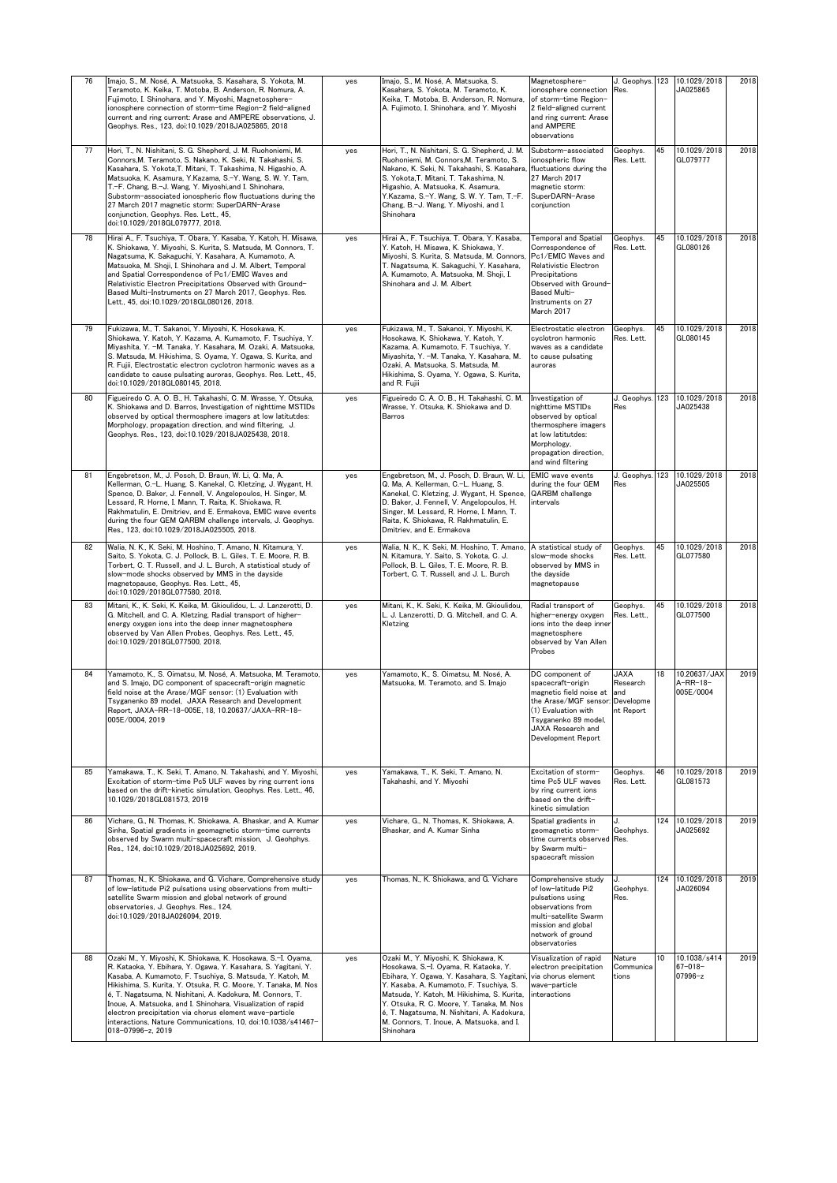| 76 | Imajo, S., M. Nosé, A. Matsuoka, S. Kasahara, S. Yokota, M.<br>Teramoto, K. Keika, T. Motoba, B. Anderson, R. Nomura, A.<br>Fujimoto, I. Shinohara, and Y. Miyoshi, Magnetosphere-<br>ionosphere connection of storm-time Region-2 field-aligned<br>current and ring current: Arase and AMPERE observations, J.<br>Geophys. Res., 123, doi:10.1029/2018JA025865, 2018                                                                                                                                                                         | yes | Imajo, S., M. Nosé, A. Matsuoka, S.<br>Kasahara, S. Yokota, M. Teramoto, K.<br>Keika, T. Motoba, B. Anderson, R. Nomura,<br>A. Fujimoto, I. Shinohara, and Y. Miyoshi                                                                                                                                                                                                          | Magnetosphere-<br>ionosphere connection<br>of storm-time Region-<br>2 field-aligned current<br>and ring current: Arase<br>and AMPERE<br>observations                                             | Res.                                 |     | J. Geophys. 123 10.1029/2018<br>JA025865 | 2018 |
|----|-----------------------------------------------------------------------------------------------------------------------------------------------------------------------------------------------------------------------------------------------------------------------------------------------------------------------------------------------------------------------------------------------------------------------------------------------------------------------------------------------------------------------------------------------|-----|--------------------------------------------------------------------------------------------------------------------------------------------------------------------------------------------------------------------------------------------------------------------------------------------------------------------------------------------------------------------------------|--------------------------------------------------------------------------------------------------------------------------------------------------------------------------------------------------|--------------------------------------|-----|------------------------------------------|------|
| 77 | Hori, T., N. Nishitani, S. G. Shepherd, J. M. Ruohoniemi, M.<br>Connors, M. Teramoto, S. Nakano, K. Seki, N. Takahashi, S.<br>Kasahara, S. Yokota, T. Mitani, T. Takashima, N. Higashio, A.<br>Matsuoka, K. Asamura, Y.Kazama, S.-Y. Wang, S. W. Y. Tam,<br>T.-F. Chang, B.-J. Wang, Y. Miyoshi,and I. Shinohara,<br>Substorm-associated ionospheric flow fluctuations during the<br>27 March 2017 magnetic storm: SuperDARN-Arase<br>conjunction, Geophys, Res, Lett., 45.<br>doi:10.1029/2018GL079777, 2018.                                | yes | Hori, T., N. Nishitani, S. G. Shepherd, J. M.<br>Ruohoniemi, M. Connors, M. Teramoto, S.<br>Nakano, K. Seki, N. Takahashi, S. Kasahara,<br>S. Yokota,T. Mitani, T. Takashima, N.<br>Higashio, A. Matsuoka, K. Asamura,<br>Y.Kazama, S.-Y. Wang, S. W. Y. Tam, T.-F.<br>Chang, B.-J. Wang, Y. Miyoshi, and I.<br>Shinohara                                                      | Substorm-associated<br>ionospheric flow<br>fluctuations during the<br>27 March 2017<br>magnetic storm:<br>SuperDARN-Arase<br>conjunction                                                         | Geophys.<br>Res. Lett.               | 45  | 10.1029/2018<br>GL079777                 | 2018 |
| 78 | Hirai A., F. Tsuchiya, T. Obara, Y. Kasaba, Y. Katoh, H. Misawa,<br>K. Shiokawa, Y. Miyoshi, S. Kurita, S. Matsuda, M. Connors, T.<br>Nagatsuma, K. Sakaguchi, Y. Kasahara, A. Kumamoto, A.<br>Matsuoka, M. Shoji, I. Shinohara and J. M. Albert, Temporal<br>and Spatial Correspondence of Pc1/EMIC Waves and<br>Relativistic Electron Precipitations Observed with Ground-<br>Based Multi-Instruments on 27 March 2017, Geophys. Res.<br>Lett., 45, doi:10.1029/2018GL080126, 2018.                                                         | yes | Hirai A., F. Tsuchiya, T. Obara, Y. Kasaba,<br>Y. Katoh, H. Misawa, K. Shiokawa, Y.<br>Miyoshi, S. Kurita, S. Matsuda, M. Connors,<br>T. Nagatsuma, K. Sakaguchi, Y. Kasahara,<br>A. Kumamoto, A. Matsuoka, M. Shoji, I.<br>Shinohara and J. M. Albert                                                                                                                         | Temporal and Spatial<br>Correspondence of<br>Pc1/EMIC Waves and<br>Relativistic Electron<br>Precipitations<br>Observed with Ground-<br>Based Multi-<br>Instruments on 27<br>March 2017           | Geophys.<br>Res. Lett.               | 45  | 10.1029/2018<br>GL080126                 | 2018 |
| 79 | Fukizawa, M., T. Sakanoi, Y. Miyoshi, K. Hosokawa, K.<br>Shiokawa, Y. Katoh, Y. Kazama, A. Kumamoto, F. Tsuchiya, Y.<br>Mivashita, Y. -M. Tanaka, Y. Kasahara, M. Ozaki, A. Matsuoka,<br>S. Matsuda, M. Hikishima, S. Oyama, Y. Ogawa, S. Kurita, and<br>R. Fujii, Electrostatic electron cyclotron harmonic waves as a<br>candidate to cause pulsating auroras, Geophys. Res. Lett., 45,<br>doi:10.1029/2018GL080145. 2018.                                                                                                                  | yes | Fukizawa, M., T. Sakanoi, Y. Miyoshi, K.<br>Hosokawa, K. Shiokawa, Y. Katoh, Y.<br>Kazama, A. Kumamoto, F. Tsuchiya, Y.<br>Miyashita, Y. -M. Tanaka, Y. Kasahara, M.<br>Ozaki, A. Matsuoka, S. Matsuda, M.<br>Hikishima, S. Oyama, Y. Ogawa, S. Kurita,<br>and R. Fujii                                                                                                        | Electrostatic electron<br>cyclotron harmonic<br>waves as a candidate<br>to cause pulsating<br>auroras                                                                                            | Geophys.<br>Res. Lett.               | 45  | 10.1029/2018<br>GL080145                 | 2018 |
| 80 | Figueiredo C. A. O. B., H. Takahashi, C. M. Wrasse, Y. Otsuka,<br>K. Shiokawa and D. Barros, Investigation of nighttime MSTIDs<br>observed by optical thermosphere imagers at low latitutdes:<br>Morphology, propagation direction, and wind filtering, J.<br>Geophys. Res., 123, doi:10.1029/2018JA025438, 2018.                                                                                                                                                                                                                             | yes | Figueiredo C. A. O. B., H. Takahashi, C. M.<br>Wrasse, Y. Otsuka, K. Shiokawa and D.<br>Barros                                                                                                                                                                                                                                                                                 | Investigation of<br>nighttime MSTIDs<br>observed by optical<br>thermosphere imagers<br>at low latitutdes:<br>Morphology,<br>propagation direction,<br>and wind filtering                         | J. Geophys.<br>Res                   | 123 | 10.1029/2018<br>JA025438                 | 2018 |
| 81 | Engebretson, M., J. Posch, D. Braun, W. Li, Q. Ma, A.<br>Kellerman, C.-L. Huang, S. Kanekal, C. Kletzing, J. Wygant, H.<br>Spence, D. Baker, J. Fennell, V. Angelopoulos, H. Singer, M.<br>Lessard, R. Horne, I. Mann, T. Raita, K. Shiokawa, R.<br>Rakhmatulin, E. Dmitriev, and E. Ermakova, EMIC wave events<br>during the four GEM QARBM challenge intervals, J. Geophys.<br>Res., 123, doi:10.1029/2018JA025505, 2018.                                                                                                                   | yes | Engebretson, M., J. Posch, D. Braun, W. Li,<br>Q. Ma, A. Kellerman, C.-L. Huang, S.<br>Kanekal, C. Kletzing, J. Wygant, H. Spence,<br>D. Baker, J. Fennell, V. Angelopoulos, H.<br>Singer, M. Lessard, R. Horne, I. Mann, T.<br>Raita, K. Shiokawa, R. Rakhmatulin, E.<br>Dmitriev, and E. Ermakova                                                                            | <b>EMIC</b> wave events<br>during the four GEM<br>QARBM challenge<br>intervals                                                                                                                   | J. Geophys.<br>Res                   | 123 | 10.1029/2018<br>JA025505                 | 2018 |
| 82 | Walia, N. K., K. Seki, M. Hoshino, T. Amano, N. Kitamura, Y.<br>Saito, S. Yokota, C. J. Pollock, B. L. Giles, T. E. Moore, R. B.<br>Torbert, C. T. Russell, and J. L. Burch, A statistical study of<br>slow-mode shocks observed by MMS in the dayside<br>magnetopause, Geophys. Res. Lett., 45,<br>doi:10.1029/2018GL077580, 2018.                                                                                                                                                                                                           | yes | Walia, N. K., K. Seki, M. Hoshino, T. Amano,<br>N. Kitamura, Y. Saito, S. Yokota, C. J.<br>Pollock, B. L. Giles, T. E. Moore, R. B.<br>Torbert, C. T. Russell, and J. L. Burch                                                                                                                                                                                                 | A statistical study of<br>slow-mode shocks<br>observed by MMS in<br>the dayside<br>magnetopause                                                                                                  | Geophys.<br>Res. Lett.               | 45  | 10.1029/2018<br>GL077580                 | 2018 |
| 83 | Mitani, K., K. Seki, K. Keika, M. Gkioulidou, L. J. Lanzerotti, D.<br>G. Mitchell, and C. A. Kletzing, Radial transport of higher-<br>energy oxygen ions into the deep inner magnetosphere<br>observed by Van Allen Probes, Geophys. Res. Lett., 45,<br>doi:10.1029/2018GL077500, 2018.                                                                                                                                                                                                                                                       | yes | Mitani, K., K. Seki, K. Keika, M. Gkioulidou,<br>L. J. Lanzerotti, D. G. Mitchell, and C. A.<br>Kletzing                                                                                                                                                                                                                                                                       | Radial transport of<br>higher-energy oxygen<br>ions into the deep inner<br>magnetosphere<br>observed by Van Allen<br>Probes                                                                      | Geophys.<br>Res. Lett.,              | 45  | 10.1029/2018<br>GL077500                 | 2018 |
| 84 | Yamamoto, K., S. Oimatsu, M. Nosé, A. Matsuoka, M. Teramoto<br>and S. Imajo, DC component of spacecraft-origin magnetic<br>field noise at the Arase/MGF sensor: (1) Evaluation with<br>Tsyganenko 89 model, JAXA Research and Development<br>Report, JAXA-RR-18-005E, 18, 10.20637/JAXA-RR-18-<br>005E/0004, 2019                                                                                                                                                                                                                             | yes | Yamamoto, K., S. Oimatsu, M. Nosé, A.<br>Matsuoka, M. Teramoto, and S. Imajo                                                                                                                                                                                                                                                                                                   | DC component of<br>spacecraft-origin<br>magnetic field noise at and<br>the Arase/MGF sensor: Developme<br>(1) Evaluation with<br>Tsyganenko 89 model,<br>JAXA Research and<br>Development Report | <b>JAXA</b><br>Research<br>nt Report | 18  | 10.20637/JAX<br>A-RR-18-<br>005E/0004    | 2019 |
| 85 | Yamakawa, T., K. Seki, T. Amano, N. Takahashi, and Y. Miyoshi,<br>Excitation of storm-time Pc5 ULF waves by ring current ions<br>based on the drift-kinetic simulation, Geophys. Res. Lett., 46,<br>10.1029/2018GL081573, 2019                                                                                                                                                                                                                                                                                                                | yes | Yamakawa, T., K. Seki, T. Amano, N.<br>Takahashi, and Y. Miyoshi                                                                                                                                                                                                                                                                                                               | Excitation of storm-<br>time Pc5 ULF waves<br>by ring current ions<br>based on the drift-<br>kinetic simulation                                                                                  | Geophys.<br>Res. Lett.               | 46  | 10.1029/2018<br>GL081573                 | 2019 |
| 86 | Vichare, G., N. Thomas, K. Shiokawa, A. Bhaskar, and A. Kumar<br>Sinha, Spatial gradients in geomagnetic storm-time currents<br>observed by Swarm multi-spacecraft mission, J. Geohphys.<br>Res., 124, doi:10.1029/2018JA025692, 2019.                                                                                                                                                                                                                                                                                                        | yes | Vichare, G., N. Thomas, K. Shiokawa, A.<br>Bhaskar, and A. Kumar Sinha                                                                                                                                                                                                                                                                                                         | Spatial gradients in<br>geomagnetic storm-<br>time currents observed Res.<br>by Swarm multi-<br>spacecraft mission                                                                               | Geohphys.                            | 124 | 10.1029/2018<br>JA025692                 | 2019 |
| 87 | Thomas, N., K. Shiokawa, and G. Vichare, Comprehensive study<br>of low-latitude Pi2 pulsations using observations from multi-<br>satellite Swarm mission and global network of ground<br>observatories, J. Geophys. Res., 124,<br>doi:10.1029/2018JA026094, 2019.                                                                                                                                                                                                                                                                             | yes | Thomas, N., K. Shiokawa, and G. Vichare                                                                                                                                                                                                                                                                                                                                        | Comprehensive study<br>of low-latitude Pi2<br>pulsations using<br>observations from<br>multi-satellite Swarm<br>mission and global<br>network of ground<br>observatories                         | Geohphys.<br>Res.                    | 124 | 10.1029/2018<br>JA026094                 | 2019 |
| 88 | Ozaki M., Y. Miyoshi, K. Shiokawa, K. Hosokawa, S.-I. Oyama,<br>R. Kataoka, Y. Ebihara, Y. Ogawa, Y. Kasahara, S. Yagitani, Y.<br>Kasaba, A. Kumamoto, F. Tsuchiya, S. Matsuda, Y. Katoh, M.<br>Hikishima, S. Kurita, Y. Otsuka, R. C. Moore, Y. Tanaka, M. Nos<br>é, T. Nagatsuma, N. Nishitani, A. Kadokura, M. Connors, T.<br>Inoue, A. Matsuoka, and I. Shinohara, Visualization of rapid<br>electron precipitation via chorus element wave-particle<br>interactions, Nature Communications, 10, doi:10.1038/s41467-<br>018-07996-z, 2019 | yes | Ozaki M., Y. Miyoshi, K. Shiokawa, K.<br>Hosokawa, S.-I. Oyama, R. Kataoka, Y.<br>Ebihara, Y. Ogawa, Y. Kasahara, S. Yagitani,<br>Y. Kasaba, A. Kumamoto, F. Tsuchiya, S.<br>Matsuda, Y. Katoh, M. Hikishima, S. Kurita,<br>Y. Otsuka, R. C. Moore, Y. Tanaka, M. Nos<br>é, T. Nagatsuma, N. Nishitani, A. Kadokura,<br>M. Connors, T. Inoue, A. Matsuoka, and I.<br>Shinohara | Visualization of rapid<br>electron precipitation<br>via chorus element<br>wave-particle<br>interactions                                                                                          | Nature<br>Communica<br>tions         | 10  | 10.1038/s414<br>$67 - 018 -$<br>07996-z  | 2019 |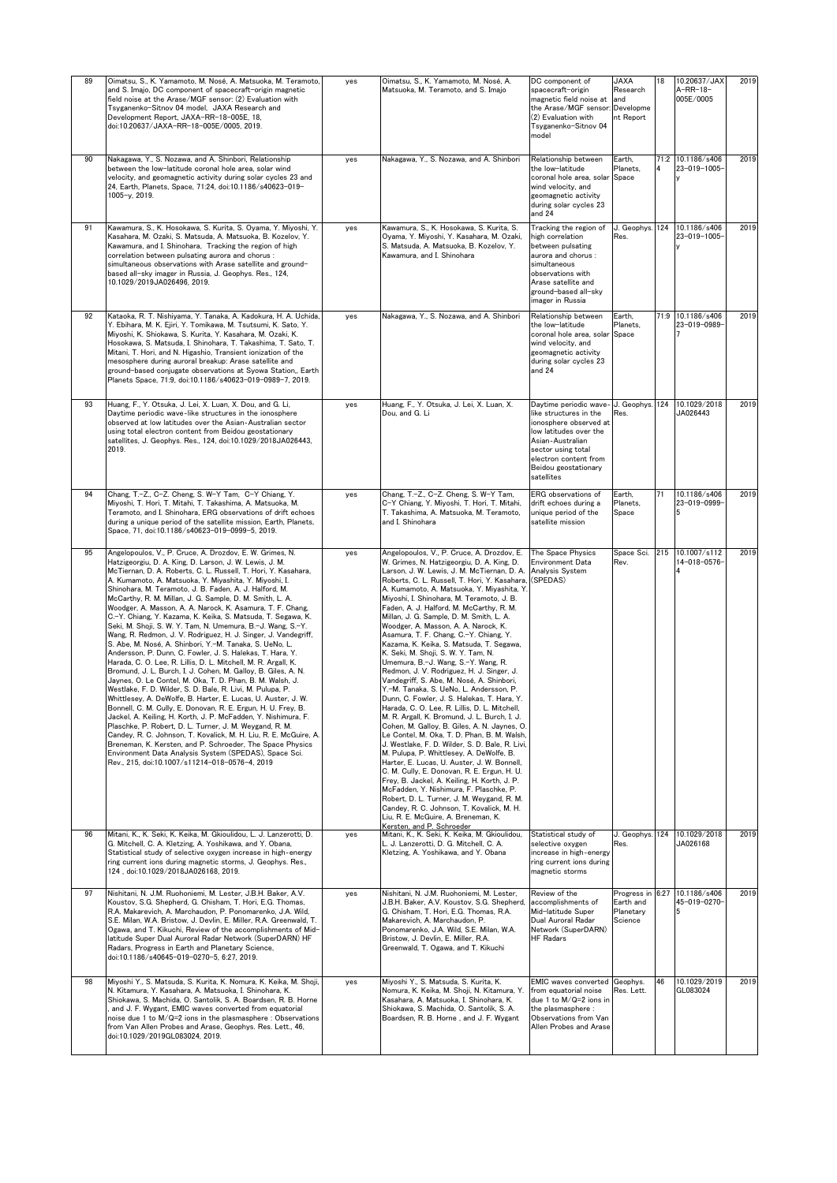| 89<br>Oimatsu, S., K. Yamamoto, M. Nosé, A. Matsuoka, M. Teramoto,<br>and S. Imajo, DC component of spacecraft-origin magnetic<br>field noise at the Arase/MGF sensor: (2) Evaluation with<br>Tsyganenko-Sitnov 04 model, JAXA Research and<br>Development Report, JAXA-RR-18-005E, 18,<br>doi:10.20637/JAXA-RR-18-005E/0005, 2019.                                                                                                                                                                                                                                                                                                                                                                                                                                                                                                                                                                                                                                                                                                                                                                                                                                                                                                                                                                                                                                                                                                                                                                                                         | yes | Oimatsu, S., K. Yamamoto, M. Nosé, A.<br>Matsuoka, M. Teramoto, and S. Imajo                                                                                                                                                                                                                                                                                                                                                                                                                                                                                                                                                                                                                                                                                                                                                                                                                                                                                                                                                                                                                                                                                                                                                                                                                                                                                                                                                       | DC component of<br>spacecraft-origin<br>magnetic field noise at<br>the Arase/MGF sensor:<br>(2) Evaluation with<br>Tsyganenko-Sitnov 04<br>model                                                                          | <b>JAXA</b><br>Research<br>and<br>Developme<br>nt Report | 18   | 10.20637/JAX<br>A-RR-18-<br>005E/0005 | 2019 |
|---------------------------------------------------------------------------------------------------------------------------------------------------------------------------------------------------------------------------------------------------------------------------------------------------------------------------------------------------------------------------------------------------------------------------------------------------------------------------------------------------------------------------------------------------------------------------------------------------------------------------------------------------------------------------------------------------------------------------------------------------------------------------------------------------------------------------------------------------------------------------------------------------------------------------------------------------------------------------------------------------------------------------------------------------------------------------------------------------------------------------------------------------------------------------------------------------------------------------------------------------------------------------------------------------------------------------------------------------------------------------------------------------------------------------------------------------------------------------------------------------------------------------------------------|-----|------------------------------------------------------------------------------------------------------------------------------------------------------------------------------------------------------------------------------------------------------------------------------------------------------------------------------------------------------------------------------------------------------------------------------------------------------------------------------------------------------------------------------------------------------------------------------------------------------------------------------------------------------------------------------------------------------------------------------------------------------------------------------------------------------------------------------------------------------------------------------------------------------------------------------------------------------------------------------------------------------------------------------------------------------------------------------------------------------------------------------------------------------------------------------------------------------------------------------------------------------------------------------------------------------------------------------------------------------------------------------------------------------------------------------------|---------------------------------------------------------------------------------------------------------------------------------------------------------------------------------------------------------------------------|----------------------------------------------------------|------|---------------------------------------|------|
| 90<br>Nakagawa, Y., S. Nozawa, and A. Shinbori, Relationship<br>between the low-latitude coronal hole area, solar wind<br>velocity, and geomagnetic activity during solar cycles 23 and<br>24, Earth, Planets, Space, 71:24, doi:10.1186/s40623-019-<br>1005-y, 2019.                                                                                                                                                                                                                                                                                                                                                                                                                                                                                                                                                                                                                                                                                                                                                                                                                                                                                                                                                                                                                                                                                                                                                                                                                                                                       | yes | Nakagawa, Y., S. Nozawa, and A. Shinbori                                                                                                                                                                                                                                                                                                                                                                                                                                                                                                                                                                                                                                                                                                                                                                                                                                                                                                                                                                                                                                                                                                                                                                                                                                                                                                                                                                                           | Relationship between<br>the low-latitude<br>coronal hole area, solar<br>wind velocity, and<br>geomagnetic activity<br>during solar cycles 23<br>and 24                                                                    | Earth,<br>Planets,<br>Space                              |      | 71:2 10.1186/s406<br>23-019-1005-     | 2019 |
| 91<br>Kawamura, S., K. Hosokawa, S. Kurita, S. Oyama, Y. Miyoshi, Y.<br>Kasahara, M. Ozaki, S. Matsuda, A. Matsuoka, B. Kozelov, Y.<br>Kawamura, and I. Shinohara, Tracking the region of high<br>correlation between pulsating aurora and chorus :<br>simultaneous observations with Arase satellite and ground-<br>based all-sky imager in Russia, J. Geophys. Res., 124,<br>10.1029/2019JA026496, 2019.                                                                                                                                                                                                                                                                                                                                                                                                                                                                                                                                                                                                                                                                                                                                                                                                                                                                                                                                                                                                                                                                                                                                  | yes | Kawamura, S., K. Hosokawa, S. Kurita, S.<br>Oyama, Y. Miyoshi, Y. Kasahara, M. Ozaki,<br>S. Matsuda, A. Matsuoka, B. Kozelov, Y.<br>Kawamura, and I. Shinohara                                                                                                                                                                                                                                                                                                                                                                                                                                                                                                                                                                                                                                                                                                                                                                                                                                                                                                                                                                                                                                                                                                                                                                                                                                                                     | Tracking the region of<br>high correlation<br>between pulsating<br>aurora and chorus:<br>simultaneous<br>observations with<br>Arase satellite and<br>ground-based all-sky<br>imager in Russia                             | J. Geophys.<br>Res.                                      | 124  | 10.1186/s406<br>23-019-1005-          | 2019 |
| Kataoka, R. T. Nishiyama, Y. Tanaka, A. Kadokura, H. A. Uchida,<br>92<br>Y. Ebihara, M. K. Ejiri, Y. Tomikawa, M. Tsutsumi, K. Sato, Y.<br>Miyoshi, K. Shiokawa, S. Kurita, Y. Kasahara, M. Ozaki, K.<br>Hosokawa, S. Matsuda, I. Shinohara, T. Takashima, T. Sato, T.<br>Mitani, T. Hori, and N. Higashio, Transient ionization of the<br>mesosphere during auroral breakup: Arase satellite and<br>ground-based conjugate observations at Syowa Station,, Earth<br>Planets Space, 71:9, doi:10.1186/s40623-019-0989-7, 2019.                                                                                                                                                                                                                                                                                                                                                                                                                                                                                                                                                                                                                                                                                                                                                                                                                                                                                                                                                                                                              | yes | Nakagawa, Y., S. Nozawa, and A. Shinbori                                                                                                                                                                                                                                                                                                                                                                                                                                                                                                                                                                                                                                                                                                                                                                                                                                                                                                                                                                                                                                                                                                                                                                                                                                                                                                                                                                                           | Relationship between<br>the low-latitude<br>coronal hole area, solar<br>wind velocity, and<br>geomagnetic activity<br>during solar cycles 23<br>and 24                                                                    | Earth,<br>Planets,<br>Space                              |      | 71:9 10.1186/s406<br>23-019-0989-     | 2019 |
| 93<br>Huang, F., Y. Otsuka, J. Lei, X. Luan, X. Dou, and G. Li,<br>Daytime periodic wave-like structures in the ionosphere<br>observed at low latitudes over the Asian-Australian sector<br>using total electron content from Beidou geostationary<br>satellites, J. Geophys. Res., 124, doi:10.1029/2018JA026443,<br>2019.                                                                                                                                                                                                                                                                                                                                                                                                                                                                                                                                                                                                                                                                                                                                                                                                                                                                                                                                                                                                                                                                                                                                                                                                                 | yes | Huang, F., Y. Otsuka, J. Lei, X. Luan, X.<br>Dou, and G. Li                                                                                                                                                                                                                                                                                                                                                                                                                                                                                                                                                                                                                                                                                                                                                                                                                                                                                                                                                                                                                                                                                                                                                                                                                                                                                                                                                                        | Daytime periodic wave- J. Geophys.<br>like structures in the<br>ionosphere observed at<br>low latitudes over the<br>Asian-Australian<br>sector using total<br>electron content from<br>Beidou geostationary<br>satellites | Res.                                                     | 124  | 10.1029/2018<br>JA026443              | 2019 |
| Chang, T.-Z., C-Z. Cheng, S. W-Y Tam, C-Y Chiang, Y.<br>94<br>Miyoshi, T. Hori, T. Mitahi, T. Takashima, A. Matsuoka, M.<br>Teramoto, and I. Shinohara, ERG observations of drift echoes<br>during a unique period of the satellite mission, Earth, Planets,<br>Space, 71, doi:10.1186/s40623-019-0999-5, 2019.                                                                                                                                                                                                                                                                                                                                                                                                                                                                                                                                                                                                                                                                                                                                                                                                                                                                                                                                                                                                                                                                                                                                                                                                                             | yes | Chang, T.-Z., C-Z. Cheng, S. W-Y Tam,<br>C-Y Chiang, Y. Miyoshi, T. Hori, T. Mitahi,<br>T. Takashima, A. Matsuoka, M. Teramoto,<br>and I. Shinohara                                                                                                                                                                                                                                                                                                                                                                                                                                                                                                                                                                                                                                                                                                                                                                                                                                                                                                                                                                                                                                                                                                                                                                                                                                                                                | ERG observations of<br>drift echoes during a<br>unique period of the<br>satellite mission                                                                                                                                 | Earth,<br>Planets,<br>Space                              | 71   | 10.1186/s406<br>23-019-0999-          | 2019 |
| 95<br>Angelopoulos, V., P. Cruce, A. Drozdov, E. W. Grimes, N.<br>Hatzigeorgiu, D. A. King, D. Larson, J. W. Lewis, J. M.<br>McTiernan, D. A. Roberts, C. L. Russell, T. Hori, Y. Kasahara,<br>A. Kumamoto, A. Matsuoka, Y. Miyashita, Y. Miyoshi, I.<br>Shinohara, M. Teramoto, J. B. Faden, A. J. Halford, M.<br>McCarthy, R. M. Millan, J. G. Sample, D. M. Smith, L. A.<br>Woodger, A. Masson, A. A. Narock, K. Asamura, T. F. Chang,<br>C.-Y. Chiang, Y. Kazama, K. Keika, S. Matsuda, T. Segawa, K.<br>Seki, M. Shoji, S. W. Y. Tam, N. Umemura, B.-J. Wang, S.-Y.<br>Wang, R. Redmon, J. V. Rodriguez, H. J. Singer, J. Vandegriff,<br>S. Abe. M. Nosé. A. Shinbori, Y.-M. Tanaka, S. UeNo. L.<br>Andersson, P. Dunn, C. Fowler, J. S. Halekas, T. Hara, Y.<br>Harada, C. O. Lee, R. Lillis, D. L. Mitchell, M. R. Argall, K.<br>Bromund, J. L. Burch, I. J. Cohen, M. Galloy, B. Giles, A. N.<br>Jaynes, O. Le Contel, M. Oka, T. D. Phan, B. M. Walsh, J.<br>Westlake, F. D. Wilder, S. D. Bale, R. Livi, M. Pulupa, P.<br>Whittlesey, A. DeWolfe, B. Harter, E. Lucas, U. Auster, J. W.<br>Bonnell, C. M. Cully, E. Donovan, R. E. Ergun, H. U. Frey, B.<br>Jackel, A. Keiling, H. Korth, J. P. McFadden, Y. Nishimura, F.<br>Plaschke, P. Robert, D. L. Turner, J. M. Weygand, R. M.<br>Candey, R. C. Johnson, T. Kovalick, M. H. Liu, R. E. McGuire, A.<br>Breneman, K. Kersten, and P. Schroeder, The Space Physics<br>Environment Data Analysis System (SPEDAS), Space Sci.<br>Rev., 215. doi:10.1007/s11214-018-0576-4. 2019 | yes | Angelopoulos, V., P. Cruce, A. Drozdov, E.<br>W. Grimes, N. Hatzigeorgiu, D. A. King, D.<br>Larson, J. W. Lewis, J. M. McTiernan, D. A.<br>Roberts, C. L. Russell, T. Hori, Y. Kasahara,<br>A. Kumamoto, A. Matsuoka, Y. Miyashita, Y.<br>Miyoshi, I. Shinohara, M. Teramoto, J. B.<br>Faden, A. J. Halford, M. McCarthy, R. M.<br>Millan, J. G. Sample, D. M. Smith, L. A.<br>Woodger, A. Masson, A. A. Narock, K.<br>Asamura, T. F. Chang, C.-Y. Chiang, Y.<br>Kazama, K. Keika, S. Matsuda, T. Segawa,<br>K. Seki, M. Shoji, S. W. Y. Tam, N.<br>Umemura, B.-J. Wang, S.-Y. Wang, R.<br>Redmon, J. V. Rodriguez, H. J. Singer, J.<br>Vandegriff, S. Abe, M. Nosé, A. Shinbori,<br>Y.-M. Tanaka, S. UeNo, L. Andersson, P.<br>Dunn, C. Fowler, J. S. Halekas, T. Hara, Y.<br>Harada, C. O. Lee, R. Lillis, D. L. Mitchell,<br>M. R. Argall, K. Bromund, J. L. Burch, I. J.<br>Cohen, M. Galloy, B. Giles, A. N. Jaynes, O.<br>Le Contel, M. Oka, T. D. Phan, B. M. Walsh,<br>J. Westlake, F. D. Wilder, S. D. Bale, R. Livi,<br>M. Pulupa, P. Whittlesey, A. DeWolfe, B.<br>Harter, E. Lucas, U. Auster, J. W. Bonnell,<br>C. M. Cully, E. Donovan, R. E. Ergun, H. U.<br>Frey, B. Jackel, A. Keiling, H. Korth, J. P.<br>McFadden, Y. Nishimura, F. Plaschke, P.<br>Robert, D. L. Turner, J. M. Weygand, R. M.<br>Candey, R. C. Johnson, T. Kovalick, M. H.<br>Liu, R. E. McGuire, A. Breneman, K.<br>Kersten, and P. Schroeder | The Space Physics<br><b>Environment Data</b><br>Analysis System<br>(SPEDAS)                                                                                                                                               | Space Sci.<br>Rev.                                       |      | 215 10.1007/s112<br>14-018-0576-      | 2019 |
| 96<br>Mitani, K., K. Seki, K. Keika, M. Gkioulidou, L. J. Lanzerotti, D.<br>G. Mitchell, C. A. Kletzing, A. Yoshikawa, and Y. Obana,<br>Statistical study of selective oxygen increase in high-energy<br>ring current ions during magnetic storms, J. Geophys. Res.,<br>124, doi:10.1029/2018JA026168, 2019.                                                                                                                                                                                                                                                                                                                                                                                                                                                                                                                                                                                                                                                                                                                                                                                                                                                                                                                                                                                                                                                                                                                                                                                                                                | yes | Mitani, K., K. Seki, K. Keika, M. Gkioulidou,<br>L. J. Lanzerotti, D. G. Mitchell, C. A.<br>Kletzing, A. Yoshikawa, and Y. Obana                                                                                                                                                                                                                                                                                                                                                                                                                                                                                                                                                                                                                                                                                                                                                                                                                                                                                                                                                                                                                                                                                                                                                                                                                                                                                                   | Statistical study of<br>selective oxygen<br>increase in high-energy<br>ring current ions during<br>magnetic storms                                                                                                        | J. Geophys.<br>Res.                                      | 124  | 10.1029/2018<br>JA026168              | 2019 |
| 97<br>Nishitani, N. J.M. Ruohoniemi, M. Lester, J.B.H. Baker, A.V.<br>Koustov, S.G. Shepherd, G. Chisham, T. Hori, E.G. Thomas,<br>R.A. Makarevich, A. Marchaudon, P. Ponomarenko, J.A. Wild,<br>S.E. Milan, W.A. Bristow, J. Devlin, E. Miller, R.A. Greenwald, T.<br>Ogawa, and T. Kikuchi, Review of the accomplishments of Mid-<br>latitude Super Dual Auroral Radar Network (SuperDARN) HF<br>Radars, Progress in Earth and Planetary Science,<br>doi:10.1186/s40645-019-0270-5, 6:27, 2019.                                                                                                                                                                                                                                                                                                                                                                                                                                                                                                                                                                                                                                                                                                                                                                                                                                                                                                                                                                                                                                           | yes | Nishitani, N. J.M. Ruohoniemi, M. Lester,<br>J.B.H. Baker, A.V. Koustov, S.G. Shepherd,<br>G. Chisham, T. Hori, E.G. Thomas, R.A.<br>Makarevich, A. Marchaudon, P.<br>Ponomarenko, J.A. Wild, S.E. Milan, W.A.<br>Bristow, J. Devlin, E. Miller, R.A.<br>Greenwald, T. Ogawa, and T. Kikuchi                                                                                                                                                                                                                                                                                                                                                                                                                                                                                                                                                                                                                                                                                                                                                                                                                                                                                                                                                                                                                                                                                                                                       | Review of the<br>accomplishments of<br>Mid-latitude Super<br>Dual Auroral Radar<br>Network (SuperDARN)<br><b>HF Radars</b>                                                                                                | Progress in<br>Earth and<br>Planetary<br>Science         | 6:27 | 10.1186/s406<br>45-019-0270-          | 2019 |
| 98<br>Miyoshi Y., S. Matsuda, S. Kurita, K. Nomura, K. Keika, M. Shoji,<br>N. Kitamura, Y. Kasahara, A. Matsuoka, I. Shinohara, K.<br>Shiokawa, S. Machida, O. Santolik, S. A. Boardsen, R. B. Horne<br>and J. F. Wygant, EMIC waves converted from equatorial<br>noise due 1 to M/Q=2 ions in the plasmasphere : Observations<br>from Van Allen Probes and Arase, Geophys. Res. Lett., 46,<br>doi:10.1029/2019GL083024, 2019.                                                                                                                                                                                                                                                                                                                                                                                                                                                                                                                                                                                                                                                                                                                                                                                                                                                                                                                                                                                                                                                                                                              | yes | Miyoshi Y., S. Matsuda, S. Kurita, K.<br>Nomura, K. Keika, M. Shoji, N. Kitamura, Y.<br>Kasahara, A. Matsuoka, I. Shinohara, K.<br>Shiokawa, S. Machida, O. Santolik, S. A.<br>Boardsen, R. B. Horne, and J. F. Wygant                                                                                                                                                                                                                                                                                                                                                                                                                                                                                                                                                                                                                                                                                                                                                                                                                                                                                                                                                                                                                                                                                                                                                                                                             | EMIC waves converted<br>from equatorial noise<br>due 1 to M/Q=2 ions in<br>the plasmasphere :<br>Observations from Van<br>Allen Probes and Arase                                                                          | Geophys.<br>Res. Lett.                                   | 46   | 10.1029/2019<br>GL083024              | 2019 |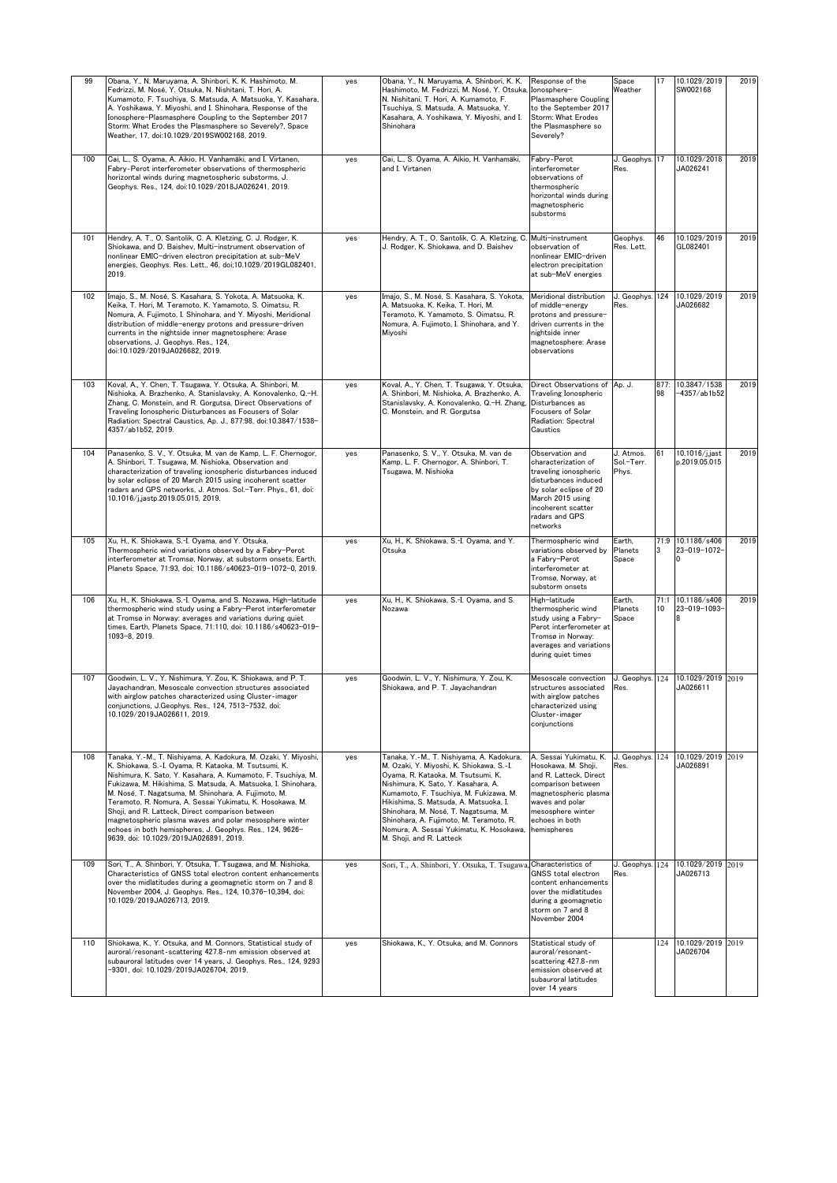| 99  | Obana, Y., N. Maruyama, A. Shinbori, K. K. Hashimoto, M.<br>Fedrizzi, M. Nosé, Y. Otsuka, N. Nishitani, T. Hori, A.<br>Kumamoto, F. Tsuchiya, S. Matsuda, A. Matsuoka, Y. Kasahara,<br>A. Yoshikawa, Y. Miyoshi, and I. Shinohara, Response of the<br>Ionosphere-Plasmasphere Coupling to the September 2017<br>Storm: What Erodes the Plasmasphere so Severely?, Space<br>Weather, 17, doi:10.1029/2019SW002168, 2019.                                                                                                                                                                              | yes | Obana, Y., N. Maruyama, A. Shinbori, K. K.<br>Hashimoto, M. Fedrizzi, M. Nosé, Y. Otsuka, Ionosphere-<br>N. Nishitani, T. Hori, A. Kumamoto, F.<br>Tsuchiya, S. Matsuda, A. Matsuoka, Y.<br>Kasahara, A. Yoshikawa, Y. Miyoshi, and I.<br>Shinohara                                                                                                                                                               | Response of the<br>Plasmasphere Coupling<br>to the September 2017<br>Storm: What Erodes<br>the Plasmasphere so<br>Severely?                                                                     | Space<br>Weather                 | 17         | 10.1029/2019<br>SW002168          | 2019 |
|-----|------------------------------------------------------------------------------------------------------------------------------------------------------------------------------------------------------------------------------------------------------------------------------------------------------------------------------------------------------------------------------------------------------------------------------------------------------------------------------------------------------------------------------------------------------------------------------------------------------|-----|-------------------------------------------------------------------------------------------------------------------------------------------------------------------------------------------------------------------------------------------------------------------------------------------------------------------------------------------------------------------------------------------------------------------|-------------------------------------------------------------------------------------------------------------------------------------------------------------------------------------------------|----------------------------------|------------|-----------------------------------|------|
| 100 | Cai, L., S. Oyama, A. Aikio, H. Vanhamäki, and I. Virtanen,<br>Fabry-Perot interferometer observations of thermospheric<br>horizontal winds during magnetospheric substorms, J.<br>Geophys. Res., 124, doi:10.1029/2018JA026241, 2019.                                                                                                                                                                                                                                                                                                                                                               | yes | Cai, L., S. Ovama, A. Aikio, H. Vanhamäki,<br>and I. Virtanen                                                                                                                                                                                                                                                                                                                                                     | Fabry-Perot<br>interferometer<br>observations of<br>thermospheric<br>horizontal winds during<br>magnetospheric<br>substorms                                                                     | J. Geophys. 17<br>Res.           |            | 10.1029/2018<br>JA026241          | 2019 |
| 101 | Hendry, A. T., O. Santolik, C. A. Kletzing, C. J. Rodger, K.<br>Shiokawa, and D. Baishev, Multi-instrument observation of<br>nonlinear EMIC-driven electron precipitation at sub-MeV<br>energies, Geophys. Res. Lett., 46, doi;10.1029/2019GL082401,<br>2019.                                                                                                                                                                                                                                                                                                                                        | yes | Hendry, A. T., O. Santolik, C. A. Kletzing, C.<br>J. Rodger, K. Shiokawa, and D. Baishev                                                                                                                                                                                                                                                                                                                          | Multi-instrument<br>observation of<br>nonlinear EMIC-driven<br>electron precipitation<br>at sub-MeV energies                                                                                    | Geophys.<br>Res. Lett.           | 46         | 10.1029/2019<br>GL082401          | 2019 |
| 102 | Imajo, S., M. Nosé, S. Kasahara, S. Yokota, A. Matsuoka, K.<br>Keika, T. Hori, M. Teramoto, K. Yamamoto, S. Oimatsu, R.<br>Nomura, A. Fujimoto, I. Shinohara, and Y. Miyoshi, Meridional<br>distribution of middle-energy protons and pressure-driven<br>currents in the nightside inner magnetosphere: Arase<br>observations, J. Geophys. Res., 124,<br>doi:10.1029/2019JA026682, 2019.                                                                                                                                                                                                             | yes | Imajo, S., M. Nosé, S. Kasahara, S. Yokota,<br>A. Matsuoka, K. Keika, T. Hori, M.<br>Teramoto, K. Yamamoto, S. Oimatsu, R.<br>Nomura, A. Fujimoto, I. Shinohara, and Y.<br>Miyoshi                                                                                                                                                                                                                                | Meridional distribution<br>of middle-energy<br>protons and pressure-<br>driven currents in the<br>nightside inner<br>magnetosphere: Arase<br>observations                                       | J. Geophys.<br>Res.              | 124        | 10.1029/2019<br>JA026682          | 2019 |
| 103 | Koval, A., Y. Chen, T. Tsugawa, Y. Otsuka, A. Shinbori, M.<br>Nishioka, A. Brazhenko, A. Stanislavsky, A. Konovalenko, Q.-H.<br>Zhang, C. Monstein, and R. Gorgutsa, Direct Observations of<br>Traveling Ionospheric Disturbances as Focusers of Solar<br>Radiation: Spectral Caustics, Ap. J., 877:98, doi:10.3847/1538-<br>4357/ab1b52, 2019.                                                                                                                                                                                                                                                      | yes | Koval, A., Y. Chen, T. Tsugawa, Y. Otsuka,<br>A. Shinbori, M. Nishioka, A. Brazhenko, A.<br>Stanislavsky, A. Konovalenko, Q.-H. Zhang,<br>C. Monstein, and R. Gorgutsa                                                                                                                                                                                                                                            | Direct Observations of Ap. J.<br>Traveling Ionospheric<br>Disturbances as<br><b>Focusers of Solar</b><br>Radiation: Spectral<br>Caustics                                                        |                                  | 877:<br>98 | 10.3847/1538<br>$-4357/ab1b52$    | 2019 |
| 104 | Panasenko, S. V., Y. Otsuka, M. van de Kamp, L. F. Chernogor,<br>A. Shinbori, T. Tsugawa, M. Nishioka, Observation and<br>characterization of traveling ionospheric disturbances induced<br>by solar eclipse of 20 March 2015 using incoherent scatter<br>radars and GPS networks, J. Atmos. Sol.-Terr. Phys., 61, doi:<br>10.1016/j.jastp.2019.05.015, 2019.                                                                                                                                                                                                                                        | yes | Panasenko, S. V., Y. Otsuka, M. van de<br>Kamp, L. F. Chernogor, A. Shinbori, T.<br>Tsugawa, M. Nishioka                                                                                                                                                                                                                                                                                                          | Observation and<br>characterization of<br>traveling ionospheric<br>disturbances induced<br>by solar eclipse of 20<br>March 2015 using<br>incoherent scatter<br>radars and GPS<br>networks       | J. Atmos.<br>Sol.-Terr.<br>Phys. | 61         | 10.1016/j.jast<br>p.2019.05.015   | 2019 |
| 105 | Xu, H., K. Shiokawa, S.-I. Oyama, and Y. Otsuka,<br>Thermospheric wind variations observed by a Fabry-Perot<br>interferometer at Tromsø, Norway, at substorm onsets, Earth,<br>Planets Space, 71:93, doi: 10.1186/s40623-019-1072-0, 2019.                                                                                                                                                                                                                                                                                                                                                           | yes | Xu, H., K. Shiokawa, S.-I. Oyama, and Y.<br>Otsuka                                                                                                                                                                                                                                                                                                                                                                | Thermospheric wind<br>variations observed by<br>a Fabry-Perot<br>interferometer at<br>Tromsø, Norway, at<br>substorm onsets                                                                     | Earth,<br>Planets<br>Space       | 3          | 71:9 10.1186/s406<br>23-019-1072- | 2019 |
| 106 | Xu, H., K. Shiokawa, S.-I. Oyama, and S. Nozawa, High-latitude<br>thermospheric wind study using a Fabry-Perot interferometer<br>at Tromsø in Norway: averages and variations during quiet<br>times, Earth, Planets Space, 71:110, doi: 10.1186/s40623-019-<br>1093-8, 2019.                                                                                                                                                                                                                                                                                                                         | yes | Xu, H., K. Shiokawa, S.-I. Oyama, and S.<br>Nozawa                                                                                                                                                                                                                                                                                                                                                                | High-latitude<br>thermospheric wind<br>study using a Fabry-<br>Perot interferometer at<br>Tromsø in Norway:<br>averages and variations<br>during quiet times                                    | Earth.<br>Planets<br>Space       | 10         | 71:1 10.1186/s406<br>23-019-1093- | 2019 |
| 107 | Goodwin, L. V., Y. Nishimura, Y. Zou, K. Shiokawa, and P. T.<br>Jayachandran, Mesoscale convection structures associated<br>with airglow patches characterized using Cluster-imager<br>conjunctions, J.Geophys. Res., 124, 7513-7532, doi:<br>10.1029/2019JA026611, 2019.                                                                                                                                                                                                                                                                                                                            | yes | Goodwin, L. V., Y. Nishimura, Y. Zou, K.<br>Shiokawa, and P. T. Jayachandran                                                                                                                                                                                                                                                                                                                                      | Mesoscale convection<br>structures associated<br>with airglow patches<br>characterized using<br>Cluster-imager<br>conjunctions                                                                  | J. Geophys. 124<br>Res.          |            | 10.1029/2019 2019<br>JA026611     |      |
| 108 | Tanaka, Y.-M., T. Nishiyama, A. Kadokura, M. Ozaki, Y. Miyoshi,<br>K. Shiokawa, S.-I. Ovama, R. Kataoka, M. Tsutsumi, K.<br>Nishimura, K. Sato, Y. Kasahara, A. Kumamoto, F. Tsuchiya, M.<br>Fukizawa, M. Hikishima, S. Matsuda, A. Matsuoka, I. Shinohara,<br>M. Nosé, T. Nagatsuma, M. Shinohara, A. Fujimoto, M.<br>Teramoto, R. Nomura, A. Sessai Yukimatu, K. Hosokawa, M.<br>Shoii, and R. Latteck, Direct comparison between<br>magnetospheric plasma waves and polar mesosphere winter<br>echoes in both hemispheres, J. Geophys. Res., 124, 9626-<br>9639. doi: 10.1029/2019JA026891. 2019. | yes | Tanaka, Y.-M., T. Nishiyama, A. Kadokura,<br>M. Ozaki, Y. Miyoshi, K. Shiokawa, S.-I.<br>Oyama, R. Kataoka, M. Tsutsumi, K.<br>Nishimura, K. Sato, Y. Kasahara, A.<br>Kumamoto, F. Tsuchiya, M. Fukizawa, M.<br>Hikishima, S. Matsuda, A. Matsuoka, I.<br>Shinohara, M. Nosé, T. Nagatsuma, M.<br>Shinohara, A. Fujimoto, M. Teramoto, R.<br>Nomura, A. Sessai Yukimatu, K. Hosokawa,<br>M. Shoji, and R. Latteck | A. Sessai Yukimatu, K.<br>Hosokawa, M. Shoii.<br>and R. Latteck, Direct<br>comparison between<br>magnetospheric plasma<br>waves and polar<br>mesosphere winter<br>echoes in both<br>hemispheres | J. Geophys.<br>Res.              |            | 124 10.1029/2019 2019<br>JA026891 |      |
| 109 | Sori, T., A. Shinbori, Y. Otsuka, T. Tsugawa, and M. Nishioka,<br>Characteristics of GNSS total electron content enhancements<br>over the midlatitudes during a geomagnetic storm on 7 and 8<br>November 2004, J. Geophys. Res., 124, 10,376-10,394, doi:<br>10.1029/2019JA026713, 2019.                                                                                                                                                                                                                                                                                                             | yes | Sori, T., A. Shinbori, Y. Otsuka, T. Tsugawa, Characteristics of                                                                                                                                                                                                                                                                                                                                                  | <b>GNSS total electron</b><br>content enhancements<br>over the midlatitudes<br>during a geomagnetic<br>storm on 7 and 8<br>November 2004                                                        | J. Geophys.<br>Res.              | 124        | 10.1029/2019 2019<br>JA026713     |      |
| 110 | Shiokawa, K., Y. Otsuka, and M. Connors, Statistical study of<br>auroral/resonant-scattering 427.8-nm emission observed at<br>subauroral latitudes over 14 years, J. Geophys. Res., 124, 9293<br>-9301, doi: 10.1029/2019JA026704, 2019.                                                                                                                                                                                                                                                                                                                                                             | yes | Shiokawa, K., Y. Otsuka, and M. Connors                                                                                                                                                                                                                                                                                                                                                                           | Statistical study of<br>auroral/resonant-<br>scattering 427.8-nm<br>emission observed at<br>subauroral latitudes<br>over 14 years                                                               |                                  |            | 124 10.1029/2019 2019<br>JA026704 |      |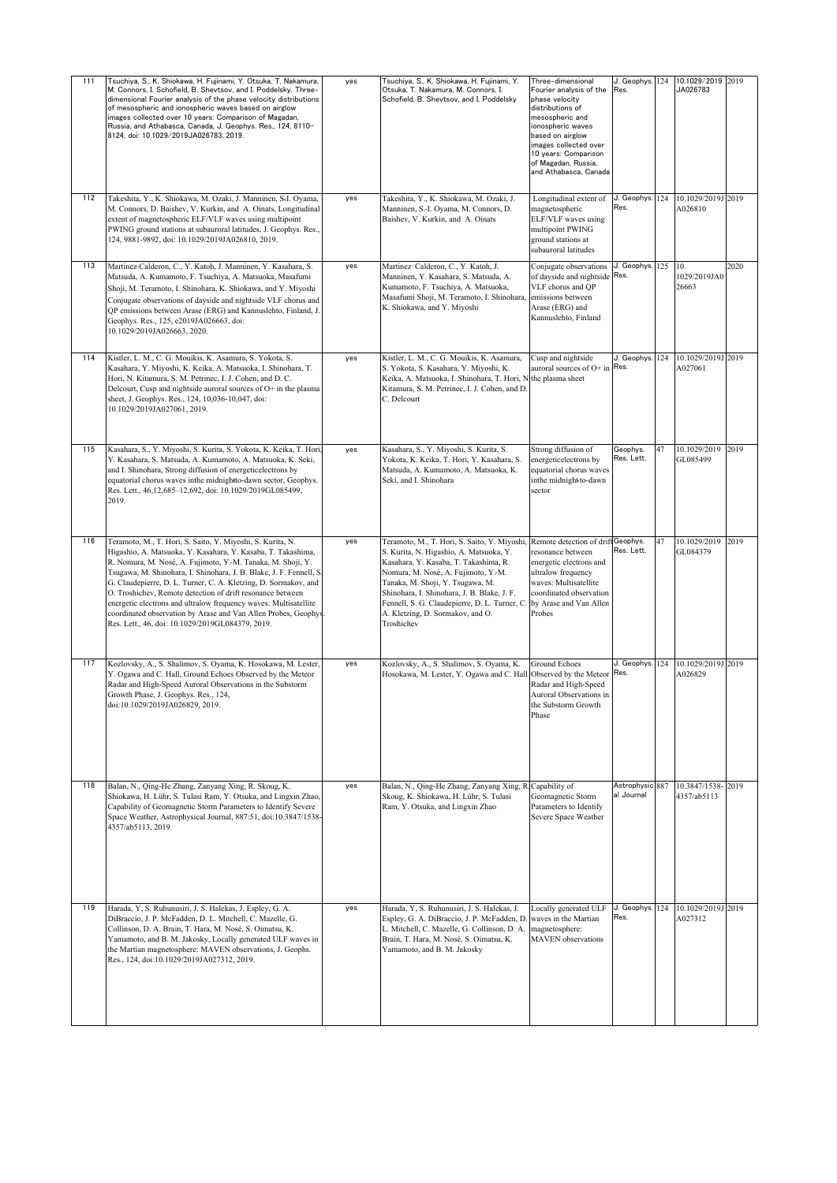| 111 | Tsuchiya, S., K. Shiokawa, H. Fujinami, Y. Otsuka, T. Nakamura,<br>M. Connors, I. Schofield, B. Shevtsov, and I. Poddelsky, Three-<br>dimensional Fourier analysis of the phase velocity distributions<br>of mesospheric and ionospheric waves based on airglow<br>images collected over 10 years: Comparison of Magadan,<br>Russia, and Athabasca, Canada, J. Geophys. Res., 124, 8110-<br>8124, doi: 10.1029/2019JA026783, 2019.                                                                                                                                                         | yes | Tsuchiya, S., K. Shiokawa, H. Fujinami, Y.<br>Otsuka, T. Nakamura, M. Connors, I.<br>Schofield, B. Shevtsov, and I. Poddelsky                                                                                                                                                                                                                                                                    | Three-dimensional<br>Fourier analysis of the<br>phase velocity<br>distributions of<br>mesospheric and<br>ionospheric waves<br>based on airglow<br>images collected over<br>10 years: Comparison<br>of Magadan, Russia,<br>and Athabasca, Canada | J. Geophys.<br>Res.           | 124 | 10.1029/2019<br>JA026783      | 2019 |
|-----|--------------------------------------------------------------------------------------------------------------------------------------------------------------------------------------------------------------------------------------------------------------------------------------------------------------------------------------------------------------------------------------------------------------------------------------------------------------------------------------------------------------------------------------------------------------------------------------------|-----|--------------------------------------------------------------------------------------------------------------------------------------------------------------------------------------------------------------------------------------------------------------------------------------------------------------------------------------------------------------------------------------------------|-------------------------------------------------------------------------------------------------------------------------------------------------------------------------------------------------------------------------------------------------|-------------------------------|-----|-------------------------------|------|
| 112 | Takeshita, Y., K. Shiokawa, M. Ozaki, J. Manninen, S-I. Oyama,<br>M. Connors, D. Baishev, V. Kurkin, and A. Oinats, Longitudinal<br>extent of magnetospheric ELF/VLF waves using multipoint<br>PWING ground stations at subauroral latitudes, J. Geophys. Res.,<br>124, 9881-9892, doi: 10.1029/2019JA026810, 2019.                                                                                                                                                                                                                                                                        | yes | Takeshita, Y., K. Shiokawa, M. Ozaki, J.<br>Manninen, S.-I. Oyama, M. Connors, D.<br>Baishev, V. Kurkin, and A. Oinats                                                                                                                                                                                                                                                                           | Longitudinal extent of<br>magnetospheric<br>ELF/VLF waves using<br>multipoint PWING<br>ground stations at<br>subauroral latitudes                                                                                                               | J. Geophys.<br>Res.           | 124 | 10.1029/2019J<br>A026810      | 2019 |
| 113 | Martinez-Calderon, C., Y. Katoh, J. Manninen, Y. Kasahara, S.<br>Matsuda, A. Kumamoto, F. Tsuchiya, A. Matsuoka, Masafumi<br>Shoji, M. Teramoto, I. Shinohara, K. Shiokawa, and Y. Miyoshi<br>Conjugate observations of dayside and nightside VLF chorus and<br>QP emissions between Arase (ERG) and Kannuslehto, Finland, J<br>Geophys. Res., 125, e2019JA026663, doi:<br>10.1029/2019JA026663, 2020.                                                                                                                                                                                     | yes | Martinez-Calderon, C., Y. Katoh, J.<br>Manninen, Y. Kasahara, S. Matsuda, A.<br>Kumamoto, F. Tsuchiya, A. Matsuoka,<br>Masafumi Shoji, M. Teramoto, I. Shinohara,<br>K. Shiokawa, and Y. Miyoshi                                                                                                                                                                                                 | Conjugate observations<br>of dayside and nightside Res.<br>VLF chorus and QP<br>emissions between<br>Arase (ERG) and<br>Kannuslehto, Finland                                                                                                    | J. Geophys.                   | 125 | 10.<br>1029/2019JA0<br>26663  | 2020 |
| 114 | Kistler, L. M., C. G. Mouikis, K. Asamura, S. Yokota, S.<br>Kasahara, Y. Miyoshi, K. Keika, A. Matsuoka, I. Shinohara, T.<br>Hori, N. Kitamura, S. M. Petrinec, I. J. Cohen, and D. C.<br>Delcourt, Cusp and nightside auroral sources of O+ in the plasma<br>sheet, J. Geophys. Res., 124, 10,036-10,047, doi:<br>10.1029/2019JA027061, 2019.                                                                                                                                                                                                                                             | yes | Kistler, L. M., C. G. Mouikis, K. Asamura,<br>S. Yokota, S. Kasahara, Y. Miyoshi, K.<br>Keika, A. Matsuoka, I. Shinohara, T. Hori, N the plasma sheet<br>Kitamura, S. M. Petrinec, I. J. Cohen, and D.<br>C. Delcourt                                                                                                                                                                            | Cusp and nightside<br>auroral sources of O+ in Res.                                                                                                                                                                                             | J. Geophys.                   | 124 | 10.1029/2019J<br>A027061      | 2019 |
| 115 | Kasahara, S., Y. Miyoshi, S. Kurita, S. Yokota, K. Keika, T. Hori,<br>Y. Kasahara, S. Matsuda, A. Kumamoto, A. Matsuoka, K. Seki,<br>and I. Shinohara, Strong diffusion of energeticelectrons by<br>equatorial chorus waves inthe midnightto-dawn sector, Geophys.<br>Res. Lett., 46,12,685-12,692, doi: 10.1029/2019GL085499,<br>2019.                                                                                                                                                                                                                                                    | yes | Kasahara, S., Y. Miyoshi, S. Kurita, S.<br>Yokota, K. Keika, T. Hori, Y. Kasahara, S.<br>Matsuda, A. Kumamoto, A. Matsuoka, K.<br>Seki, and I. Shinohara                                                                                                                                                                                                                                         | Strong diffusion of<br>energeticelectrons by<br>equatorial chorus waves<br>inthe midnight-to-dawn<br>sector                                                                                                                                     | Geophys.<br>Res. Lett.        | 47  | 10.1029/2019<br>GL085499      | 2019 |
| 116 | Teramoto, M., T. Hori, S. Saito, Y. Miyoshi, S. Kurita, N.<br>Higashio, A. Matsuoka, Y. Kasahara, Y. Kasaba, T. Takashima,<br>R. Nomura, M. Nosé, A. Fujimoto, Y.-M. Tanaka, M. Shoji, Y.<br>Tsugawa, M. Shinohara, I. Shinohara, J. B. Blake, J. F. Fennell, S<br>G. Claudepierre, D. L. Turner, C. A. Kletzing, D. Sormakov, and<br>O. Troshichev, Remote detection of drift resonance between<br>energetic electrons and ultralow frequency waves: Multisatellite<br>coordinated observation by Arase and Van Allen Probes, Geophys<br>Res. Lett., 46, doi: 10.1029/2019GL084379, 2019. | yes | Teramoto, M., T. Hori, S. Saito, Y. Miyoshi, Remote detection of drift Geophys.<br>S. Kurita, N. Higashio, A. Matsuoka, Y.<br>Kasahara, Y. Kasaba, T. Takashima, R.<br>Nomura, M. Nosé, A. Fujimoto, Y.-M.<br>Tanaka, M. Shoji, Y. Tsugawa, M.<br>Shinohara, I. Shinohara, J. B. Blake, J. F.<br>Fennell, S. G. Claudepierre, D. L. Turner, C.<br>A. Kletzing, D. Sormakov, and O.<br>Troshichev | resonance between<br>energetic electrons and<br>ultralow frequency<br>waves: Multisatellite<br>coordinated observation<br>by Arase and Van Allen<br>Probes                                                                                      | Res. Lett.                    | 47  | 10.1029/2019<br>GL084379      | 2019 |
| 117 | Kozlovsky, A., S. Shalimov, S. Oyama, K. Hosokawa, M. Lester,<br>Y. Ogawa and C. Hall, Ground Echoes Observed by the Meteor<br>Radar and High-Speed Auroral Observations in the Substorm<br>Growth Phase, J. Geophys. Res., 124,<br>doi:10.1029/2019JA026829, 2019.                                                                                                                                                                                                                                                                                                                        | yes | Kozlovsky, A., S. Shalimov, S. Oyama, K.<br>Hosokawa, M. Lester, Y. Ogawa and C. Hall Observed by the Meteor                                                                                                                                                                                                                                                                                     | <b>Ground Echoes</b><br>Radar and High-Speed<br>Auroral Observations in<br>the Substorm Growth<br>Phase                                                                                                                                         | J. Geophys.<br>Res.           | 124 | 10.1029/2019J 2019<br>A026829 |      |
| 118 | Balan, N., Qing-He Zhang, Zanyang Xing, R. Skoug, K.<br>Shiokawa, H. Lühr, S. Tulasi Ram, Y. Otsuka, and Lingxin Zhao,<br>Capability of Geomagnetic Storm Parameters to Identify Severe<br>Space Weather, Astrophysical Journal, 887:51, doi:10.3847/1538-<br>4357/ab5113, 2019                                                                                                                                                                                                                                                                                                            | yes | Balan, N., Qing-He Zhang, Zanyang Xing, R. Capability of<br>Skoug, K. Shiokawa, H. Lühr, S. Tulasi<br>Ram, Y. Otsuka, and Lingxin Zhao                                                                                                                                                                                                                                                           | Geomagnetic Storm<br>Parameters to Identify<br>Severe Space Weather                                                                                                                                                                             | Astrophysic 887<br>al Journal |     | 10.3847/1538<br>4357/ab5113   | 2019 |
| 119 | Harada, Y, S. Ruhunusiri, J. S. Halekas, J. Espley, G. A.<br>DiBraccio, J. P. McFadden, D. L. Mitchell, C. Mazelle, G.<br>Collinson, D. A. Brain, T. Hara, M. Nosé, S. Oimatsu, K.<br>Yamamoto, and B. M. Jakosky, Locally generated ULF waves in<br>the Martian magnetosphere: MAVEN observations, J. Geophs.<br>Res., 124, doi:10.1029/2019JA027312, 2019.                                                                                                                                                                                                                               | yes | Harada, Y, S. Ruhunusiri, J. S. Halekas, J.<br>Espley, G. A. DiBraccio, J. P. McFadden, D.<br>L. Mitchell, C. Mazelle, G. Collinson, D. A.<br>Brain, T. Hara, M. Nosé, S. Oimatsu, K.<br>Yamamoto, and B. M. Jakosky                                                                                                                                                                             | Locally generated ULF<br>waves in the Martian<br>magnetosphere:<br><b>MAVEN</b> observations                                                                                                                                                    | J. Geophys.<br>Res.           | 124 | 10.1029/2019J 2019<br>A027312 |      |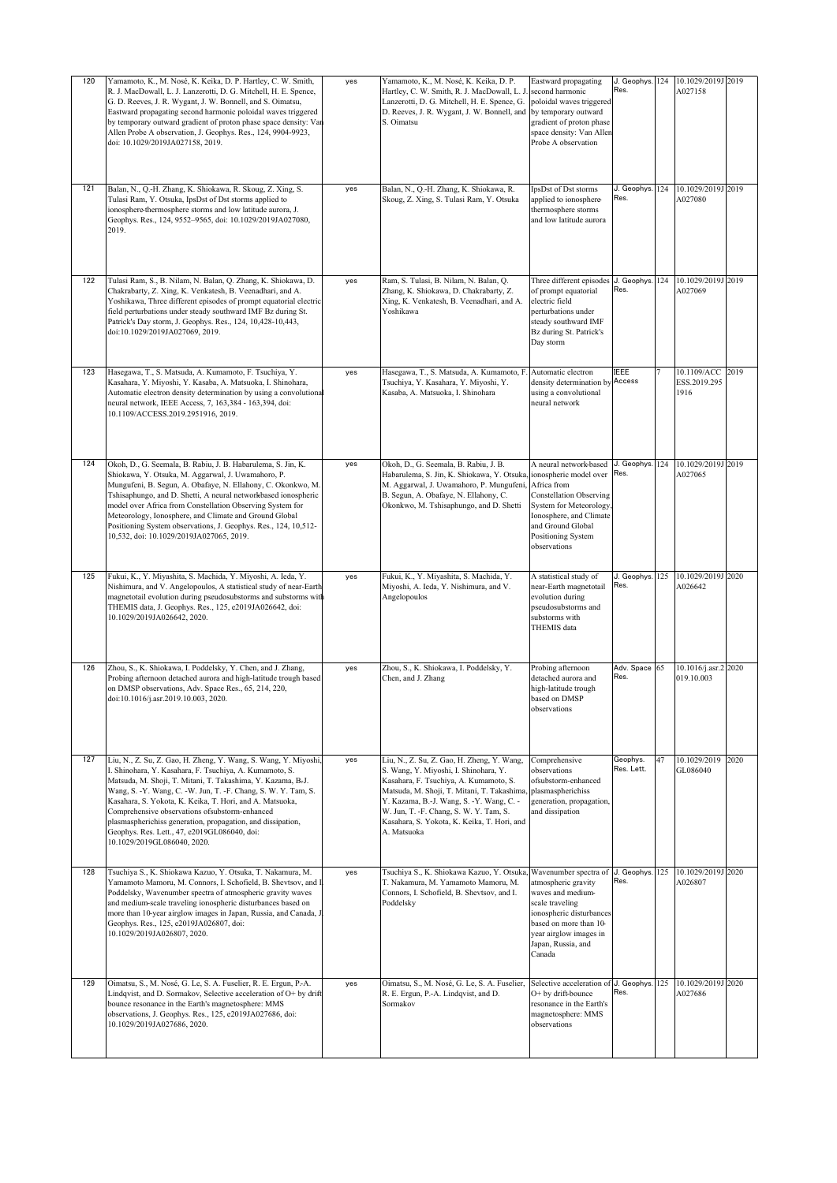| 120 | Yamamoto, K., M. Nosé, K. Keika, D. P. Hartley, C. W. Smith,<br>R. J. MacDowall, L. J. Lanzerotti, D. G. Mitchell, H. E. Spence,<br>G. D. Reeves, J. R. Wygant, J. W. Bonnell, and S. Oimatsu,<br>Eastward propagating second harmonic poloidal waves triggered<br>by temporary outward gradient of proton phase space density: Van<br>Allen Probe A observation, J. Geophys. Res., 124, 9904-9923,<br>doi: 10.1029/2019JA027158, 2019.                                                                                | yes | Yamamoto, K., M. Nosé, K. Keika, D. P.<br>Hartley, C. W. Smith, R. J. MacDowall, L. J<br>Lanzerotti, D. G. Mitchell, H. E. Spence, G.<br>D. Reeves, J. R. Wygant, J. W. Bonnell, and<br>S. Oimatsu                                                                                                                               | Eastward propagating<br>second harmonic<br>poloidal waves triggered<br>by temporary outward<br>gradient of proton phase<br>space density: Van Allen<br>Probe A observation                                               | J. Geophys. 124<br>Res. |                | 10.1029/2019J 2019<br>A027158       |      |
|-----|------------------------------------------------------------------------------------------------------------------------------------------------------------------------------------------------------------------------------------------------------------------------------------------------------------------------------------------------------------------------------------------------------------------------------------------------------------------------------------------------------------------------|-----|----------------------------------------------------------------------------------------------------------------------------------------------------------------------------------------------------------------------------------------------------------------------------------------------------------------------------------|--------------------------------------------------------------------------------------------------------------------------------------------------------------------------------------------------------------------------|-------------------------|----------------|-------------------------------------|------|
| 121 | Balan, N., Q.-H. Zhang, K. Shiokawa, R. Skoug, Z. Xing, S.<br>Tulasi Ram, Y. Otsuka, IpsDst of Dst storms applied to<br>ionosphere-thermosphere storms and low latitude aurora, J.<br>Geophys. Res., 124, 9552-9565, doi: 10.1029/2019JA027080,<br>2019.                                                                                                                                                                                                                                                               | yes | Balan, N., Q.-H. Zhang, K. Shiokawa, R.<br>Skoug, Z. Xing, S. Tulasi Ram, Y. Otsuka                                                                                                                                                                                                                                              | IpsDst of Dst storms<br>applied to ionosphere-<br>thermosphere storms<br>and low latitude aurora                                                                                                                         | J. Geophys. 124<br>Res. |                | 10.1029/2019J 2019<br>A027080       |      |
| 122 | Tulasi Ram, S., B. Nilam, N. Balan, Q. Zhang, K. Shiokawa, D.<br>Chakrabarty, Z. Xing, K. Venkatesh, B. Veenadhari, and A.<br>Yoshikawa, Three different episodes of prompt equatorial electric<br>field perturbations under steady southward IMF Bz during St.<br>Patrick's Day storm, J. Geophys. Res., 124, 10,428-10,443,<br>doi:10.1029/2019JA027069, 2019.                                                                                                                                                       | yes | Ram, S. Tulasi, B. Nilam, N. Balan, Q.<br>Zhang, K. Shiokawa, D. Chakrabarty, Z.<br>Xing, K. Venkatesh, B. Veenadhari, and A.<br>Yoshikawa                                                                                                                                                                                       | Three different episodes<br>of prompt equatorial<br>electric field<br>perturbations under<br>steady southward IMF<br>Bz during St. Patrick's<br>Day storm                                                                | J. Geophys. 124<br>Res. |                | 10.1029/2019J 2019<br>A027069       |      |
| 123 | Hasegawa, T., S. Matsuda, A. Kumamoto, F. Tsuchiya, Y.<br>Kasahara, Y. Miyoshi, Y. Kasaba, A. Matsuoka, I. Shinohara,<br>Automatic electron density determination by using a convolutional<br>neural network, IEEE Access, 7, 163,384 - 163,394, doi:<br>10.1109/ACCESS.2019.2951916, 2019.                                                                                                                                                                                                                            | yes | Hasegawa, T., S. Matsuda, A. Kumamoto, F.<br>Tsuchiya, Y. Kasahara, Y. Miyoshi, Y.<br>Kasaba, A. Matsuoka, I. Shinohara                                                                                                                                                                                                          | Automatic electron<br>density determination by Access<br>using a convolutional<br>neural network                                                                                                                         | IEEE                    | $\overline{7}$ | 10.1109/ACC<br>ESS.2019.295<br>1916 | 2019 |
| 124 | Okoh, D., G. Seemala, B. Rabiu, J. B. Habarulema, S. Jin, K.<br>Shiokawa, Y. Otsuka, M. Aggarwal, J. Uwamahoro, P.<br>Mungufeni, B. Segun, A. Obafaye, N. Ellahony, C. Okonkwo, M.<br>Tshisaphungo, and D. Shetti, A neural networkbased ionospheric<br>model over Africa from Constellation Observing System for<br>Meteorology, Ionosphere, and Climate and Ground Global<br>Positioning System observations, J. Geophys. Res., 124, 10,512-<br>10,532, doi: 10.1029/2019JA027065, 2019.                             | yes | Okoh, D., G. Seemala, B. Rabiu, J. B.<br>Habarulema, S. Jin, K. Shiokawa, Y. Otsuka,<br>M. Aggarwal, J. Uwamahoro, P. Mungufeni,<br>B. Segun, A. Obafaye, N. Ellahony, C.<br>Okonkwo, M. Tshisaphungo, and D. Shetti                                                                                                             | A neural network-based<br>ionospheric model over<br>Africa from<br><b>Constellation Observing</b><br><b>System for Meteorology</b><br>Ionosphere, and Climate<br>and Ground Global<br>Positioning System<br>observations | J. Geophys.<br>Res.     | 124            | 10.1029/2019J 2019<br>A027065       |      |
| 125 | Fukui, K., Y. Miyashita, S. Machida, Y. Miyoshi, A. Ieda, Y.<br>Nishimura, and V. Angelopoulos, A statistical study of near-Earth<br>magnetotail evolution during pseudosubstorms and substorms with<br>THEMIS data, J. Geophys. Res., 125, e2019JA026642, doi:<br>10.1029/2019JA026642, 2020.                                                                                                                                                                                                                         | yes | Fukui, K., Y. Miyashita, S. Machida, Y.<br>Miyoshi, A. Ieda, Y. Nishimura, and V.<br>Angelopoulos                                                                                                                                                                                                                                | A statistical study of<br>near-Earth magnetotail<br>evolution during<br>pseudosubstorms and<br>substorms with<br>THEMIS data                                                                                             | J. Geophys.<br>Res.     | 125            | 10.1029/2019J 2020<br>A026642       |      |
| 126 | Zhou, S., K. Shiokawa, I. Poddelsky, Y. Chen, and J. Zhang,<br>Probing afternoon detached aurora and high-latitude trough based<br>on DMSP observations, Adv. Space Res., 65, 214, 220,<br>doi:10.1016/i.asr.2019.10.003, 2020.                                                                                                                                                                                                                                                                                        | yes | Zhou, S., K. Shiokawa, I. Poddelsky, Y.<br>Chen, and J. Zhang                                                                                                                                                                                                                                                                    | Probing afternoon<br>detached aurora and<br>high-latitude trough<br>based on DMSP<br>observations                                                                                                                        | Adv. Space 65<br>Res.   |                | 10.1016/j.asr.2 2020<br>019.10.003  |      |
| 127 | Liu, N., Z. Su, Z. Gao, H. Zheng, Y. Wang, S. Wang, Y. Miyoshi.<br>I. Shinohara, Y. Kasahara, F. Tsuchiya, A. Kumamoto, S.<br>Matsuda, M. Shoji, T. Mitani, T. Takashima, Y. Kazama, B-J.<br>Wang, S. -Y. Wang, C. -W. Jun, T. -F. Chang, S. W. Y. Tam, S.<br>Kasahara, S. Yokota, K. Keika, T. Hori, and A. Matsuoka,<br>Comprehensive observations ofsubstorm-enhanced<br>plasmaspherichiss generation, propagation, and dissipation,<br>Geophys. Res. Lett., 47, e2019GL086040, doi:<br>10.1029/2019GL086040, 2020. | yes | Liu, N., Z. Su, Z. Gao, H. Zheng, Y. Wang,<br>S. Wang, Y. Miyoshi, I. Shinohara, Y.<br>Kasahara, F. Tsuchiya, A. Kumamoto, S.<br>Matsuda, M. Shoji, T. Mitani, T. Takashima,<br>Y. Kazama, B.-J. Wang, S. -Y. Wang, C. -<br>W. Jun, T. -F. Chang, S. W. Y. Tam, S.<br>Kasahara, S. Yokota, K. Keika, T. Hori, and<br>A. Matsuoka | Comprehensive<br>observations<br>ofsubstorm-enhanced<br>plasmaspherichiss<br>generation, propagation,<br>and dissipation                                                                                                 | Geophys.<br>Res. Lett.  | 47             | 10.1029/2019<br>GL086040            | 2020 |
| 128 | Tsuchiya S., K. Shiokawa Kazuo, Y. Otsuka, T. Nakamura, M.<br>Yamamoto Mamoru, M. Connors, I. Schofield, B. Shevtsov, and I<br>Poddelsky, Wavenumber spectra of atmospheric gravity waves<br>and medium-scale traveling ionospheric disturbances based on<br>more than 10-year airglow images in Japan, Russia, and Canada, J<br>Geophys. Res., 125, e2019JA026807, doi:<br>10.1029/2019JA026807, 2020.                                                                                                                | yes | Tsuchiya S., K. Shiokawa Kazuo, Y. Otsuka,<br>T. Nakamura, M. Yamamoto Mamoru, M.<br>Connors, I. Schofield, B. Shevtsov, and I.<br>Poddelsky                                                                                                                                                                                     | Wavenumber spectra of J. Geophys.<br>atmospheric gravity<br>waves and medium-<br>scale traveling<br>ionospheric disturbances<br>based on more than 10-<br>year airglow images in<br>Japan, Russia, and<br>Canada         | Res.                    | 125            | 10.1029/2019J 2020<br>A026807       |      |
| 129 | Oimatsu, S., M. Nosé, G. Le, S. A. Fuselier, R. E. Ergun, P.-A.<br>Lindqvist, and D. Sormakov, Selective acceleration of O+ by drift<br>bounce resonance in the Earth's magnetosphere: MMS<br>observations, J. Geophys. Res., 125, e2019JA027686, doi:<br>10.1029/2019JA027686, 2020.                                                                                                                                                                                                                                  | yes | Oimatsu, S., M. Nosé, G. Le, S. A. Fuselier,<br>R. E. Ergun, P.-A. Lindqvist, and D.<br>Sormakov                                                                                                                                                                                                                                 | Selective acceleration of J. Geophys. 125<br>O+ by drift-bounce<br>resonance in the Earth's<br>magnetosphere: MMS<br>observations                                                                                        | Res.                    |                | 10.1029/2019J 2020<br>A027686       |      |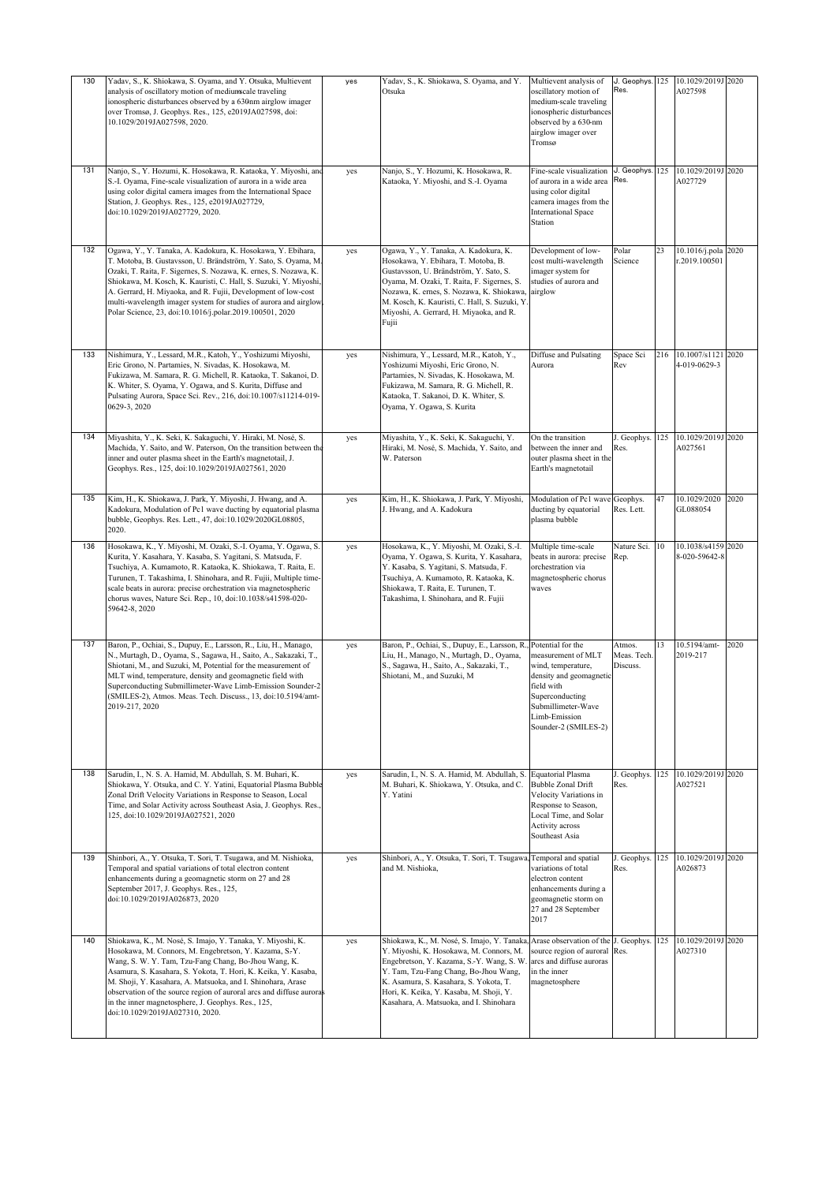| 130 | Yadav, S., K. Shiokawa, S. Oyama, and Y. Otsuka, Multievent<br>analysis of oscillatory motion of mediumcale traveling<br>ionospheric disturbances observed by a 630nm airglow imager<br>over Tromsø, J. Geophys. Res., 125, e2019JA027598, doi:<br>10.1029/2019JA027598, 2020.                                                                                                                                                                                                 | yes | Yadav, S., K. Shiokawa, S. Oyama, and Y.<br>Otsuka                                                                                                                                                                                                                                                                                    | Multievent analysis of<br>oscillatory motion of<br>medium-scale traveling<br>ionospheric disturbances<br>observed by a 630-nm<br>airglow imager over<br>Tromsø      | J. Geophys.<br>Res.               | 125 | 10.1029/2019J<br>A027598        | 2020 |
|-----|--------------------------------------------------------------------------------------------------------------------------------------------------------------------------------------------------------------------------------------------------------------------------------------------------------------------------------------------------------------------------------------------------------------------------------------------------------------------------------|-----|---------------------------------------------------------------------------------------------------------------------------------------------------------------------------------------------------------------------------------------------------------------------------------------------------------------------------------------|---------------------------------------------------------------------------------------------------------------------------------------------------------------------|-----------------------------------|-----|---------------------------------|------|
| 131 | Nanjo, S., Y. Hozumi, K. Hosokawa, R. Kataoka, Y. Miyoshi, and<br>S.-I. Oyama, Fine-scale visualization of aurora in a wide area<br>using color digital camera images from the International Space<br>Station, J. Geophys. Res., 125, e2019JA027729,<br>doi:10.1029/2019JA027729, 2020.                                                                                                                                                                                        | yes | Nanjo, S., Y. Hozumi, K. Hosokawa, R.<br>Kataoka, Y. Miyoshi, and S.-I. Oyama                                                                                                                                                                                                                                                         | Fine-scale visualization<br>of aurora in a wide area<br>using color digital<br>camera images from the<br><b>International Space</b><br>Station                      | J. Geophys.<br>Res.               | 125 | 10.1029/2019J<br>A027729        | 2020 |
| 132 | Ogawa, Y., Y. Tanaka, A. Kadokura, K. Hosokawa, Y. Ebihara,<br>T. Motoba, B. Gustavsson, U. Brändström, Y. Sato, S. Oyama, M<br>Ozaki, T. Raita, F. Sigernes, S. Nozawa, K. ernes, S. Nozawa, K.<br>Shiokawa, M. Kosch, K. Kauristi, C. Hall, S. Suzuki, Y. Miyoshi,<br>A. Gerrard, H. Miyaoka, and R. Fujii, Development of low-cost<br>multi-wavelength imager system for studies of aurora and airglow<br>Polar Science, 23, doi:10.1016/j.polar.2019.100501, 2020          | yes | Ogawa, Y., Y. Tanaka, A. Kadokura, K.<br>Hosokawa, Y. Ebihara, T. Motoba, B.<br>Gustavsson, U. Brändström, Y. Sato, S.<br>Oyama, M. Ozaki, T. Raita, F. Sigernes, S.<br>Nozawa, K. ernes, S. Nozawa, K. Shiokawa,<br>M. Kosch, K. Kauristi, C. Hall, S. Suzuki, Y.<br>Miyoshi, A. Gerrard, H. Miyaoka, and R.<br>Fujii                | Development of low-<br>cost multi-wavelength<br>imager system for<br>studies of aurora and<br>airglow                                                               | Polar<br>Science                  | 23  | 10.1016/j.pola<br>r.2019.100501 | 2020 |
| 133 | Nishimura, Y., Lessard, M.R., Katoh, Y., Yoshizumi Miyoshi,<br>Eric Grono, N. Partamies, N. Sivadas, K. Hosokawa, M.<br>Fukizawa, M. Samara, R. G. Michell, R. Kataoka, T. Sakanoi, D.<br>K. Whiter, S. Oyama, Y. Ogawa, and S. Kurita, Diffuse and<br>Pulsating Aurora, Space Sci. Rev., 216, doi:10.1007/s11214-019-<br>0629-3, 2020                                                                                                                                         | yes | Nishimura, Y., Lessard, M.R., Katoh, Y.,<br>Yoshizumi Miyoshi, Eric Grono, N.<br>Partamies, N. Sivadas, K. Hosokawa, M.<br>Fukizawa, M. Samara, R. G. Michell, R.<br>Kataoka, T. Sakanoi, D. K. Whiter, S.<br>Oyama, Y. Ogawa, S. Kurita                                                                                              | Diffuse and Pulsating<br>Aurora                                                                                                                                     | Space Sci<br>Rev                  | 216 | 10.1007/s1121<br>4-019-0629-3   | 2020 |
| 134 | Miyashita, Y., K. Seki, K. Sakaguchi, Y. Hiraki, M. Nosé, S.<br>Machida, Y. Saito, and W. Paterson, On the transition between the<br>inner and outer plasma sheet in the Earth's magnetotail, J.<br>Geophys. Res., 125, doi:10.1029/2019JA027561, 2020                                                                                                                                                                                                                         | yes | Miyashita, Y., K. Seki, K. Sakaguchi, Y.<br>Hiraki, M. Nosé, S. Machida, Y. Saito, and<br>W. Paterson                                                                                                                                                                                                                                 | On the transition<br>between the inner and<br>outer plasma sheet in the<br>Earth's magnetotail                                                                      | J. Geophys.<br>Res.               | 125 | 10.1029/2019J 2020<br>A027561   |      |
| 135 | Kim, H., K. Shiokawa, J. Park, Y. Miyoshi, J. Hwang, and A.<br>Kadokura, Modulation of Pc1 wave ducting by equatorial plasma<br>bubble, Geophys. Res. Lett., 47, doi:10.1029/2020GL08805,<br>2020.                                                                                                                                                                                                                                                                             | yes | Kim, H., K. Shiokawa, J. Park, Y. Miyoshi,<br>J. Hwang, and A. Kadokura                                                                                                                                                                                                                                                               | Modulation of Pc1 wave<br>ducting by equatorial<br>plasma bubble                                                                                                    | Geophys.<br>Res. Lett.            | 47  | 10.1029/2020<br>GL088054        | 2020 |
| 136 | Hosokawa, K., Y. Miyoshi, M. Ozaki, S.-I. Oyama, Y. Ogawa, S.<br>Kurita, Y. Kasahara, Y. Kasaba, S. Yagitani, S. Matsuda, F.<br>Tsuchiya, A. Kumamoto, R. Kataoka, K. Shiokawa, T. Raita, E.<br>Turunen, T. Takashima, I. Shinohara, and R. Fujii, Multiple time-<br>scale beats in aurora: precise orchestration via magnetospheric<br>chorus waves, Nature Sci. Rep., 10, doi:10.1038/s41598-020-<br>59642-8, 2020                                                           | yes | Hosokawa, K., Y. Miyoshi, M. Ozaki, S.-I.<br>Oyama, Y. Ogawa, S. Kurita, Y. Kasahara,<br>Y. Kasaba, S. Yagitani, S. Matsuda, F.<br>Tsuchiya, A. Kumamoto, R. Kataoka, K.<br>Shiokawa, T. Raita, E. Turunen, T.<br>Takashima, I. Shinohara, and R. Fujii                                                                               | Multiple time-scale<br>beats in aurora: precise<br>orchestration via<br>magnetospheric chorus<br>waves                                                              | Nature Sci.<br>Rep.               | 10  | 10.1038/s4159<br>8-020-59642-8  | 2020 |
| 137 | Baron, P., Ochiai, S., Dupuy, E., Larsson, R., Liu, H., Manago,<br>N., Murtagh, D., Oyama, S., Sagawa, H., Saito, A., Sakazaki, T.,<br>Shiotani, M., and Suzuki, M, Potential for the measurement of<br>MLT wind, temperature, density and geomagnetic field with<br>Superconducting Submillimeter-Wave Limb-Emission Sounder-2<br>(SMILES-2), Atmos. Meas. Tech. Discuss., 13, doi:10.5194/amt-<br>2019-217, 2020                                                             | yes | Baron, P., Ochiai, S., Dupuy, E., Larsson, R., Potential for the<br>Liu, H., Manago, N., Murtagh, D., Oyama,<br>S., Sagawa, H., Saito, A., Sakazaki, T.,<br>Shiotani, M., and Suzuki, M                                                                                                                                               | measurement of MLT<br>wind, temperature,<br>density and geomagnetic<br>field with<br>Superconducting<br>Submillimeter-Wave<br>Limb-Emission<br>Sounder-2 (SMILES-2) | Atmos.<br>Meas. Tech.<br>Discuss. | 13  | 10.5194/amt-<br>2019-217        | 2020 |
| 138 | Sarudin, I., N. S. A. Hamid, M. Abdullah, S. M. Buhari, K.<br>Shiokawa, Y. Otsuka, and C. Y. Yatini, Equatorial Plasma Bubble<br>Zonal Drift Velocity Variations in Response to Season, Local<br>Time, and Solar Activity across Southeast Asia, J. Geophys. Res.,<br>125, doi:10.1029/2019JA027521, 2020                                                                                                                                                                      | yes | Sarudin, I., N. S. A. Hamid, M. Abdullah, S.<br>M. Buhari, K. Shiokawa, Y. Otsuka, and C.<br>Y. Yatini                                                                                                                                                                                                                                | Equatorial Plasma<br><b>Bubble Zonal Drift</b><br>Velocity Variations in<br>Response to Season,<br>Local Time, and Solar<br>Activity across<br>Southeast Asia       | J. Geophys.<br>Res.               | 125 | 10.1029/2019J 2020<br>A027521   |      |
| 139 | Shinbori, A., Y. Otsuka, T. Sori, T. Tsugawa, and M. Nishioka,<br>Temporal and spatial variations of total electron content<br>enhancements during a geomagnetic storm on 27 and 28<br>September 2017, J. Geophys. Res., 125,<br>doi:10.1029/2019JA026873, 2020                                                                                                                                                                                                                | yes | Shinbori, A., Y. Otsuka, T. Sori, T. Tsugawa, Temporal and spatial<br>and M. Nishioka,                                                                                                                                                                                                                                                | variations of total<br>electron content<br>enhancements during a<br>geomagnetic storm on<br>27 and 28 September<br>2017                                             | J. Geophys.<br>Res.               | 125 | 10.1029/2019J<br>A026873        | 2020 |
| 140 | Shiokawa, K., M. Nosé, S. Imajo, Y. Tanaka, Y. Miyoshi, K.<br>Hosokawa, M. Connors, M. Engebretson, Y. Kazama, S.-Y.<br>Wang, S. W. Y. Tam, Tzu-Fang Chang, Bo-Jhou Wang, K.<br>Asamura, S. Kasahara, S. Yokota, T. Hori, K. Keika, Y. Kasaba,<br>M. Shoji, Y. Kasahara, A. Matsuoka, and I. Shinohara, Arase<br>observation of the source region of auroral arcs and diffuse auroras<br>in the inner magnetosphere, J. Geophys. Res., 125,<br>doi:10.1029/2019JA027310, 2020. | yes | Shiokawa, K., M. Nosé, S. Imajo, Y. Tanaka, Arase observation of the<br>Y. Miyoshi, K. Hosokawa, M. Connors, M.<br>Engebretson, Y. Kazama, S.-Y. Wang, S. W.<br>Y. Tam, Tzu-Fang Chang, Bo-Jhou Wang,<br>K. Asamura, S. Kasahara, S. Yokota, T.<br>Hori, K. Keika, Y. Kasaba, M. Shoji, Y.<br>Kasahara, A. Matsuoka, and I. Shinohara | source region of auroral<br>arcs and diffuse auroras<br>in the inner<br>magnetosphere                                                                               | J. Geophys.<br>Res.               | 125 | 10.1029/2019J<br>A027310        | 2020 |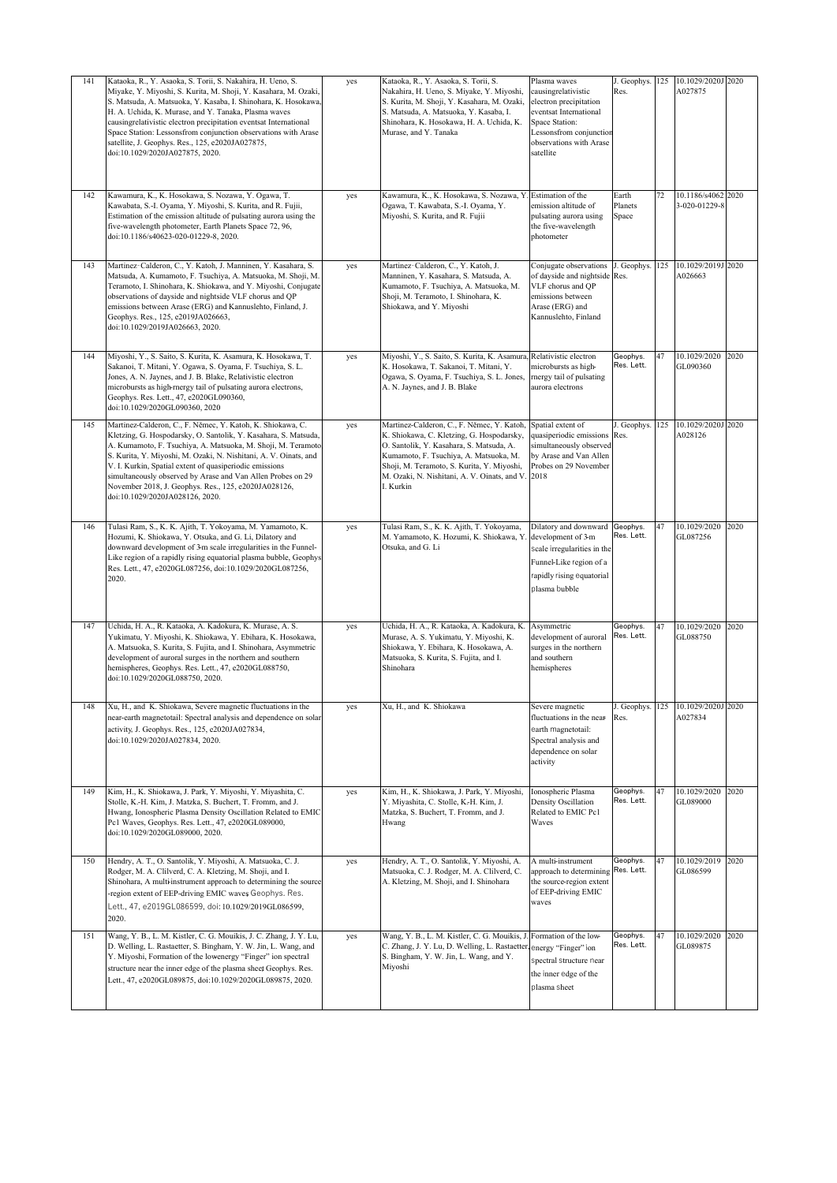| 141 | Kataoka, R., Y. Asaoka, S. Torii, S. Nakahira, H. Ueno, S.<br>Miyake, Y. Miyoshi, S. Kurita, M. Shoji, Y. Kasahara, M. Ozaki,<br>S. Matsuda, A. Matsuoka, Y. Kasaba, I. Shinohara, K. Hosokawa,<br>H. A. Uchida, K. Murase, and Y. Tanaka, Plasma waves<br>causingrelativistic electron precipitation eventsat International<br>Space Station: Lessonsfrom conjunction observations with Arase<br>satellite, J. Geophys. Res., 125, e2020JA027875,<br>doi:10.1029/2020JA027875, 2020.  | yes | Kataoka, R., Y. Asaoka, S. Torii, S.<br>Nakahira, H. Ueno, S. Miyake, Y. Miyoshi,<br>S. Kurita, M. Shoji, Y. Kasahara, M. Ozaki,<br>S. Matsuda, A. Matsuoka, Y. Kasaba, I.<br>Shinohara, K. Hosokawa, H. A. Uchida, K.<br>Murase, and Y. Tanaka                                                                 | Plasma waves<br>causingrelativistic<br>electron precipitation<br>eventsat International<br>Space Station:<br>Lessonsfrom conjunction<br>observations with Arase<br>satellite | J. Geophys.<br>Res.       | 125 | 10.1029/2020J<br>A027875                      | 2020 |
|-----|----------------------------------------------------------------------------------------------------------------------------------------------------------------------------------------------------------------------------------------------------------------------------------------------------------------------------------------------------------------------------------------------------------------------------------------------------------------------------------------|-----|-----------------------------------------------------------------------------------------------------------------------------------------------------------------------------------------------------------------------------------------------------------------------------------------------------------------|------------------------------------------------------------------------------------------------------------------------------------------------------------------------------|---------------------------|-----|-----------------------------------------------|------|
| 142 | Kawamura, K., K. Hosokawa, S. Nozawa, Y. Ogawa, T.<br>Kawabata, S.-I. Oyama, Y. Miyoshi, S. Kurita, and R. Fujii,<br>Estimation of the emission altitude of pulsating aurora using the<br>five-wavelength photometer, Earth Planets Space 72, 96,<br>doi:10.1186/s40623-020-01229-8, 2020.                                                                                                                                                                                             | yes | Kawamura, K., K. Hosokawa, S. Nozawa, Y. Estimation of the<br>Ogawa, T. Kawabata, S.-I. Oyama, Y.<br>Miyoshi, S. Kurita, and R. Fujii                                                                                                                                                                           | emission altitude of<br>pulsating aurora using<br>the five-wavelength<br>photometer                                                                                          | Earth<br>Planets<br>Space | 72  | 10.1186/s4062<br>3-020-01229-8                | 2020 |
| 143 | Martinez-Calderon, C., Y. Katoh, J. Manninen, Y. Kasahara, S.<br>Matsuda, A. Kumamoto, F. Tsuchiya, A. Matsuoka, M. Shoji, M.<br>Teramoto, I. Shinohara, K. Shiokawa, and Y. Miyoshi, Conjugate<br>observations of dayside and nightside VLF chorus and QP<br>emissions between Arase (ERG) and Kannuslehto, Finland, J.<br>Geophys. Res., 125, e2019JA026663,<br>doi:10.1029/2019JA026663, 2020.                                                                                      | yes | Martinez-Calderon, C., Y. Katoh, J.<br>Manninen, Y. Kasahara, S. Matsuda, A.<br>Kumamoto, F. Tsuchiya, A. Matsuoka, M.<br>Shoji, M. Teramoto, I. Shinohara, K.<br>Shiokawa, and Y. Miyoshi                                                                                                                      | Conjugate observations<br>of dayside and nightside Res.<br>VLF chorus and QP<br>emissions between<br>Arase (ERG) and<br>Kannuslehto, Finland                                 | J. Geophys.               | 125 | 10.1029/2019J<br>A026663                      | 2020 |
| 144 | Miyoshi, Y., S. Saito, S. Kurita, K. Asamura, K. Hosokawa, T.<br>Sakanoi, T. Mitani, Y. Ogawa, S. Oyama, F. Tsuchiya, S. L.<br>Jones, A. N. Jaynes, and J. B. Blake, Relativistic electron<br>microbursts as high-rnergy tail of pulsating aurora electrons,<br>Geophys. Res. Lett., 47, e2020GL090360,<br>doi:10.1029/2020GL090360, 2020                                                                                                                                              | yes | Miyoshi, Y., S. Saito, S. Kurita, K. Asamura, Relativistic electron<br>K. Hosokawa, T. Sakanoi, T. Mitani, Y.<br>Ogawa, S. Oyama, F. Tsuchiya, S. L. Jones, rnergy tail of pulsating<br>A. N. Jaynes, and J. B. Blake                                                                                           | microbursts as high-<br>aurora electrons                                                                                                                                     | Geophys.<br>Res. Lett.    | 47  | 10.1029/2020<br>GL090360                      | 2020 |
| 145 | Martinez-Calderon, C., F. Němec, Y. Katoh, K. Shiokawa, C.<br>Kletzing, G. Hospodarsky, O. Santolik, Y. Kasahara, S. Matsuda,<br>A. Kumamoto, F. Tsuchiya, A. Matsuoka, M. Shoji, M. Teramoto<br>S. Kurita, Y. Miyoshi, M. Ozaki, N. Nishitani, A. V. Oinats, and<br>V. I. Kurkin, Spatial extent of quasiperiodic emissions<br>simultaneously observed by Arase and Van Allen Probes on 29<br>November 2018, J. Geophys. Res., 125, e2020JA028126,<br>doi:10.1029/2020JA028126, 2020. | yes | Martinez-Calderon, C., F. Němec, Y. Katoh, Spatial extent of<br>K. Shiokawa, C. Kletzing, G. Hospodarsky,<br>O. Santolik, Y. Kasahara, S. Matsuda, A.<br>Kumamoto, F. Tsuchiya, A. Matsuoka, M.<br>Shoji, M. Teramoto, S. Kurita, Y. Miyoshi,<br>M. Ozaki, N. Nishitani, A. V. Oinats, and V. 2018<br>I. Kurkin | quasiperiodic emissions Res.<br>simultaneously observed<br>by Arase and Van Allen<br>Probes on 29 November                                                                   | J. Geophys.               | 125 | 10.1029/2020J 2020<br>A028126                 |      |
| 146 | Tulasi Ram, S., K. K. Ajith, T. Yokoyama, M. Yamamoto, K.<br>Hozumi, K. Shiokawa, Y. Otsuka, and G. Li, Dilatory and<br>downward development of 3-m scale irregularities in the Funnel-<br>Like region of a rapidly rising equatorial plasma bubble, Geophys<br>Res. Lett., 47, e2020GL087256, doi:10.1029/2020GL087256,<br>2020.                                                                                                                                                      | yes | Tulasi Ram, S., K. K. Ajith, T. Yokoyama,<br>M. Yamamoto, K. Hozumi, K. Shiokawa, Y.<br>Otsuka, and G. Li                                                                                                                                                                                                       | Dilatory and downward<br>development of 3-m<br>scale irregularities in the<br>Funnel-Like region of a<br>apidly rising equatorial<br>plasma bubble                           | Geophys.<br>Res. Lett.    | 47  | 10.1029/2020<br>GL087256                      | 2020 |
| 147 | Uchida, H. A., R. Kataoka, A. Kadokura, K. Murase, A. S.<br>Yukimatu, Y. Miyoshi, K. Shiokawa, Y. Ebihara, K. Hosokawa,<br>A. Matsuoka, S. Kurita, S. Fujita, and I. Shinohara, Asymmetric<br>development of auroral surges in the northern and southern<br>hemispheres, Geophys. Res. Lett., 47, e2020GL088750,<br>doi:10.1029/2020GL088750, 2020.                                                                                                                                    | yes | Uchida, H. A., R. Kataoka, A. Kadokura, K.<br>Murase, A. S. Yukimatu, Y. Miyoshi, K.<br>Shiokawa, Y. Ebihara, K. Hosokawa, A.<br>Matsuoka, S. Kurita, S. Fujita, and I.<br>Shinohara                                                                                                                            | Asymmetric<br>development of auroral<br>surges in the northern<br>and southern<br>hemispheres                                                                                | Geophys.<br>Res. Lett.    | 47  | 10.1029/2020<br>GL088750                      | 2020 |
| 148 | Xu, H., and K. Shiokawa, Severe magnetic fluctuations in the<br>near-earth magnetotail: Spectral analysis and dependence on solar<br>activity, J. Geophys. Res., 125, e2020JA027834,<br>doi:10.1029/2020JA027834, 2020.                                                                                                                                                                                                                                                                | yes | Xu, H., and K. Shiokawa                                                                                                                                                                                                                                                                                         | Severe magnetic<br>fluctuations in the near-<br>earth magnetotail:<br>Spectral analysis and<br>dependence on solar<br>activity                                               | Res.                      |     | J. Geophys. 125 10.1029/2020J 2020<br>A027834 |      |
| 149 | Kim, H., K. Shiokawa, J. Park, Y. Miyoshi, Y. Miyashita, C.<br>Stolle, K.-H. Kim, J. Matzka, S. Buchert, T. Fromm, and J.<br>Hwang, Ionospheric Plasma Density Oscillation Related to EMIC<br>Pc1 Waves, Geophys. Res. Lett., 47, e2020GL089000,<br>doi:10.1029/2020GL089000, 2020.                                                                                                                                                                                                    | yes | Kim, H., K. Shiokawa, J. Park, Y. Miyoshi,<br>Y. Miyashita, C. Stolle, K.-H. Kim, J.<br>Matzka, S. Buchert, T. Fromm, and J.<br>Hwang                                                                                                                                                                           | Ionospheric Plasma<br>Density Oscillation<br>Related to EMIC Pc1<br>Waves                                                                                                    | Geophys.<br>Res. Lett.    | 47  | 10.1029/2020<br>GL089000                      | 2020 |
| 150 | Hendry, A. T., O. Santolik, Y. Miyoshi, A. Matsuoka, C. J.<br>Rodger, M. A. Clilverd, C. A. Kletzing, M. Shoji, and I.<br>Shinohara, A multi-instrument approach to determining the source<br>-region extent of EEP-driving EMIC waves Geophys. Res.<br>Lett., 47, e2019GL086599, doi:10.1029/2019GL086599,<br>2020.                                                                                                                                                                   | yes | Hendry, A. T., O. Santolik, Y. Miyoshi, A.<br>Matsuoka, C. J. Rodger, M. A. Clilverd, C.<br>A. Kletzing, M. Shoji, and I. Shinohara                                                                                                                                                                             | A multi-instrument<br>approach to determining Res. Lett.<br>the source-region extent<br>of EEP-driving EMIC<br>waves                                                         | Geophys.                  | 47  | 10.1029/2019<br>GL086599                      | 2020 |
| 151 | Wang, Y. B., L. M. Kistler, C. G. Mouikis, J. C. Zhang, J. Y. Lu,<br>D. Welling, L. Rastaetter, S. Bingham, Y. W. Jin, L. Wang, and<br>Y. Miyoshi, Formation of the lowenergy "Finger" ion spectral<br>structure near the inner edge of the plasma sheet Geophys. Res.<br>Lett., 47, e2020GL089875, doi:10.1029/2020GL089875, 2020.                                                                                                                                                    | yes | Wang, Y. B., L. M. Kistler, C. G. Mouikis, J. Formation of the low-<br>C. Zhang, J. Y. Lu, D. Welling, L. Rastaetter<br>S. Bingham, Y. W. Jin, L. Wang, and Y.<br>Miyoshi                                                                                                                                       | energy "Finger" ion<br>spectral structure near<br>the inner edge of the<br>plasma sheet                                                                                      | Geophys.<br>Res. Lett.    | 47  | 10.1029/2020<br>GL089875                      | 2020 |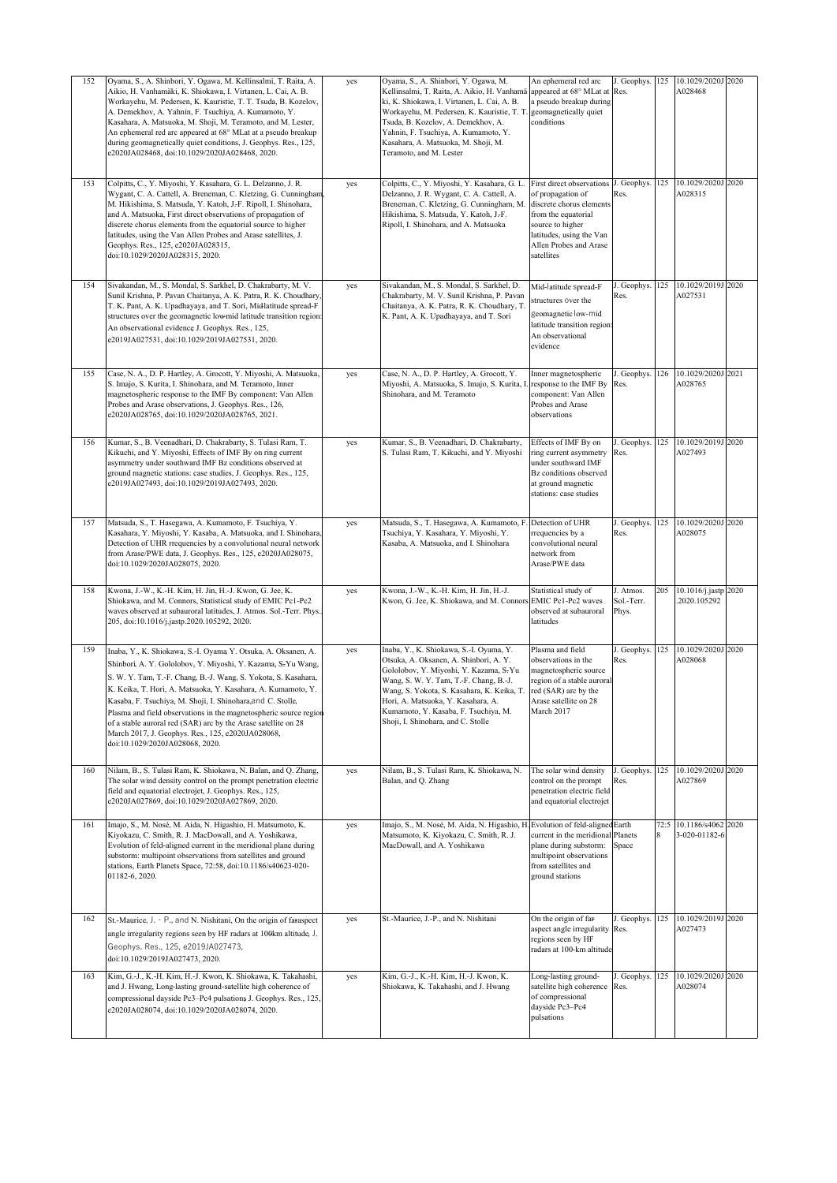| 152 | Oyama, S., A. Shinbori, Y. Ogawa, M. Kellinsalmi, T. Raita, A.<br>Aikio, H. Vanhamäki, K. Shiokawa, I. Virtanen, L. Cai, A. B.<br>Workayehu, M. Pedersen, K. Kauristie, T. T. Tsuda, B. Kozelov,<br>A. Demekhov, A. Yahnin, F. Tsuchiya, A. Kumamoto, Y.<br>Kasahara, A. Matsuoka, M. Shoji, M. Teramoto, and M. Lester,<br>An ephemeral red arc appeared at 68° MLat at a pseudo breakup<br>during geomagnetically quiet conditions, J. Geophys. Res., 125,<br>e2020JA028468, doi:10.1029/2020JA028468, 2020.                                                | yes | Oyama, S., A. Shinbori, Y. Ogawa, M.<br>Kellinsalmi, T. Raita, A. Aikio, H. Vanhamä<br>ki, K. Shiokawa, I. Virtanen, L. Cai, A. B.<br>Workayehu, M. Pedersen, K. Kauristie, T. T.<br>Tsuda, B. Kozelov, A. Demekhov, A.<br>Yahnin, F. Tsuchiya, A. Kumamoto, Y.<br>Kasahara, A. Matsuoka, M. Shoji, M.<br>Teramoto, and M. Lester                    | An ephemeral red arc<br>appeared at 68° MLat at<br>a pseudo breakup during<br>geomagnetically quiet<br>conditions                                                                         | J. Geophys. 125<br>Res.          |           | 10.1029/2020J 2020<br>A028468       |      |
|-----|---------------------------------------------------------------------------------------------------------------------------------------------------------------------------------------------------------------------------------------------------------------------------------------------------------------------------------------------------------------------------------------------------------------------------------------------------------------------------------------------------------------------------------------------------------------|-----|------------------------------------------------------------------------------------------------------------------------------------------------------------------------------------------------------------------------------------------------------------------------------------------------------------------------------------------------------|-------------------------------------------------------------------------------------------------------------------------------------------------------------------------------------------|----------------------------------|-----------|-------------------------------------|------|
| 153 | Colpitts, C., Y. Miyoshi, Y. Kasahara, G. L. Delzanno, J. R.<br>Wygant, C. A. Cattell, A. Breneman, C. Kletzing, G. Cunningham<br>M. Hikishima, S. Matsuda, Y. Katoh, J.-F. Ripoll, I. Shinohara,<br>and A. Matsuoka, First direct observations of propagation of<br>discrete chorus elements from the equatorial source to higher<br>latitudes, using the Van Allen Probes and Arase satellites, J.<br>Geophys. Res., 125, e2020JA028315,<br>doi:10.1029/2020JA028315, 2020.                                                                                 | yes | Colpitts, C., Y. Miyoshi, Y. Kasahara, G. L<br>Delzanno, J. R. Wygant, C. A. Cattell, A.<br>Breneman, C. Kletzing, G. Cunningham, M.<br>Hikishima, S. Matsuda, Y. Katoh, J.-F.<br>Ripoll, I. Shinohara, and A. Matsuoka                                                                                                                              | First direct observations<br>of propagation of<br>discrete chorus elements<br>from the equatorial<br>source to higher<br>latitudes, using the Van<br>Allen Probes and Arase<br>satellites | J. Geophys.<br>Res.              | 125       | 10.1029/2020J<br>A028315            | 2020 |
| 154 | Sivakandan, M., S. Mondal, S. Sarkhel, D. Chakrabarty, M. V.<br>Sunil Krishna, P. Pavan Chaitanya, A. K. Patra, R. K. Choudhary.<br>T. K. Pant, A. K. Upadhayaya, and T. Sori, Midlatitude spread-F<br>structures over the geomagnetic lowmid latitude transition region:<br>An observational evidence J. Geophys. Res., 125,<br>e2019JA027531, doi:10.1029/2019JA027531, 2020.                                                                                                                                                                               | yes | Sivakandan, M., S. Mondal, S. Sarkhel, D.<br>Chakrabarty, M. V. Sunil Krishna, P. Pavan<br>Chaitanya, A. K. Patra, R. K. Choudhary, T.<br>K. Pant, A. K. Upadhayaya, and T. Sori                                                                                                                                                                     | Mid-latitude spread-F<br>tructures over the<br>geomagnetic low-mid<br>latitude transition region<br>An observational<br>evidence                                                          | J. Geophys.<br>Res.              | 125       | 10.1029/2019J 2020<br>A027531       |      |
| 155 | Case, N. A., D. P. Hartley, A. Grocott, Y. Miyoshi, A. Matsuoka,<br>S. Imajo, S. Kurita, I. Shinohara, and M. Teramoto, Inner<br>magnetospheric response to the IMF By component: Van Allen<br>Probes and Arase observations, J. Geophys. Res., 126,<br>e2020JA028765, doi:10.1029/2020JA028765, 2021.                                                                                                                                                                                                                                                        | yes | Case, N. A., D. P. Hartley, A. Grocott, Y.<br>Miyoshi, A. Matsuoka, S. Imajo, S. Kurita, I<br>Shinohara, and M. Teramoto                                                                                                                                                                                                                             | Inner magnetospheric<br>response to the IMF By<br>component: Van Allen<br>Probes and Arase<br>observations                                                                                | . Geophys.<br>Res.               | 126       | 10.1029/2020J<br>A028765            | 2021 |
| 156 | Kumar, S., B. Veenadhari, D. Chakrabarty, S. Tulasi Ram, T.<br>Kikuchi, and Y. Miyoshi, Effects of IMF By on ring current<br>asymmetry under southward IMF Bz conditions observed at<br>ground magnetic stations: case studies, J. Geophys. Res., 125,<br>e2019JA027493, doi:10.1029/2019JA027493, 2020.                                                                                                                                                                                                                                                      | yes | Kumar, S., B. Veenadhari, D. Chakrabarty,<br>S. Tulasi Ram, T. Kikuchi, and Y. Miyoshi                                                                                                                                                                                                                                                               | Effects of IMF By on<br>ring current asymmetry<br>under southward IMF<br>Bz conditions observed<br>at ground magnetic<br>stations: case studies                                           | J. Geophys.<br>Res.              | 125       | 10.1029/2019J<br>A027493            | 2020 |
| 157 | Matsuda, S., T. Hasegawa, A. Kumamoto, F. Tsuchiya, Y.<br>Kasahara, Y. Miyoshi, Y. Kasaba, A. Matsuoka, and I. Shinohara,<br>Detection of UHR rrequencies by a convolutional neural network<br>from Arase/PWE data, J. Geophys. Res., 125, e2020JA028075,<br>doi:10.1029/2020JA028075, 2020.                                                                                                                                                                                                                                                                  | yes | Matsuda, S., T. Hasegawa, A. Kumamoto, F. Detection of UHR<br>Tsuchiya, Y. Kasahara, Y. Miyoshi, Y.<br>Kasaba, A. Matsuoka, and I. Shinohara                                                                                                                                                                                                         | rrequencies by a<br>convolutional neural<br>network from<br>Arase/PWE data                                                                                                                | J. Geophys.<br>Res.              | 125       | 10.1029/2020J 2020<br>A028075       |      |
| 158 | Kwona, J.-W., K.-H. Kim, H. Jin, H.-J. Kwon, G. Jee, K.<br>Shiokawa, and M. Connors, Statistical study of EMIC Pc1-Pc2<br>waves observed at subauroral latitudes, J. Atmos. Sol.-Terr. Phys.<br>205, doi:10.1016/j.jastp.2020.105292, 2020.                                                                                                                                                                                                                                                                                                                   | yes | Kwona, J.-W., K.-H. Kim, H. Jin, H.-J.<br>Kwon, G. Jee, K. Shiokawa, and M. Connors EMIC Pc1-Pc2 waves                                                                                                                                                                                                                                               | Statistical study of<br>observed at subauroral<br>latitudes                                                                                                                               | J. Atmos.<br>Sol.-Terr.<br>Phys. | 205       | 10.1016/j.jastp 2020<br>2020.105292 |      |
| 159 | Inaba, Y., K. Shiokawa, S.-I. Oyama Y. Otsuka, A. Oksanen, A.<br>Shinbori, A. Y. Gololobov, Y. Miyoshi, Y. Kazama, S-Yu Wang,<br>S. W. Y. Tam, T.-F. Chang, B.-J. Wang, S. Yokota, S. Kasahara,<br>K. Keika, T. Hori, A. Matsuoka, Y. Kasahara, A. Kumamoto, Y.<br>Kasaba, F. Tsuchiya, M. Shoji, I. Shinohara, and C. Stolle,<br>Plasma and field observations in the magnetospheric source region<br>of a stable auroral red (SAR) arc by the Arase satellite on 28<br>March 2017, J. Geophys. Res., 125, e2020JA028068,<br>doi:10.1029/2020JA028068, 2020. | yes | Inaba, Y., K. Shiokawa, S.-I. Oyama, Y.<br>Otsuka, A. Oksanen, A. Shinbori, A. Y.<br>Gololobov, Y. Miyoshi, Y. Kazama, S <del>.</del> Yu<br>Wang, S. W. Y. Tam, T.-F. Chang, B.-J.<br>Wang, S. Yokota, S. Kasahara, K. Keika, T.<br>Hori, A. Matsuoka, Y. Kasahara, A.<br>Kumamoto, Y. Kasaba, F. Tsuchiya, M.<br>Shoji, I. Shinohara, and C. Stolle | Plasma and field<br>observations in the<br>nagnetospheric source<br>region of a stable auroral<br>red (SAR) arc by the<br>Arase satellite on 28<br>March 2017                             | J. Geophys.<br>Res.              | 125       | 10.1029/2020J 2020<br>A028068       |      |
| 160 | Nilam, B., S. Tulasi Ram, K. Shiokawa, N. Balan, and Q. Zhang,<br>The solar wind density control on the prompt penetration electric<br>field and equatorial electrojet, J. Geophys. Res., 125,<br>e2020JA027869, doi:10.1029/2020JA027869, 2020.                                                                                                                                                                                                                                                                                                              | yes | Nilam, B., S. Tulasi Ram, K. Shiokawa, N.<br>Balan, and Q. Zhang                                                                                                                                                                                                                                                                                     | The solar wind density<br>control on the prompt<br>penetration electric field<br>and equatorial electrojet                                                                                | J. Geophys.<br>Res.              | 125       | 10.1029/2020J<br>A027869            | 2020 |
| 161 | Imajo, S., M. Nosé, M. Aida, N. Higashio, H. Matsumoto, K.<br>Kiyokazu, C. Smith, R. J. MacDowall, and A. Yoshikawa,<br>Evolution of feld-aligned current in the meridional plane during<br>substorm: multipoint observations from satellites and ground<br>stations, Earth Planets Space, 72:58, doi:10.1186/s40623-020-<br>01182-6, 2020.                                                                                                                                                                                                                   | yes | Imajo, S., M. Nosé, M. Aida, N. Higashio, H. Evolution of feld-aligned<br>Matsumoto, K. Kiyokazu, C. Smith, R. J.<br>MacDowall, and A. Yoshikawa                                                                                                                                                                                                     | current in the meridional<br>plane during substorm:<br>multipoint observations<br>from satellites and<br>ground stations                                                                  | Earth<br>Planets<br>Space        | 72:5<br>8 | 10.1186/s4062<br>3-020-01182-6      | 2020 |
| 162 | St.-Maurice, J. - P., and N. Nishitani, On the origin of faraspect<br>angle irregularity regions seen by HF radars at 100km altitude, J.<br>Geophys. Res., 125, e2019JA027473,<br>doi:10.1029/2019JA027473, 2020.                                                                                                                                                                                                                                                                                                                                             | yes | St.-Maurice, J.-P., and N. Nishitani                                                                                                                                                                                                                                                                                                                 | On the origin of far-<br>aspect angle irregularity Res.<br>regions seen by HF<br>radars at 100-km altitude                                                                                | J. Geophys.                      | 125       | 10.1029/2019J<br>A027473            | 2020 |
| 163 | Kim, G.-J., K.-H. Kim, H.-J. Kwon, K. Shiokawa, K. Takahashi,<br>and J. Hwang, Long-lasting ground-satellite high coherence of<br>compressional dayside Pc3-Pc4 pulsations J. Geophys. Res., 125,<br>e2020JA028074, doi:10.1029/2020JA028074, 2020.                                                                                                                                                                                                                                                                                                           | yes | Kim, G.-J., K.-H. Kim, H.-J. Kwon, K.<br>Shiokawa, K. Takahashi, and J. Hwang                                                                                                                                                                                                                                                                        | Long-lasting ground-<br>satellite high coherence<br>of compressional<br>dayside Pc3-Pc4<br>pulsations                                                                                     | J. Geophys.<br>Res.              | 125       | 10.1029/2020J 2020<br>A028074       |      |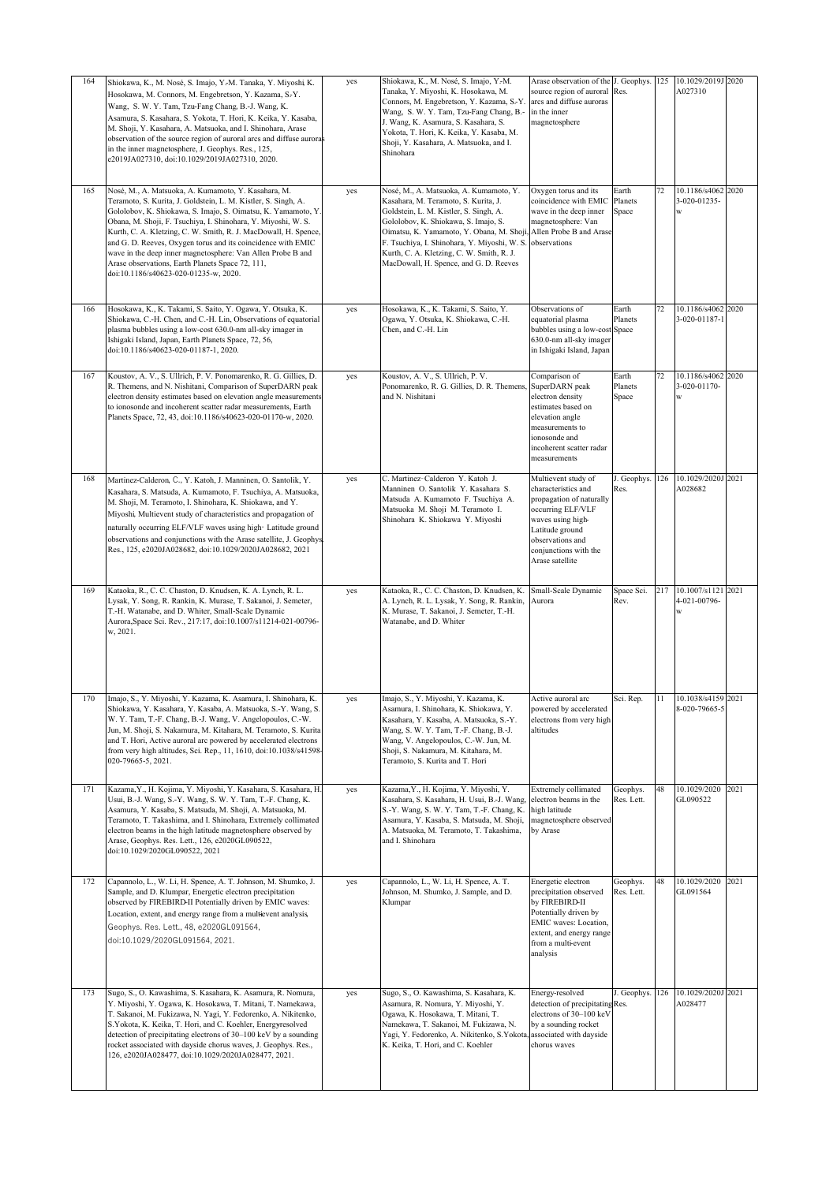| 164 | Shiokawa, K., M. Nosé, S. Imajo, Y.-M. Tanaka, Y. Miyoshi K.<br>Hosokawa, M. Connors, M. Engebretson, Y. Kazama, S.-Y.<br>Wang, S. W. Y. Tam, Tzu-Fang Chang, B.-J. Wang, K.<br>Asamura, S. Kasahara, S. Yokota, T. Hori, K. Keika, Y. Kasaba,<br>M. Shoji, Y. Kasahara, A. Matsuoka, and I. Shinohara, Arase<br>observation of the source region of auroral arcs and diffuse aurora<br>in the inner magnetosphere, J. Geophys. Res., 125,<br>e2019JA027310, doi:10.1029/2019JA027310, 2020.                                                           | yes | Shiokawa, K., M. Nosé, S. Imajo, Y.-M.<br>Tanaka, Y. Miyoshi, K. Hosokawa, M.<br>Connors, M. Engebretson, Y. Kazama, S.-Y.<br>Wang, S. W. Y. Tam, Tzu-Fang Chang, B.-<br>J. Wang, K. Asamura, S. Kasahara, S.<br>Yokota, T. Hori, K. Keika, Y. Kasaba, M.<br>Shoji, Y. Kasahara, A. Matsuoka, and I.<br>Shinohara                                    | Arase observation of the<br>source region of auroral<br>arcs and diffuse auroras<br>in the inner<br>magnetosphere                                                                                   | . Geophys.<br>Res.        | 125 | 10.1029/2019J<br>A027310                | 2020 |
|-----|--------------------------------------------------------------------------------------------------------------------------------------------------------------------------------------------------------------------------------------------------------------------------------------------------------------------------------------------------------------------------------------------------------------------------------------------------------------------------------------------------------------------------------------------------------|-----|------------------------------------------------------------------------------------------------------------------------------------------------------------------------------------------------------------------------------------------------------------------------------------------------------------------------------------------------------|-----------------------------------------------------------------------------------------------------------------------------------------------------------------------------------------------------|---------------------------|-----|-----------------------------------------|------|
| 165 | Nosé, M., A. Matsuoka, A. Kumamoto, Y. Kasahara, M.<br>Teramoto, S. Kurita, J. Goldstein, L. M. Kistler, S. Singh, A.<br>Gololobov, K. Shiokawa, S. Imajo, S. Oimatsu, K. Yamamoto, Y.<br>Obana, M. Shoji, F. Tsuchiya, I. Shinohara, Y. Miyoshi, W. S.<br>Kurth, C. A. Kletzing, C. W. Smith, R. J. MacDowall, H. Spence,<br>and G. D. Reeves, Oxygen torus and its coincidence with EMIC<br>wave in the deep inner magnetosphere: Van Allen Probe B and<br>Arase observations, Earth Planets Space 72, 111,<br>doi:10.1186/s40623-020-01235-w, 2020. | yes | Nosé, M., A. Matsuoka, A. Kumamoto, Y.<br>Kasahara, M. Teramoto, S. Kurita, J.<br>Goldstein, L. M. Kistler, S. Singh, A.<br>Gololobov, K. Shiokawa, S. Imajo, S.<br>Oimatsu, K. Yamamoto, Y. Obana, M. Shoji,<br>F. Tsuchiya, I. Shinohara, Y. Miyoshi, W. S.<br>Kurth, C. A. Kletzing, C. W. Smith, R. J.<br>MacDowall, H. Spence, and G. D. Reeves | Oxygen torus and its<br>coincidence with EMIC<br>wave in the deep inner<br>magnetosphere: Van<br>Allen Probe B and Arase<br>observations                                                            | Earth<br>Planets<br>Space | 72  | 10.1186/s4062<br>3-020-01235-<br>W      | 2020 |
| 166 | Hosokawa, K., K. Takami, S. Saito, Y. Ogawa, Y. Otsuka, K.<br>Shiokawa, C.-H. Chen, and C.-H. Lin, Observations of equatorial<br>plasma bubbles using a low-cost 630.0-nm all-sky imager in<br>Ishigaki Island, Japan, Earth Planets Space, 72, 56,<br>doi:10.1186/s40623-020-01187-1, 2020.                                                                                                                                                                                                                                                           | yes | Hosokawa, K., K. Takami, S. Saito, Y.<br>Ogawa, Y. Otsuka, K. Shiokawa, C.-H.<br>Chen, and C.-H. Lin                                                                                                                                                                                                                                                 | Observations of<br>equatorial plasma<br>bubbles using a low-cost Space<br>630.0-nm all-sky imager<br>in Ishigaki Island, Japan                                                                      | Earth<br>Planets          | 72  | 10.1186/s4062<br>3-020-01187-1          | 2020 |
| 167 | Koustov, A. V., S. Ullrich, P. V. Ponomarenko, R. G. Gillies, D.<br>R. Themens, and N. Nishitani, Comparison of SuperDARN peak<br>electron density estimates based on elevation angle measurements<br>to ionosonde and incoherent scatter radar measurements, Earth<br>Planets Space, 72, 43, doi:10.1186/s40623-020-01170-w, 2020.                                                                                                                                                                                                                    | yes | Koustov, A. V., S. Ullrich, P. V.<br>Ponomarenko, R. G. Gillies, D. R. Themens,<br>and N. Nishitani                                                                                                                                                                                                                                                  | Comparison of<br>SuperDARN peak<br>electron density<br>estimates based on<br>elevation angle<br>measurements to<br>ionosonde and<br>incoherent scatter radar<br>measurements                        | Earth<br>Planets<br>Space | 72  | 10.1186/s4062<br>3-020-01170-<br>W      | 2020 |
| 168 | Martinez-Calderon, C., Y. Katoh, J. Manninen, O. Santolik, Y.<br>Kasahara, S. Matsuda, A. Kumamoto, F. Tsuchiya, A. Matsuoka,<br>M. Shoji, M. Teramoto, I. Shinohara, K. Shiokawa, and Y.<br>Miyoshi, Multievent study of characteristics and propagation of<br>naturally occurring ELF/VLF waves using high-Latitude ground<br>observations and conjunctions with the Arase satellite, J. Geophys<br>Res., 125, e2020JA028682, doi:10.1029/2020JA028682, 2021                                                                                         | yes | C. Martinez-Calderon Y. Katoh J.<br>Manninen O. Santolik Y. Kasahara S.<br>Matsuda A. Kumamoto F. Tsuchiya A.<br>Matsuoka M. Shoji M. Teramoto I.<br>Shinohara K. Shiokawa Y. Miyoshi                                                                                                                                                                | Multievent study of<br>characteristics and<br>propagation of naturally<br>occurring ELF/VLF<br>waves using high-<br>Latitude ground<br>observations and<br>conjunctions with the<br>Arase satellite | J. Geophys.<br>Res.       | 126 | 10.1029/2020J 2021<br>A028682           |      |
| 169 | Kataoka, R., C. C. Chaston, D. Knudsen, K. A. Lynch, R. L.<br>Lysak, Y. Song, R. Rankin, K. Murase, T. Sakanoi, J. Semeter,<br>T.-H. Watanabe, and D. Whiter, Small-Scale Dynamic<br>Aurora, Space Sci. Rev., 217:17, doi:10.1007/s11214-021-00796-<br>w, 2021.                                                                                                                                                                                                                                                                                        | yes | Kataoka, R., C. C. Chaston, D. Knudsen, K.<br>A. Lynch, R. L. Lysak, Y. Song, R. Rankin,<br>K. Murase, T. Sakanoi, J. Semeter, T.-H.<br>Watanabe, and D. Whiter                                                                                                                                                                                      | Small-Scale Dynamic<br>Aurora                                                                                                                                                                       | Space Sci.<br>Rev.        | 217 | 10.1007/s1121 2021<br>4-021-00796-<br>w |      |
| 170 | Imajo, S., Y. Miyoshi, Y. Kazama, K. Asamura, I. Shinohara, K.<br>Shiokawa, Y. Kasahara, Y. Kasaba, A. Matsuoka, S.-Y. Wang, S.<br>W. Y. Tam, T.-F. Chang, B.-J. Wang, V. Angelopoulos, C.-W.<br>Jun, M. Shoji, S. Nakamura, M. Kitahara, M. Teramoto, S. Kurita<br>and T. Hori, Active auroral arc powered by accelerated electrons<br>from very high altitudes, Sci. Rep., 11, 1610, doi:10.1038/s41598-<br>020-79665-5, 2021.                                                                                                                       | yes | Imajo, S., Y. Miyoshi, Y. Kazama, K.<br>Asamura, I. Shinohara, K. Shiokawa, Y.<br>Kasahara, Y. Kasaba, A. Matsuoka, S.-Y.<br>Wang, S. W. Y. Tam, T.-F. Chang, B.-J.<br>Wang, V. Angelopoulos, C.-W. Jun, M.<br>Shoji, S. Nakamura, M. Kitahara, M.<br>Teramoto, S. Kurita and T. Hori                                                                | Active auroral arc<br>powered by accelerated<br>electrons from very high<br>altitudes                                                                                                               | Sci. Rep.                 | 11  | 10.1038/s4159 2021<br>8-020-79665-5     |      |
| 171 | Kazama, Y., H. Kojima, Y. Miyoshi, Y. Kasahara, S. Kasahara, H.<br>Usui, B.-J. Wang, S.-Y. Wang, S. W. Y. Tam, T.-F. Chang, K.<br>Asamura, Y. Kasaba, S. Matsuda, M. Shoji, A. Matsuoka, M.<br>Teramoto, T. Takashima, and I. Shinohara, Extremely collimated<br>electron beams in the high latitude magnetosphere observed by<br>Arase, Geophys. Res. Lett., 126, e2020GL090522,<br>doi:10.1029/2020GL090522, 2021                                                                                                                                    | yes | Kazama, Y., H. Kojima, Y. Miyoshi, Y.<br>Kasahara, S. Kasahara, H. Usui, B.-J. Wang,<br>S.-Y. Wang, S. W. Y. Tam, T.-F. Chang, K.<br>Asamura, Y. Kasaba, S. Matsuda, M. Shoji,<br>A. Matsuoka, M. Teramoto, T. Takashima,<br>and I. Shinohara                                                                                                        | Extremely collimated<br>electron beams in the<br>high latitude<br>magnetosphere observed<br>by Arase                                                                                                | Geophys.<br>Res. Lett.    | 48  | 10.1029/2020<br>GL090522                | 2021 |
| 172 | Capannolo, L., W. Li, H. Spence, A. T. Johnson, M. Shumko, J.<br>Sample, and D. Klumpar, Energetic electron precipitation<br>observed by FIREBIRD-II Potentially driven by EMIC waves:<br>Location, extent, and energy range from a multievent analysis<br>Geophys. Res. Lett., 48, e2020GL091564,<br>doi:10.1029/2020GL091564, 2021.                                                                                                                                                                                                                  | yes | Capannolo, L., W. Li, H. Spence, A. T.<br>Johnson, M. Shumko, J. Sample, and D.<br>Klumpar                                                                                                                                                                                                                                                           | Energetic electron<br>precipitation observed<br>by FIREBIRD-II<br>Potentially driven by<br><b>EMIC</b> waves: Location,<br>extent, and energy range<br>from a multi-event<br>analysis               | Geophys.<br>Res. Lett.    | 48  | 10.1029/2020<br>GL091564                | 2021 |
| 173 | Sugo, S., O. Kawashima, S. Kasahara, K. Asamura, R. Nomura,<br>Y. Miyoshi, Y. Ogawa, K. Hosokawa, T. Mitani, T. Namekawa,<br>T. Sakanoi, M. Fukizawa, N. Yagi, Y. Fedorenko, A. Nikitenko,<br>S.Yokota, K. Keika, T. Hori, and C. Koehler, Energyresolved<br>detection of precipitating electrons of 30-100 keV by a sounding<br>rocket associated with dayside chorus waves, J. Geophys. Res.,<br>126, e2020JA028477, doi:10.1029/2020JA028477, 2021.                                                                                                 | yes | Sugo, S., O. Kawashima, S. Kasahara, K.<br>Asamura, R. Nomura, Y. Miyoshi, Y.<br>Ogawa, K. Hosokawa, T. Mitani, T.<br>Namekawa, T. Sakanoi, M. Fukizawa, N.<br>Yagi, Y. Fedorenko, A. Nikitenko, S.Yokota<br>K. Keika, T. Hori, and C. Koehler                                                                                                       | Energy-resolved<br>detection of precipitating Res.<br>electrons of 30-100 keV<br>by a sounding rocket<br>associated with dayside<br>chorus waves                                                    | J. Geophys.               | 126 | 10.1029/2020J<br>A028477                | 2021 |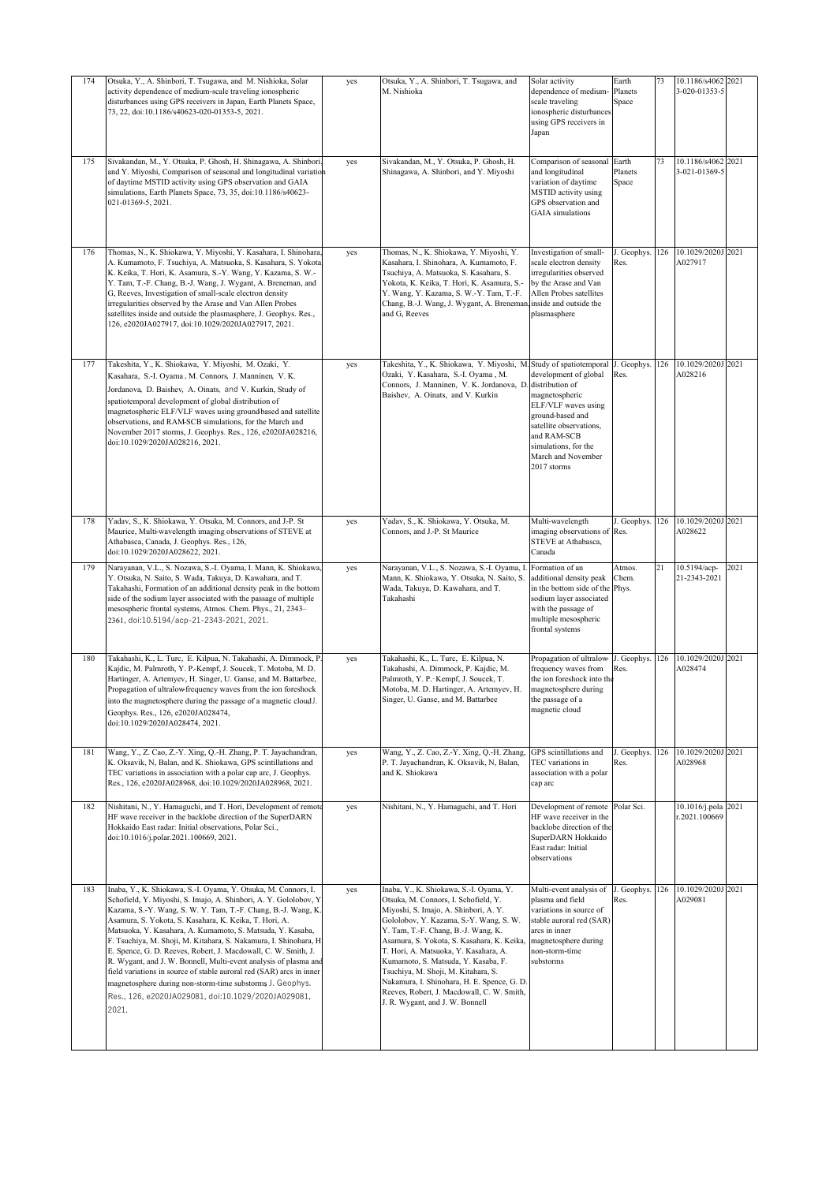| 174 | Otsuka, Y., A. Shinbori, T. Tsugawa, and M. Nishioka, Solar<br>activity dependence of medium-scale traveling ionospheric<br>disturbances using GPS receivers in Japan, Earth Planets Space,<br>73, 22, doi:10.1186/s40623-020-01353-5, 2021.                                                                                                                                                                                                                                                                                                                                                                                                                                                                                              | yes | Otsuka, Y., A. Shinbori, T. Tsugawa, and<br>M. Nishioka                                                                                                                                                                                                                                                                                                                                                                                                                                                         | Solar activity<br>dependence of medium-<br>scale traveling<br>ionospheric disturbances<br>using GPS receivers in<br>Japan                                                                                    | Earth<br>Planets<br>Space | 73  | 10.1186/s4062<br>3-020-01353-5 | 2021 |
|-----|-------------------------------------------------------------------------------------------------------------------------------------------------------------------------------------------------------------------------------------------------------------------------------------------------------------------------------------------------------------------------------------------------------------------------------------------------------------------------------------------------------------------------------------------------------------------------------------------------------------------------------------------------------------------------------------------------------------------------------------------|-----|-----------------------------------------------------------------------------------------------------------------------------------------------------------------------------------------------------------------------------------------------------------------------------------------------------------------------------------------------------------------------------------------------------------------------------------------------------------------------------------------------------------------|--------------------------------------------------------------------------------------------------------------------------------------------------------------------------------------------------------------|---------------------------|-----|--------------------------------|------|
| 175 | Sivakandan, M., Y. Otsuka, P. Ghosh, H. Shinagawa, A. Shinbori<br>and Y. Miyoshi, Comparison of seasonal and longitudinal variation<br>of daytime MSTID activity using GPS observation and GAIA<br>simulations, Earth Planets Space, 73, 35, doi:10.1186/s40623-<br>021-01369-5, 2021.                                                                                                                                                                                                                                                                                                                                                                                                                                                    | yes | Sivakandan, M., Y. Otsuka, P. Ghosh, H.<br>Shinagawa, A. Shinbori, and Y. Miyoshi                                                                                                                                                                                                                                                                                                                                                                                                                               | Comparison of seasonal<br>and longitudinal<br>variation of daytime<br>MSTID activity using<br>GPS observation and<br><b>GAIA</b> simulations                                                                 | Earth<br>Planets<br>Space | 73  | 10.1186/s4062<br>3-021-01369-5 | 2021 |
| 176 | Thomas, N., K. Shiokawa, Y. Miyoshi, Y. Kasahara, I. Shinohara,<br>A. Kumamoto, F. Tsuchiya, A. Matsuoka, S. Kasahara, S. Yokota<br>K. Keika, T. Hori, K. Asamura, S.-Y. Wang, Y. Kazama, S. W.-<br>Y. Tam, T.-F. Chang, B.-J. Wang, J. Wygant, A. Breneman, and<br>G, Reeves, Investigation of small-scale electron density<br>irregularities observed by the Arase and Van Allen Probes<br>satellites inside and outside the plasmasphere, J. Geophys. Res.,<br>126, e2020JA027917, doi:10.1029/2020JA027917, 2021.                                                                                                                                                                                                                     | yes | Thomas, N., K. Shiokawa, Y. Miyoshi, Y.<br>Kasahara, I. Shinohara, A. Kumamoto, F.<br>Tsuchiya, A. Matsuoka, S. Kasahara, S.<br>Yokota, K. Keika, T. Hori, K. Asamura, S.-<br>Y. Wang, Y. Kazama, S. W.-Y. Tam, T.-F.<br>Chang, B.-J. Wang, J. Wygant, A. Breneman inside and outside the<br>and G, Reeves                                                                                                                                                                                                      | Investigation of small-<br>scale electron density<br>irregularities observed<br>by the Arase and Van<br>Allen Probes satellites<br>plasmasphere                                                              | J. Geophys.<br>Res.       | 126 | 10.1029/2020J<br>A027917       | 2021 |
| 177 | Takeshita, Y., K. Shiokawa, Y. Miyoshi, M. Ozaki, Y.<br>Kasahara, S.-I. Oyama, M. Connors, J. Manninen, V. K.<br>Jordanova, D. Baishev, A. Oinats, and V. Kurkin, Study of<br>spatiotemporal development of global distribution of<br>magnetospheric ELF/VLF waves using groundbased and satellite<br>observations, and RAM-SCB simulations, for the March and<br>November 2017 storms, J. Geophys. Res., 126, e2020JA028216,<br>doi:10.1029/2020JA028216, 2021.                                                                                                                                                                                                                                                                          | yes | Takeshita, Y., K. Shiokawa, Y. Miyoshi, M. Study of spatiotemporal<br>Ozaki, Y. Kasahara, S.-I. Oyama , M.<br>Connors, J. Manninen, V. K. Jordanova, D.<br>Baishev, A. Oinats, and V. Kurkin                                                                                                                                                                                                                                                                                                                    | development of global<br>distribution of<br>magnetospheric<br>ELF/VLF waves using<br>ground-based and<br>satellite observations,<br>and RAM-SCB<br>simulations, for the<br>March and November<br>2017 storms | J. Geophys.<br>Res.       | 126 | 10.1029/2020J 2021<br>A028216  |      |
| 178 | Yadav, S., K. Shiokawa, Y. Otsuka, M. Connors, and J-P. St<br>Maurice, Multi-wavelength imaging observations of STEVE at<br>Athabasca, Canada, J. Geophys. Res., 126,<br>doi:10.1029/2020JA028622, 2021.                                                                                                                                                                                                                                                                                                                                                                                                                                                                                                                                  | yes | Yadav, S., K. Shiokawa, Y. Otsuka, M.<br>Connors, and J.-P. St Maurice                                                                                                                                                                                                                                                                                                                                                                                                                                          | Multi-wavelength<br>imaging observations of Res.<br>STEVE at Athabasca,<br>Canada                                                                                                                            | J. Geophys.               | 126 | 10.1029/2020J 2021<br>A028622  |      |
| 179 | Narayanan, V.L., S. Nozawa, S.-I. Oyama, I. Mann, K. Shiokawa<br>Y. Otsuka, N. Saito, S. Wada, Takuya, D. Kawahara, and T.<br>Takahashi, Formation of an additional density peak in the bottom<br>side of the sodium layer associated with the passage of multiple<br>mesospheric frontal systems, Atmos. Chem. Phys., 21, 2343-<br>2361, doi:10.5194/acp-21-2343-2021, 2021.                                                                                                                                                                                                                                                                                                                                                             | yes | Narayanan, V.L., S. Nozawa, S.-I. Oyama, I.<br>Mann, K. Shiokawa, Y. Otsuka, N. Saito, S.<br>Wada, Takuya, D. Kawahara, and T.<br>Takahashi                                                                                                                                                                                                                                                                                                                                                                     | Formation of an<br>dditional density peak<br>in the bottom side of the<br>sodium layer associated<br>with the passage of<br>multiple mesospheric<br>frontal systems                                          | Atmos.<br>Chem.<br>Phys.  | 21  | 10.5194/acp-<br>21-2343-2021   | 2021 |
| 180 | Takahashi, K., L. Turc, E. Kilpua, N. Takahashi, A. Dimmock, P<br>Kajdic, M. Palmroth, Y. P.-Kempf, J. Soucek, T. Motoba, M. D.<br>Hartinger, A. Artemyev, H. Singer, U. Ganse, and M. Battarbee,<br>Propagation of ultralow-frequency waves from the ion foreshock<br>into the magnetosphere during the passage of a magnetic cloudJ.<br>Geophys. Res., 126, e2020JA028474,<br>doi:10.1029/2020JA028474, 2021.                                                                                                                                                                                                                                                                                                                           | yes | Takahashi, K., L. Turc, E. Kilpua, N.<br>Takahashi, A. Dimmock, P. Kajdic, M.<br>Palmroth, Y. P.-Kempf, J. Soucek, T.<br>Motoba, M. D. Hartinger, A. Artemyev, H.<br>Singer, U. Ganse, and M. Battarbee                                                                                                                                                                                                                                                                                                         | Propagation of ultralow-<br>frequency waves from<br>the ion foreshock into th<br>magnetosphere during<br>the passage of a<br>magnetic cloud                                                                  | J. Geophys.<br>Res.       | 126 | 10.1029/2020J<br>A028474       | 2021 |
| 181 | Wang, Y., Z. Cao, Z.-Y. Xing, Q.-H. Zhang, P. T. Jayachandran,<br>K. Oksavik, N, Balan, and K. Shiokawa, GPS scintillations and<br>TEC variations in association with a polar cap arc, J. Geophys.<br>Res., 126, e2020JA028968, doi:10.1029/2020JA028968, 2021.                                                                                                                                                                                                                                                                                                                                                                                                                                                                           | yes | Wang, Y., Z. Cao, Z.-Y. Xing, Q.-H. Zhang,<br>P. T. Jayachandran, K. Oksavik, N, Balan,<br>and K. Shiokawa                                                                                                                                                                                                                                                                                                                                                                                                      | GPS scintillations and<br>TEC variations in<br>association with a polar<br>cap arc                                                                                                                           | J. Geophys.<br>Res.       | 126 | 10.1029/2020J<br>A028968       | 2021 |
| 182 | Nishitani, N., Y. Hamaguchi, and T. Hori, Development of remot<br>HF wave receiver in the backlobe direction of the SuperDARN<br>Hokkaido East radar: Initial observations, Polar Sci.,<br>doi:10.1016/j.polar.2021.100669, 2021.                                                                                                                                                                                                                                                                                                                                                                                                                                                                                                         | yes | Nishitani, N., Y. Hamaguchi, and T. Hori                                                                                                                                                                                                                                                                                                                                                                                                                                                                        | Development of remote<br>HF wave receiver in the<br>backlobe direction of the<br>SuperDARN Hokkaido<br>East radar: Initial<br>observations                                                                   | Polar Sci.                |     | 10.1016/j.pola<br>:2021.100669 | 2021 |
| 183 | Inaba, Y., K. Shiokawa, S.-I. Oyama, Y. Otsuka, M. Connors, I.<br>Schofield, Y. Miyoshi, S. Imajo, A. Shinbori, A. Y. Gololobov, Y<br>Kazama, S.-Y. Wang, S. W. Y. Tam, T.-F. Chang, B.-J. Wang, K<br>Asamura, S. Yokota, S. Kasahara, K. Keika, T. Hori, A.<br>Matsuoka, Y. Kasahara, A. Kumamoto, S. Matsuda, Y. Kasaba,<br>F. Tsuchiya, M. Shoji, M. Kitahara, S. Nakamura, I. Shinohara, H<br>E. Spence, G. D. Reeves, Robert, J. Macdowall, C. W. Smith, J.<br>R. Wygant, and J. W. Bonnell, Multi-event analysis of plasma and<br>field variations in source of stable auroral red (SAR) arcs in inner<br>magnetosphere during non-storm-time substorms J. Geophys.<br>Res., 126, e2020JA029081, doi:10.1029/2020JA029081,<br>2021. | yes | Inaba, Y., K. Shiokawa, S.-I. Oyama, Y.<br>Otsuka, M. Connors, I. Schofield, Y.<br>Miyoshi, S. Imajo, A. Shinbori, A. Y.<br>Gololobov, Y. Kazama, S.-Y. Wang, S. W.<br>Y. Tam, T.-F. Chang, B.-J. Wang, K.<br>Asamura, S. Yokota, S. Kasahara, K. Keika,<br>T. Hori, A. Matsuoka, Y. Kasahara, A.<br>Kumamoto, S. Matsuda, Y. Kasaba, F.<br>Tsuchiya, M. Shoji, M. Kitahara, S.<br>Nakamura, I. Shinohara, H. E. Spence, G. D.<br>Reeves, Robert, J. Macdowall, C. W. Smith,<br>J. R. Wygant, and J. W. Bonnell | Multi-event analysis of<br>plasma and field<br>variations in source of<br>stable auroral red (SAR)<br>arcs in inner<br>nagnetosphere during<br>non-storm-time<br>substorms                                   | J. Geophys.<br>Res.       | 126 | 10.1029/2020J<br>A029081       | 2021 |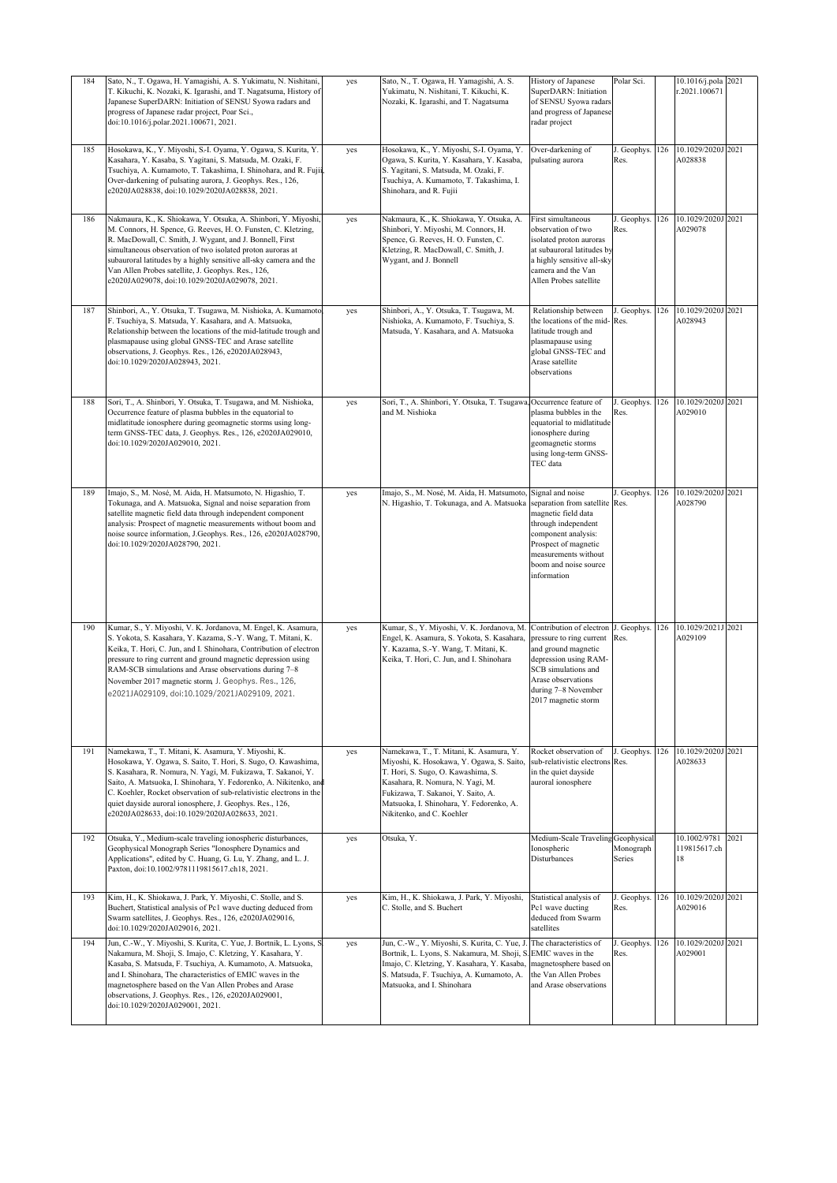| 184 | Sato, N., T. Ogawa, H. Yamagishi, A. S. Yukimatu, N. Nishitani,<br>T. Kikuchi, K. Nozaki, K. Igarashi, and T. Nagatsuma, History of<br>Japanese SuperDARN: Initiation of SENSU Syowa radars and<br>progress of Japanese radar project, Poar Sci.,<br>doi:10.1016/j.polar.2021.100671, 2021.                                                                                                                                                    | yes | Sato, N., T. Ogawa, H. Yamagishi, A. S.<br>Yukimatu, N. Nishitani, T. Kikuchi, K.<br>Nozaki, K. Igarashi, and T. Nagatsuma                                                                                                                                                    | History of Japanese<br>SuperDARN: Initiation<br>of SENSU Syowa radars<br>and progress of Japanese<br>radar project                                                                                              | Polar Sci.          |     | 10.1016/j.pola 2021<br>r.2021.100671 |      |
|-----|------------------------------------------------------------------------------------------------------------------------------------------------------------------------------------------------------------------------------------------------------------------------------------------------------------------------------------------------------------------------------------------------------------------------------------------------|-----|-------------------------------------------------------------------------------------------------------------------------------------------------------------------------------------------------------------------------------------------------------------------------------|-----------------------------------------------------------------------------------------------------------------------------------------------------------------------------------------------------------------|---------------------|-----|--------------------------------------|------|
| 185 | Hosokawa, K., Y. Miyoshi, S.-I. Oyama, Y. Ogawa, S. Kurita, Y.<br>Kasahara, Y. Kasaba, S. Yagitani, S. Matsuda, M. Ozaki, F.<br>Tsuchiya, A. Kumamoto, T. Takashima, I. Shinohara, and R. Fujii<br>Over-darkening of pulsating aurora, J. Geophys. Res., 126,<br>e2020JA028838, doi:10.1029/2020JA028838, 2021.                                                                                                                                | yes | Hosokawa, K., Y. Miyoshi, S.-I. Oyama, Y.<br>Ogawa, S. Kurita, Y. Kasahara, Y. Kasaba,<br>S. Yagitani, S. Matsuda, M. Ozaki, F.<br>Tsuchiya, A. Kumamoto, T. Takashima, I.<br>Shinohara, and R. Fujii                                                                         | Over-darkening of<br>pulsating aurora                                                                                                                                                                           | J. Geophys.<br>Res. | 126 | 10.1029/2020J<br>A028838             | 2021 |
| 186 | Nakmaura, K., K. Shiokawa, Y. Otsuka, A. Shinbori, Y. Miyoshi,<br>M. Connors, H. Spence, G. Reeves, H. O. Funsten, C. Kletzing,<br>R. MacDowall, C. Smith, J. Wygant, and J. Bonnell, First<br>simultaneous observation of two isolated proton auroras at<br>subauroral latitudes by a highly sensitive all-sky camera and the<br>Van Allen Probes satellite, J. Geophys. Res., 126,<br>e2020JA029078, doi:10.1029/2020JA029078, 2021.         | yes | Nakmaura, K., K. Shiokawa, Y. Otsuka, A.<br>Shinbori, Y. Miyoshi, M. Connors, H.<br>Spence, G. Reeves, H. O. Funsten, C.<br>Kletzing, R. MacDowall, C. Smith, J.<br>Wygant, and J. Bonnell                                                                                    | First simultaneous<br>observation of two<br>isolated proton auroras<br>at subauroral latitudes by<br>a highly sensitive all-sky<br>camera and the Van<br>Allen Probes satellite                                 | J. Geophys.<br>Res. | 126 | 10.1029/2020J 2021<br>A029078        |      |
| 187 | Shinbori, A., Y. Otsuka, T. Tsugawa, M. Nishioka, A. Kumamoto<br>F. Tsuchiya, S. Matsuda, Y. Kasahara, and A. Matsuoka,<br>Relationship between the locations of the mid-latitude trough and<br>plasmapause using global GNSS-TEC and Arase satellite<br>observations, J. Geophys. Res., 126, e2020JA028943,<br>doi:10.1029/2020JA028943, 2021.                                                                                                | yes | Shinbori, A., Y. Otsuka, T. Tsugawa, M.<br>Nishioka, A. Kumamoto, F. Tsuchiya, S.<br>Matsuda, Y. Kasahara, and A. Matsuoka                                                                                                                                                    | Relationship between<br>the locations of the mid-Res.<br>latitude trough and<br>plasmapause using<br>global GNSS-TEC and<br>Arase satellite<br>observations                                                     | J. Geophys.         | 126 | 10.1029/2020J 2021<br>A028943        |      |
| 188 | Sori, T., A. Shinbori, Y. Otsuka, T. Tsugawa, and M. Nishioka,<br>Occurrence feature of plasma bubbles in the equatorial to<br>midlatitude ionosphere during geomagnetic storms using long-<br>term GNSS-TEC data, J. Geophys. Res., 126, e2020JA029010,<br>doi:10.1029/2020JA029010, 2021.                                                                                                                                                    | yes | Sori, T., A. Shinbori, Y. Otsuka, T. Tsugawa, Occurrence feature of<br>and M. Nishioka                                                                                                                                                                                        | plasma bubbles in the<br>equatorial to midlatitude<br>ionosphere during<br>geomagnetic storms<br>using long-term GNSS-<br>TEC data                                                                              | J. Geophys.<br>Res. | 126 | 10.1029/2020J<br>A029010             | 2021 |
| 189 | Imajo, S., M. Nosé, M. Aida, H. Matsumoto, N. Higashio, T.<br>Tokunaga, and A. Matsuoka, Signal and noise separation from<br>satellite magnetic field data through independent component<br>analysis: Prospect of magnetic measurements without boom and<br>noise source information, J.Geophys. Res., 126, e2020JA028790,<br>doi:10.1029/2020JA028790, 2021.                                                                                  | yes | Imajo, S., M. Nosé, M. Aida, H. Matsumoto,<br>N. Higashio, T. Tokunaga, and A. Matsuoka                                                                                                                                                                                       | Signal and noise<br>separation from satellite Res.<br>magnetic field data<br>through independent<br>component analysis:<br>Prospect of magnetic<br>measurements without<br>boom and noise source<br>information | J. Geophys.         | 126 | 10.1029/2020J<br>A028790             | 2021 |
| 190 | Kumar, S., Y. Miyoshi, V. K. Jordanova, M. Engel, K. Asamura,<br>S. Yokota, S. Kasahara, Y. Kazama, S.-Y. Wang, T. Mitani, K.<br>Keika, T. Hori, C. Jun, and I. Shinohara, Contribution of electron<br>pressure to ring current and ground magnetic depression using<br>RAM-SCB simulations and Arase observations during 7-8<br>November 2017 magnetic storm, J. Geophys. Res., 126,<br>e2021JA029109, doi:10.1029/2021JA029109, 2021.        | yes | Kumar, S., Y. Miyoshi, V. K. Jordanova, M.<br>Engel, K. Asamura, S. Yokota, S. Kasahara,<br>Y. Kazama, S.-Y. Wang, T. Mitani, K.<br>Keika, T. Hori, C. Jun, and I. Shinohara                                                                                                  | Contribution of electron<br>pressure to ring current<br>and ground magnetic<br>depression using RAM-<br>SCB simulations and<br>Arase observations<br>during 7-8 November<br>2017 magnetic storm                 | J. Geophys.<br>Res. | 126 | 10.1029/2021J<br>A029109             | 2021 |
| 191 | Namekawa, T., T. Mitani, K. Asamura, Y. Miyoshi, K.<br>Hosokawa, Y. Ogawa, S. Saito, T. Hori, S. Sugo, O. Kawashima,<br>S. Kasahara, R. Nomura, N. Yagi, M. Fukizawa, T. Sakanoi, Y.<br>Saito, A. Matsuoka, I. Shinohara, Y. Fedorenko, A. Nikitenko, and<br>C. Koehler, Rocket observation of sub-relativistic electrons in the<br>quiet dayside auroral ionosphere, J. Geophys. Res., 126,<br>e2020JA028633, doi:10.1029/2020JA028633, 2021. | yes | Namekawa, T., T. Mitani, K. Asamura, Y.<br>Miyoshi, K. Hosokawa, Y. Ogawa, S. Saito,<br>T. Hori, S. Sugo, O. Kawashima, S.<br>Kasahara, R. Nomura, N. Yagi, M.<br>Fukizawa, T. Sakanoi, Y. Saito, A.<br>Matsuoka, I. Shinohara, Y. Fedorenko, A.<br>Nikitenko, and C. Koehler | Rocket observation of<br>sub-relativistic electrons Res.<br>in the quiet dayside<br>auroral ionosphere                                                                                                          | J. Geophys.         | 126 | 10.1029/2020J 2021<br>A028633        |      |
| 192 | Otsuka, Y., Medium-scale traveling ionospheric disturbances,<br>Geophysical Monograph Series "Ionosphere Dynamics and<br>Applications", edited by C. Huang, G. Lu, Y. Zhang, and L. J.<br>Paxton, doi:10.1002/9781119815617.ch18, 2021.                                                                                                                                                                                                        | yes | Otsuka, Y.                                                                                                                                                                                                                                                                    | Medium-Scale Traveling Geophysical<br>Ionospheric<br>Disturbances                                                                                                                                               | Monograph<br>Series |     | 10.1002/9781<br>119815617.ch<br>18   | 2021 |
| 193 | Kim, H., K. Shiokawa, J. Park, Y. Miyoshi, C. Stolle, and S.<br>Buchert, Statistical analysis of Pc1 wave ducting deduced from<br>Swarm satellites, J. Geophys. Res., 126, e2020JA029016,<br>doi:10.1029/2020JA029016, 2021.                                                                                                                                                                                                                   | yes | Kim, H., K. Shiokawa, J. Park, Y. Miyoshi,<br>C. Stolle, and S. Buchert                                                                                                                                                                                                       | Statistical analysis of<br>Pc1 wave ducting<br>deduced from Swarm<br>satellites                                                                                                                                 | J. Geophys.<br>Res. | 126 | 10.1029/2020J<br>A029016             | 2021 |
| 194 | Jun, C.-W., Y. Miyoshi, S. Kurita, C. Yue, J. Bortnik, L. Lyons, S<br>Nakamura, M. Shoji, S. Imajo, C. Kletzing, Y. Kasahara, Y.<br>Kasaba, S. Matsuda, F. Tsuchiya, A. Kumamoto, A. Matsuoka,<br>and I. Shinohara, The characteristics of EMIC waves in the<br>magnetosphere based on the Van Allen Probes and Arase<br>observations, J. Geophys. Res., 126, e2020JA029001,<br>doi:10.1029/2020JA029001, 2021.                                | yes | Jun, C.-W., Y. Miyoshi, S. Kurita, C. Yue, J. The characteristics of<br>Bortnik, L. Lyons, S. Nakamura, M. Shoji, S. EMIC waves in the<br>Imajo, C. Kletzing, Y. Kasahara, Y. Kasaba,<br>S. Matsuda, F. Tsuchiya, A. Kumamoto, A.<br>Matsuoka, and I. Shinohara               | magnetosphere based on<br>the Van Allen Probes<br>and Arase observations                                                                                                                                        | J. Geophys.<br>Res. | 126 | 10.1029/2020J 2021<br>A029001        |      |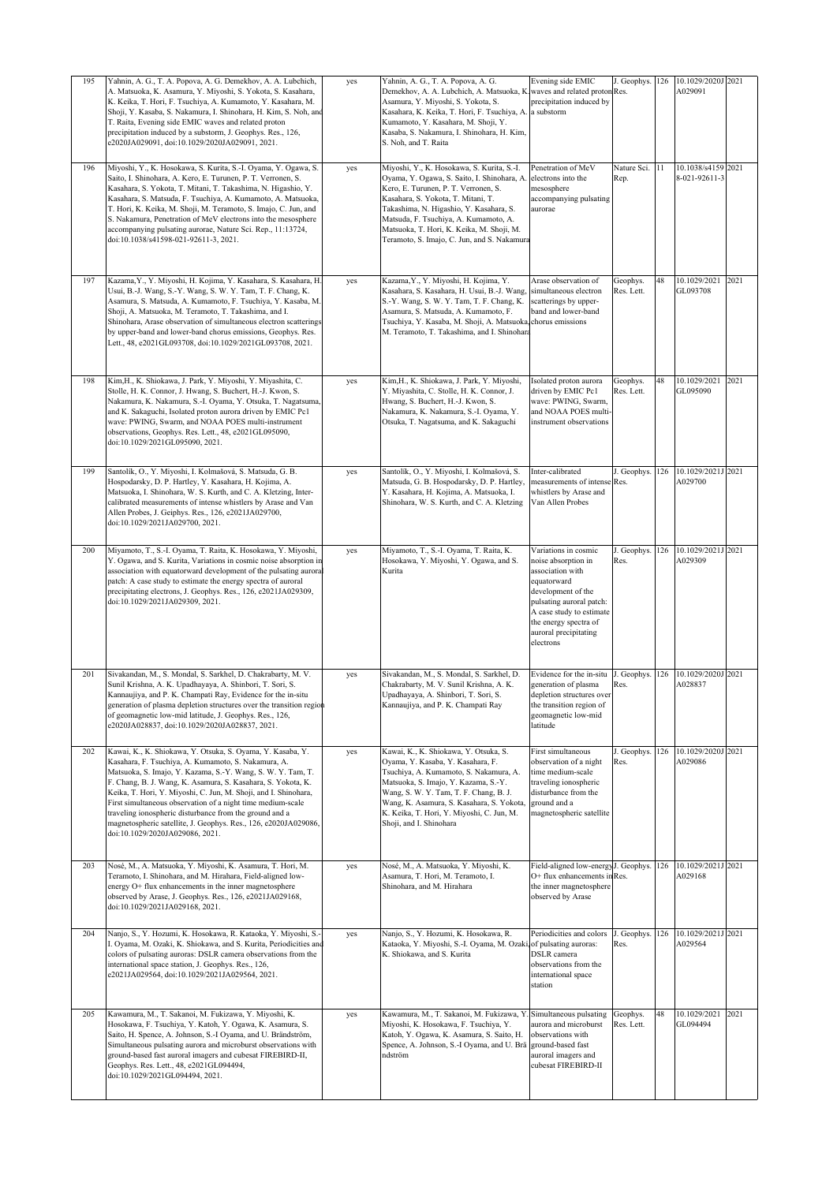| 195 | Yahnin, A. G., T. A. Popova, A. G. Demekhov, A. A. Lubchich,<br>A. Matsuoka, K. Asamura, Y. Miyoshi, S. Yokota, S. Kasahara,<br>K. Keika, T. Hori, F. Tsuchiya, A. Kumamoto, Y. Kasahara, M.<br>Shoji, Y. Kasaba, S. Nakamura, I. Shinohara, H. Kim, S. Noh, and<br>T. Raita, Evening side EMIC waves and related proton<br>precipitation induced by a substorm, J. Geophys. Res., 126,<br>e2020JA029091, doi:10.1029/2020JA029091, 2021.                                                                                                           | yes | Yahnin, A. G., T. A. Popova, A. G.<br>Demekhov, A. A. Lubchich, A. Matsuoka, K. waves and related proton Res.<br>Asamura, Y. Miyoshi, S. Yokota, S.<br>Kasahara, K. Keika, T. Hori, F. Tsuchiya, A. a substorm<br>Kumamoto, Y. Kasahara, M. Shoji, Y.<br>Kasaba, S. Nakamura, I. Shinohara, H. Kim,<br>S. Noh. and T. Raita                             | Evening side EMIC<br>precipitation induced by                                                                                                                                                                               | J. Geophys.            | 126 | 10.1029/2020J 2021<br>A029091       |      |
|-----|-----------------------------------------------------------------------------------------------------------------------------------------------------------------------------------------------------------------------------------------------------------------------------------------------------------------------------------------------------------------------------------------------------------------------------------------------------------------------------------------------------------------------------------------------------|-----|---------------------------------------------------------------------------------------------------------------------------------------------------------------------------------------------------------------------------------------------------------------------------------------------------------------------------------------------------------|-----------------------------------------------------------------------------------------------------------------------------------------------------------------------------------------------------------------------------|------------------------|-----|-------------------------------------|------|
| 196 | Miyoshi, Y., K. Hosokawa, S. Kurita, S.-I. Oyama, Y. Ogawa, S.<br>Saito, I. Shinohara, A. Kero, E. Turunen, P. T. Verronen, S.<br>Kasahara, S. Yokota, T. Mitani, T. Takashima, N. Higashio, Y.<br>Kasahara, S. Matsuda, F. Tsuchiya, A. Kumamoto, A. Matsuoka,<br>T. Hori, K. Keika, M. Shoji, M. Teramoto, S. Imajo, C. Jun, and<br>S. Nakamura, Penetration of MeV electrons into the mesosphere<br>accompanying pulsating aurorae, Nature Sci. Rep., 11:13724,<br>doi:10.1038/s41598-021-92611-3, 2021.                                         | yes | Miyoshi, Y., K. Hosokawa, S. Kurita, S.-I.<br>Oyama, Y. Ogawa, S. Saito, I. Shinohara, A.<br>Kero, E. Turunen, P. T. Verronen, S.<br>Kasahara, S. Yokota, T. Mitani, T.<br>Takashima, N. Higashio, Y. Kasahara, S.<br>Matsuda, F. Tsuchiya, A. Kumamoto, A.<br>Matsuoka, T. Hori, K. Keika, M. Shoji, M.<br>Teramoto, S. Imajo, C. Jun, and S. Nakamura | Penetration of MeV<br>electrons into the<br>mesosphere<br>accompanying pulsating<br>aurorae                                                                                                                                 | Nature Sci. 11<br>Rep. |     | 10.1038/s4159 2021<br>8-021-92611-3 |      |
| 197 | Kazama, Y., Y. Miyoshi, H. Kojima, Y. Kasahara, S. Kasahara, H<br>Usui, B.-J. Wang, S.-Y. Wang, S. W. Y. Tam, T. F. Chang, K.<br>Asamura, S. Matsuda, A. Kumamoto, F. Tsuchiya, Y. Kasaba, M.<br>Shoji, A. Matsuoka, M. Teramoto, T. Takashima, and I.<br>Shinohara, Arase observation of simultaneous electron scatterings<br>by upper-band and lower-band chorus emissions, Geophys. Res.<br>Lett., 48, e2021GL093708, doi:10.1029/2021GL093708, 2021.                                                                                            | yes | Kazama, Y., Y. Miyoshi, H. Kojima, Y.<br>Kasahara, S. Kasahara, H. Usui, B.-J. Wang,<br>S.-Y. Wang, S. W. Y. Tam, T. F. Chang, K.<br>Asamura, S. Matsuda, A. Kumamoto, F.<br>Tsuchiya, Y. Kasaba, M. Shoji, A. Matsuoka, chorus emissions<br>M. Teramoto, T. Takashima, and I. Shinohara                                                                | Arase observation of<br>simultaneous electron<br>scatterings by upper-<br>band and lower-band                                                                                                                               | Geophys.<br>Res. Lett. | 48  | 10.1029/2021<br>GL093708            | 2021 |
| 198 | Kim, H., K. Shiokawa, J. Park, Y. Miyoshi, Y. Miyashita, C.<br>Stolle, H. K. Connor, J. Hwang, S. Buchert, H.-J. Kwon, S.<br>Nakamura, K. Nakamura, S.-I. Oyama, Y. Otsuka, T. Nagatsuma,<br>and K. Sakaguchi, Isolated proton aurora driven by EMIC Pc1<br>wave: PWING, Swarm, and NOAA POES multi-instrument<br>observations, Geophys. Res. Lett., 48, e2021GL095090,<br>doi:10.1029/2021GL095090, 2021.                                                                                                                                          | yes | Kim, H., K. Shiokawa, J. Park, Y. Miyoshi,<br>Y. Miyashita, C. Stolle, H. K. Connor, J.<br>Hwang, S. Buchert, H.-J. Kwon, S.<br>Nakamura, K. Nakamura, S.-I. Oyama, Y.<br>Otsuka, T. Nagatsuma, and K. Sakaguchi                                                                                                                                        | Isolated proton aurora<br>driven by EMIC Pc1<br>wave: PWING, Swarm,<br>and NOAA POES multi-<br>instrument observations                                                                                                      | Geophys.<br>Res. Lett. | 48  | 10.1029/2021<br>GL095090            | 2021 |
| 199 | Santolík, O., Y. Miyoshi, I. Kolmašová, S. Matsuda, G. B.<br>Hospodarsky, D. P. Hartley, Y. Kasahara, H. Kojima, A.<br>Matsuoka, I. Shinohara, W. S. Kurth, and C. A. Kletzing, Inter-<br>calibrated measurements of intense whistlers by Arase and Van<br>Allen Probes, J. Geiphys. Res., 126, e2021JA029700,<br>doi:10.1029/2021JA029700, 2021.                                                                                                                                                                                                   | yes | Santolík, O., Y. Miyoshi, I. Kolmašová, S.<br>Matsuda, G. B. Hospodarsky, D. P. Hartley,<br>Y. Kasahara, H. Kojima, A. Matsuoka, I.<br>Shinohara, W. S. Kurth, and C. A. Kletzing                                                                                                                                                                       | Inter-calibrated<br>measurements of intense Res.<br>whistlers by Arase and<br>Van Allen Probes                                                                                                                              | J. Geophys.            | 126 | 10.1029/2021J 2021<br>A029700       |      |
| 200 | Miyamoto, T., S.-I. Oyama, T. Raita, K. Hosokawa, Y. Miyoshi,<br>Y. Ogawa, and S. Kurita, Variations in cosmic noise absorption in<br>association with equatorward development of the pulsating aurora<br>patch: A case study to estimate the energy spectra of auroral<br>precipitating electrons, J. Geophys. Res., 126, e2021JA029309,<br>doi:10.1029/2021JA029309, 2021.                                                                                                                                                                        | yes | Miyamoto, T., S.-I. Oyama, T. Raita, K.<br>Hosokawa, Y. Miyoshi, Y. Ogawa, and S.<br>Kurita                                                                                                                                                                                                                                                             | Variations in cosmic<br>noise absorption in<br>association with<br>equatorward<br>development of the<br>pulsating auroral patch:<br>A case study to estimate<br>the energy spectra of<br>auroral precipitating<br>electrons | J. Geophys.<br>Res.    | 126 | 10.1029/2021J 2021<br>A029309       |      |
| 201 | Sivakandan, M., S. Mondal, S. Sarkhel, D. Chakrabarty, M. V.<br>Sunil Krishna, A. K. Upadhayaya, A. Shinbori, T. Sori, S.<br>Kannaujiya, and P. K. Champati Ray, Evidence for the in-situ<br>generation of plasma depletion structures over the transition region<br>of geomagnetic low-mid latitude, J. Geophys. Res., 126,<br>e2020JA028837, doi:10.1029/2020JA028837, 2021.                                                                                                                                                                      | yes | Sivakandan, M., S. Mondal, S. Sarkhel, D.<br>Chakrabarty, M. V. Sunil Krishna, A. K.<br>Upadhayaya, A. Shinbori, T. Sori, S.<br>Kannaujiya, and P. K. Champati Ray                                                                                                                                                                                      | Evidence for the in-situ<br>generation of plasma<br>depletion structures over<br>the transition region of<br>geomagnetic low-mid<br>latitude                                                                                | J. Geophys.<br>Res.    | 126 | 10.1029/2020J 2021<br>A028837       |      |
| 202 | Kawai, K., K. Shiokawa, Y. Otsuka, S. Oyama, Y. Kasaba, Y.<br>Kasahara, F. Tsuchiya, A. Kumamoto, S. Nakamura, A.<br>Matsuoka, S. Imajo, Y. Kazama, S.-Y. Wang, S. W. Y. Tam, T.<br>F. Chang, B. J. Wang, K. Asamura, S. Kasahara, S. Yokota, K.<br>Keika, T. Hori, Y. Miyoshi, C. Jun, M. Shoji, and I. Shinohara,<br>First simultaneous observation of a night time medium-scale<br>traveling ionospheric disturbance from the ground and a<br>magnetospheric satellite, J. Geophys. Res., 126, e2020JA029086,<br>doi:10.1029/2020JA029086, 2021. | yes | Kawai, K., K. Shiokawa, Y. Otsuka, S.<br>Oyama, Y. Kasaba, Y. Kasahara, F.<br>Tsuchiya, A. Kumamoto, S. Nakamura, A.<br>Matsuoka, S. Imajo, Y. Kazama, S.-Y.<br>Wang, S. W. Y. Tam, T. F. Chang, B. J.<br>Wang, K. Asamura, S. Kasahara, S. Yokota,<br>K. Keika, T. Hori, Y. Miyoshi, C. Jun, M.<br>Shoji, and I. Shinohara                             | First simultaneous<br>observation of a night<br>time medium-scale<br>traveling ionospheric<br>disturbance from the<br>ground and a<br>magnetospheric satellite                                                              | J. Geophys.<br>Res.    | 126 | 10.1029/2020J 2021<br>A029086       |      |
| 203 | Nosé, M., A. Matsuoka, Y. Miyoshi, K. Asamura, T. Hori, M.<br>Teramoto, I. Shinohara, and M. Hirahara, Field-aligned low-<br>energy O+ flux enhancements in the inner magnetosphere<br>observed by Arase, J. Geophys. Res., 126, e2021JA029168,<br>doi:10.1029/2021JA029168, 2021.                                                                                                                                                                                                                                                                  | yes | Nosé, M., A. Matsuoka, Y. Miyoshi, K.<br>Asamura, T. Hori, M. Teramoto, I.<br>Shinohara, and M. Hirahara                                                                                                                                                                                                                                                | Field-aligned low-energy J. Geophys.<br>O+ flux enhancements in Res.<br>the inner magnetosphere<br>observed by Arase                                                                                                        |                        | 126 | 10.1029/2021J 2021<br>A029168       |      |
| 204 | Nanjo, S., Y. Hozumi, K. Hosokawa, R. Kataoka, Y. Miyoshi, S.<br>I. Oyama, M. Ozaki, K. Shiokawa, and S. Kurita, Periodicities and<br>colors of pulsating auroras: DSLR camera observations from the<br>international space station, J. Geophys. Res., 126,<br>e2021JA029564, doi:10.1029/2021JA029564, 2021.                                                                                                                                                                                                                                       | yes | Nanjo, S., Y. Hozumi, K. Hosokawa, R.<br>Kataoka, Y. Miyoshi, S.-I. Oyama, M. Ozaki, of pulsating auroras:<br>K. Shiokawa, and S. Kurita                                                                                                                                                                                                                | Periodicities and colors<br><b>DSLR</b> camera<br>observations from the<br>international space<br>station                                                                                                                   | J. Geophys.<br>Res.    | 126 | 10.1029/2021J 2021<br>A029564       |      |
| 205 | Kawamura, M., T. Sakanoi, M. Fukizawa, Y. Miyoshi, K.<br>Hosokawa, F. Tsuchiya, Y. Katoh, Y. Ogawa, K. Asamura, S.<br>Saito, H. Spence, A. Johnson, S.-I Oyama, and U. Brändström,<br>Simultaneous pulsating aurora and microburst observations with<br>ground-based fast auroral imagers and cubesat FIREBIRD-II,<br>Geophys. Res. Lett., 48, e2021GL094494,<br>doi:10.1029/2021GL094494, 2021.                                                                                                                                                    | yes | Kawamura, M., T. Sakanoi, M. Fukizawa, Y. Simultaneous pulsating<br>Miyoshi, K. Hosokawa, F. Tsuchiya, Y.<br>Katoh, Y. Ogawa, K. Asamura, S. Saito, H.<br>Spence, A. Johnson, S.-I Oyama, and U. Brä ground-based fast<br>ndström                                                                                                                       | aurora and microburst<br>observations with<br>auroral imagers and<br>cubesat FIREBIRD-II                                                                                                                                    | Geophys.<br>Res. Lett. | 48  | 10.1029/2021<br>GL094494            | 2021 |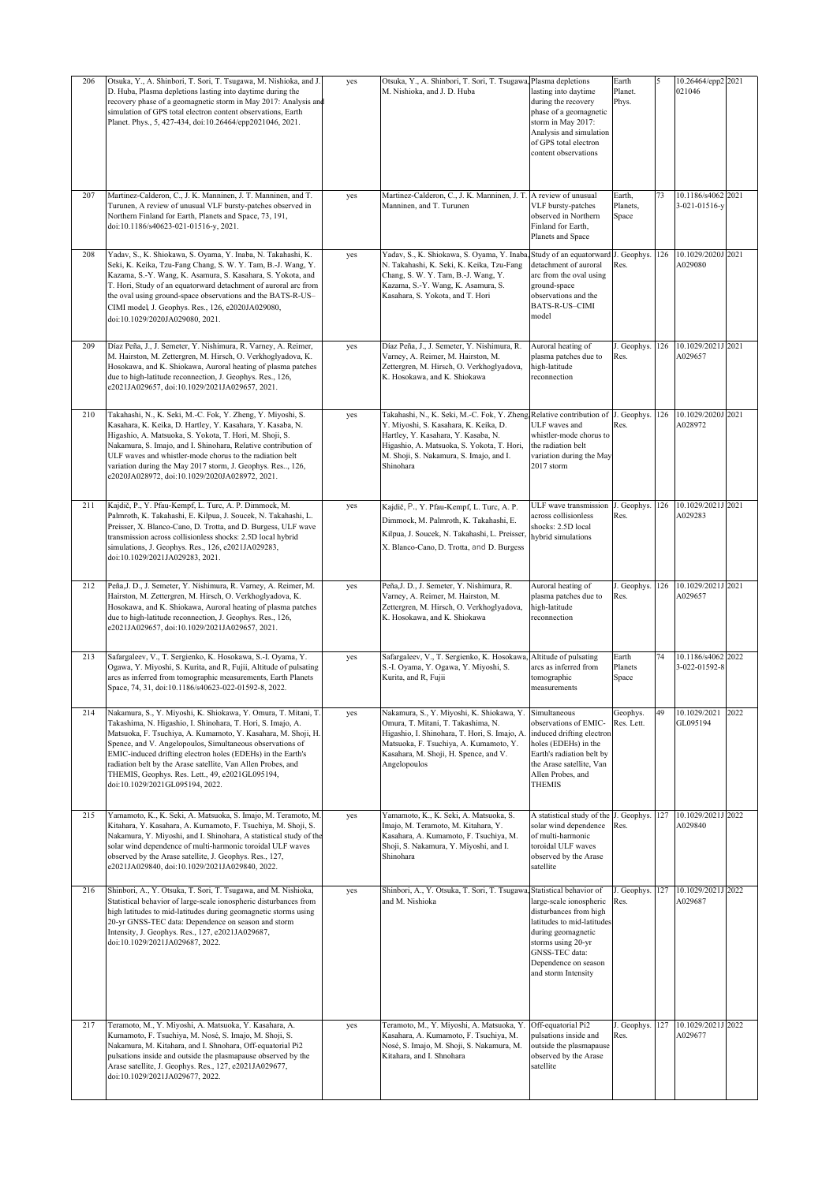| 206 | Otsuka, Y., A. Shinbori, T. Sori, T. Tsugawa, M. Nishioka, and J.<br>D. Huba, Plasma depletions lasting into daytime during the<br>recovery phase of a geomagnetic storm in May 2017: Analysis and                                                                                                                                                                                                                                                                               | yes | Otsuka, Y., A. Shinbori, T. Sori, T. Tsugawa, Plasma depletions<br>M. Nishioka, and J. D. Huba                                                                                                                                                                          | lasting into daytime<br>during the recovery                                                                                                                                                  | Earth<br>Planet.<br>Phys.   | 5   | 10.26464/epp2 2021<br>021046   |      |
|-----|----------------------------------------------------------------------------------------------------------------------------------------------------------------------------------------------------------------------------------------------------------------------------------------------------------------------------------------------------------------------------------------------------------------------------------------------------------------------------------|-----|-------------------------------------------------------------------------------------------------------------------------------------------------------------------------------------------------------------------------------------------------------------------------|----------------------------------------------------------------------------------------------------------------------------------------------------------------------------------------------|-----------------------------|-----|--------------------------------|------|
|     | simulation of GPS total electron content observations, Earth<br>Planet. Phys., 5, 427-434, doi:10.26464/epp2021046, 2021.                                                                                                                                                                                                                                                                                                                                                        |     |                                                                                                                                                                                                                                                                         | phase of a geomagnetic<br>storm in May 2017:<br>Analysis and simulation<br>of GPS total electron<br>content observations                                                                     |                             |     |                                |      |
| 207 | Martinez-Calderon, C., J. K. Manninen, J. T. Manninen, and T.<br>Turunen, A review of unusual VLF bursty-patches observed in<br>Northern Finland for Earth, Planets and Space, 73, 191,<br>doi:10.1186/s40623-021-01516-y, 2021.                                                                                                                                                                                                                                                 | yes | Martinez-Calderon, C., J. K. Manninen, J. T. A review of unusual<br>Manninen, and T. Turunen                                                                                                                                                                            | VLF bursty-patches<br>observed in Northern<br>Finland for Earth,<br>Planets and Space                                                                                                        | Earth,<br>Planets,<br>Space | 73  | 10.1186/s4062<br>3-021-01516-y | 2021 |
| 208 | Yadav, S., K. Shiokawa, S. Oyama, Y. Inaba, N. Takahashi, K.<br>Seki, K. Keika, Tzu-Fang Chang, S. W. Y. Tam, B.-J. Wang, Y.<br>Kazama, S.-Y. Wang, K. Asamura, S. Kasahara, S. Yokota, and<br>T. Hori, Study of an equatorward detachment of auroral arc from<br>the oval using ground-space observations and the BATS-R-US-<br>CIMI model, J. Geophys. Res., 126, e2020JA029080,<br>doi:10.1029/2020JA029080, 2021.                                                            | yes | Yadav, S., K. Shiokawa, S. Oyama, Y. Inaba,<br>N. Takahashi, K. Seki, K. Keika, Tzu-Fang<br>Chang, S. W. Y. Tam, B.-J. Wang, Y.<br>Kazama, S.-Y. Wang, K. Asamura, S.<br>Kasahara, S. Yokota, and T. Hori                                                               | Study of an equatorward<br>detachment of auroral<br>arc from the oval using<br>ground-space<br>observations and the<br><b>BATS-R-US-CIMI</b><br>model                                        | J. Geophys.<br>Res.         | 126 | 10.1029/2020J 2021<br>A029080  |      |
| 209 | Díaz Peña, J., J. Semeter, Y. Nishimura, R. Varney, A. Reimer,<br>M. Hairston, M. Zettergren, M. Hirsch, O. Verkhoglyadova, K.<br>Hosokawa, and K. Shiokawa, Auroral heating of plasma patches<br>due to high-latitude reconnection, J. Geophys. Res., 126,<br>e2021JA029657, doi:10.1029/2021JA029657, 2021.                                                                                                                                                                    | yes | Díaz Peña, J., J. Semeter, Y. Nishimura, R.<br>Varney, A. Reimer, M. Hairston, M.<br>Zettergren, M. Hirsch, O. Verkhoglyadova,<br>K. Hosokawa, and K. Shiokawa                                                                                                          | Auroral heating of<br>plasma patches due to<br>high-latitude<br>reconnection                                                                                                                 | J. Geophys.<br>Res.         | 126 | 10.1029/2021J<br>A029657       | 2021 |
| 210 | Takahashi, N., K. Seki, M.-C. Fok, Y. Zheng, Y. Miyoshi, S.<br>Kasahara, K. Keika, D. Hartley, Y. Kasahara, Y. Kasaba, N.<br>Higashio, A. Matsuoka, S. Yokota, T. Hori, M. Shoji, S.<br>Nakamura, S. Imajo, and I. Shinohara, Relative contribution of<br>ULF waves and whistler-mode chorus to the radiation belt<br>variation during the May 2017 storm, J. Geophys. Res, 126,<br>e2020JA028972, doi:10.1029/2020JA028972, 2021.                                               | yes | Takahashi, N., K. Seki, M.-C. Fok, Y. Zheng, Relative contribution of J. Geophys.<br>Y. Miyoshi, S. Kasahara, K. Keika, D.<br>Hartley, Y. Kasahara, Y. Kasaba, N.<br>Higashio, A. Matsuoka, S. Yokota, T. Hori,<br>M. Shoji, S. Nakamura, S. Imajo, and I.<br>Shinohara | <b>II.F</b> waves and<br>whistler-mode chorus to<br>the radiation belt<br>variation during the May<br>2017 storm                                                                             | Res.                        | 126 | 10.1029/2020J<br>A028972       | 2021 |
| 211 | Kajdič, P., Y. Pfau-Kempf, L. Turc, A. P. Dimmock, M.<br>Palmroth, K. Takahashi, E. Kilpua, J. Soucek, N. Takahashi, L.<br>Preisser, X. Blanco-Cano, D. Trotta, and D. Burgess, ULF wave<br>transmission across collisionless shocks: 2.5D local hybrid<br>simulations, J. Geophys. Res., 126, e2021JA029283,<br>doi:10.1029/2021JA029283, 2021.                                                                                                                                 | yes | Kajdič, P., Y. Pfau-Kempf, L. Turc, A. P.<br>Dimmock, M. Palmroth, K. Takahashi, E.<br>Kilpua, J. Soucek, N. Takahashi, L. Preisser,<br>X. Blanco-Cano, D. Trotta, and D. Burgess                                                                                       | ULF wave transmission<br>across collisionless<br>shocks: 2.5D local<br>hybrid simulations                                                                                                    | J. Geophys.<br>Res.         | 126 | 10.1029/2021J 2021<br>A029283  |      |
| 212 | Peña, J. D., J. Semeter, Y. Nishimura, R. Varney, A. Reimer, M.<br>Hairston, M. Zettergren, M. Hirsch, O. Verkhoglyadova, K.<br>Hosokawa, and K. Shiokawa, Auroral heating of plasma patches<br>due to high-latitude reconnection, J. Geophys. Res., 126,<br>e2021JA029657, doi:10.1029/2021JA029657, 2021.                                                                                                                                                                      | yes | Peña, J. D., J. Semeter, Y. Nishimura, R.<br>Varney, A. Reimer, M. Hairston, M.<br>Zettergren, M. Hirsch, O. Verkhoglyadova,<br>K. Hosokawa, and K. Shiokawa                                                                                                            | Auroral heating of<br>plasma patches due to<br>high-latitude<br>reconnection                                                                                                                 | J. Geophys.<br>Res.         | 126 | 10.1029/2021J<br>A029657       | 2021 |
| 213 | Safargaleev, V., T. Sergienko, K. Hosokawa, S.-I. Oyama, Y.<br>Ogawa, Y. Miyoshi, S. Kurita, and R, Fujii, Altitude of pulsating<br>arcs as inferred from tomographic measurements, Earth Planets<br>Space, 74, 31, doi:10.1186/s40623-022-01592-8, 2022.                                                                                                                                                                                                                        | yes | Safargaleev, V., T. Sergienko, K. Hosokawa,<br>S.-I. Oyama, Y. Ogawa, Y. Miyoshi, S.<br>Kurita, and R, Fujii                                                                                                                                                            | Altitude of pulsating<br>arcs as inferred from<br>tomographic<br>measurements                                                                                                                | Earth<br>Planets<br>Space   | 74  | 10.1186/s4062<br>3-022-01592-8 | 2022 |
| 214 | Nakamura, S., Y. Miyoshi, K. Shiokawa, Y. Omura, T. Mitani, T.<br>Takashima, N. Higashio, I. Shinohara, T. Hori, S. Imajo, A.<br>Matsuoka, F. Tsuchiya, A. Kumamoto, Y. Kasahara, M. Shoji, H.<br>Spence, and V. Angelopoulos, Simultaneous observations of<br>EMIC-induced drifting electron holes (EDEHs) in the Earth's<br>radiation belt by the Arase satellite, Van Allen Probes, and<br>THEMIS, Geophys. Res. Lett., 49, e2021GL095194,<br>doi:10.1029/2021GL095194, 2022. | yes | Nakamura, S., Y. Miyoshi, K. Shiokawa, Y. Simultaneous<br>Omura, T. Mitani, T. Takashima, N.<br>Higashio, I. Shinohara, T. Hori, S. Imajo, A.<br>Matsuoka, F. Tsuchiya, A. Kumamoto, Y.<br>Kasahara, M. Shoji, H. Spence, and V.<br>Angelopoulos                        | observations of EMIC-<br>induced drifting electron<br>holes (EDEHs) in the<br>Earth's radiation belt by<br>the Arase satellite, Van<br>Allen Probes, and<br><b>THEMIS</b>                    | Geophys.<br>Res. Lett.      | 49  | 10.1029/2021<br>GL095194       | 2022 |
| 215 | Yamamoto, K., K. Seki, A. Matsuoka, S. Imajo, M. Teramoto, M.<br>Kitahara, Y. Kasahara, A. Kumamoto, F. Tsuchiya, M. Shoji, S.<br>Nakamura, Y. Miyoshi, and I. Shinohara, A statistical study of the<br>solar wind dependence of multi-harmonic toroidal ULF waves<br>observed by the Arase satellite, J. Geophys. Res., 127,<br>e2021JA029840, doi:10.1029/2021JA029840, 2022.                                                                                                  | yes | Yamamoto, K., K. Seki, A. Matsuoka, S.<br>Imajo, M. Teramoto, M. Kitahara, Y.<br>Kasahara, A. Kumamoto, F. Tsuchiya, M.<br>Shoji, S. Nakamura, Y. Miyoshi, and I.<br>Shinohara                                                                                          | A statistical study of the J. Geophys.<br>solar wind dependence<br>of multi-harmonic<br>toroidal ULF waves<br>observed by the Arase<br>satellite                                             | Res.                        | 127 | 10.1029/2021J<br>A029840       | 2022 |
| 216 | Shinbori, A., Y. Otsuka, T. Sori, T. Tsugawa, and M. Nishioka,<br>Statistical behavior of large-scale ionospheric disturbances from<br>high latitudes to mid-latitudes during geomagnetic storms using<br>20-yr GNSS-TEC data: Dependence on season and storm<br>Intensity, J. Geophys. Res., 127, e2021JA029687,<br>doi:10.1029/2021JA029687, 2022.                                                                                                                             | yes | Shinbori, A., Y. Otsuka, T. Sori, T. Tsugawa, Statistical behavior of<br>and M. Nishioka                                                                                                                                                                                | large-scale ionospheric<br>disturbances from high<br>latitudes to mid-latitudes<br>during geomagnetic<br>storms using 20-yr<br>GNSS-TEC data:<br>Dependence on season<br>and storm Intensity | J. Geophys.<br>Res.         | 127 | 10.1029/2021J<br>A029687       | 2022 |
| 217 | Teramoto, M., Y. Miyoshi, A. Matsuoka, Y. Kasahara, A.<br>Kumamoto, F. Tsuchiya, M. Nosé, S. Imajo, M. Shoji, S.<br>Nakamura, M. Kitahara, and I. Shnohara, Off-equatorial Pi2<br>pulsations inside and outside the plasmapause observed by the<br>Arase satellite, J. Geophys. Res., 127, e2021JA029677,<br>doi:10.1029/2021JA029677, 2022.                                                                                                                                     | yes | Teramoto, M., Y. Miyoshi, A. Matsuoka, Y.<br>Kasahara, A. Kumamoto, F. Tsuchiya, M.<br>Nosé, S. Imajo, M. Shoji, S. Nakamura, M.<br>Kitahara, and I. Shnohara                                                                                                           | Off-equatorial Pi2<br>pulsations inside and<br>putside the plasmapause<br>observed by the Arase<br>satellite                                                                                 | J. Geophys.<br>Res.         | 127 | 10.1029/2021J<br>A029677       | 2022 |